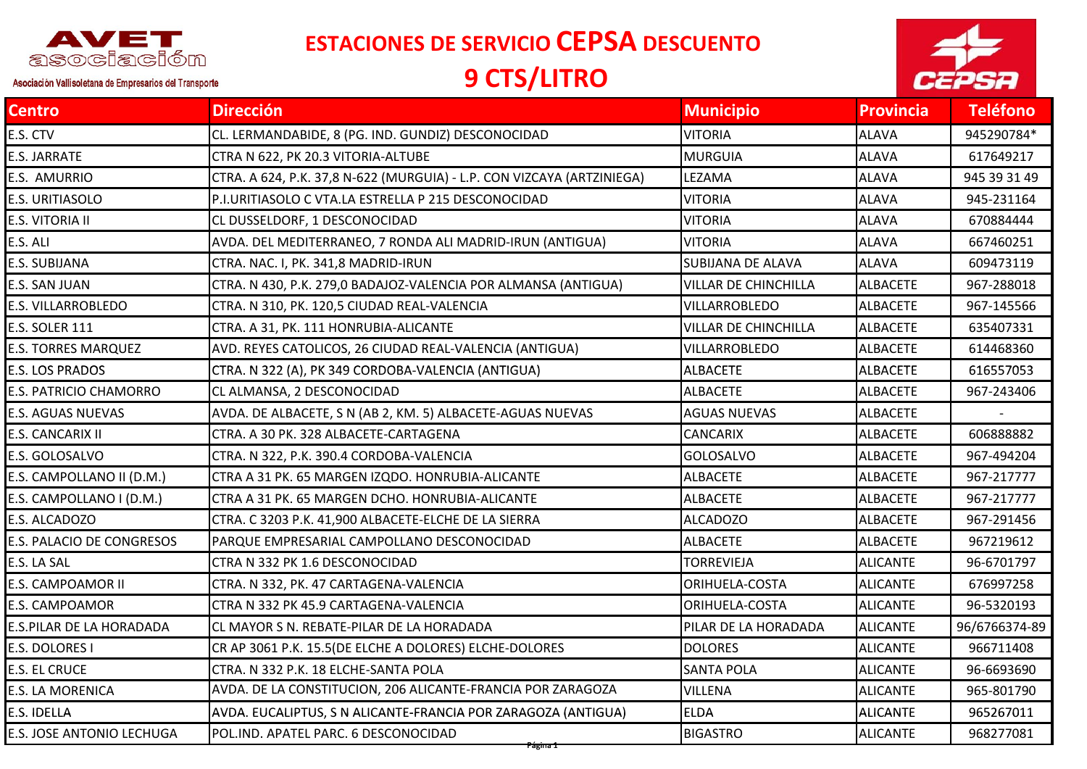

**ESTACIONES DE SERVICIO CEPSA DESCUENTO**

## **9 CTS/LITRO**



Asociación Vallisoletana de Empresarios del Transporte

| Centro                     | <b>Dirección</b>                                                       | <b>Municipio</b>            | <b>Provincia</b> | <b>Teléfono</b> |
|----------------------------|------------------------------------------------------------------------|-----------------------------|------------------|-----------------|
| E.S. CTV                   | CL. LERMANDABIDE, 8 (PG. IND. GUNDIZ) DESCONOCIDAD                     | <b>VITORIA</b>              | ALAVA            | 945290784*      |
| E.S. JARRATE               | CTRA N 622, PK 20.3 VITORIA-ALTUBE                                     | <b>MURGUIA</b>              | <b>ALAVA</b>     | 617649217       |
| E.S. AMURRIO               | CTRA. A 624, P.K. 37,8 N-622 (MURGUIA) - L.P. CON VIZCAYA (ARTZINIEGA) | LEZAMA                      | <b>ALAVA</b>     | 945 39 31 49    |
| E.S. URITIASOLO            | P.I.URITIASOLO C VTA.LA ESTRELLA P 215 DESCONOCIDAD                    | <b>VITORIA</b>              | <b>ALAVA</b>     | 945-231164      |
| E.S. VITORIA II            | CL DUSSELDORF, 1 DESCONOCIDAD                                          | <b>VITORIA</b>              | <b>ALAVA</b>     | 670884444       |
| E.S. ALI                   | AVDA. DEL MEDITERRANEO, 7 RONDA ALI MADRID-IRUN (ANTIGUA)              | <b>VITORIA</b>              | <b>ALAVA</b>     | 667460251       |
| E.S. SUBIJANA              | CTRA. NAC. I, PK. 341,8 MADRID-IRUN                                    | SUBIJANA DE ALAVA           | <b>ALAVA</b>     | 609473119       |
| E.S. SAN JUAN              | CTRA. N 430, P.K. 279,0 BADAJOZ-VALENCIA POR ALMANSA (ANTIGUA)         | <b>VILLAR DE CHINCHILLA</b> | <b>ALBACETE</b>  | 967-288018      |
| E.S. VILLARROBLEDO         | CTRA. N 310, PK. 120,5 CIUDAD REAL-VALENCIA                            | VILLARROBLEDO               | <b>ALBACETE</b>  | 967-145566      |
| E.S. SOLER 111             | CTRA. A 31, PK. 111 HONRUBIA-ALICANTE                                  | <b>VILLAR DE CHINCHILLA</b> | <b>ALBACETE</b>  | 635407331       |
| <b>E.S. TORRES MARQUEZ</b> | AVD. REYES CATOLICOS, 26 CIUDAD REAL-VALENCIA (ANTIGUA)                | VILLARROBLEDO               | <b>ALBACETE</b>  | 614468360       |
| E.S. LOS PRADOS            | CTRA. N 322 (A), PK 349 CORDOBA-VALENCIA (ANTIGUA)                     | <b>ALBACETE</b>             | <b>ALBACETE</b>  | 616557053       |
| E.S. PATRICIO CHAMORRO     | CL ALMANSA, 2 DESCONOCIDAD                                             | <b>ALBACETE</b>             | <b>ALBACETE</b>  | 967-243406      |
| E.S. AGUAS NUEVAS          | AVDA. DE ALBACETE, S N (AB 2, KM. 5) ALBACETE-AGUAS NUEVAS             | <b>AGUAS NUEVAS</b>         | <b>ALBACETE</b>  |                 |
| E.S. CANCARIX II           | CTRA. A 30 PK. 328 ALBACETE-CARTAGENA                                  | <b>CANCARIX</b>             | <b>ALBACETE</b>  | 606888882       |
| E.S. GOLOSALVO             | CTRA. N 322, P.K. 390.4 CORDOBA-VALENCIA                               | <b>GOLOSALVO</b>            | <b>ALBACETE</b>  | 967-494204      |
| E.S. CAMPOLLANO II (D.M.)  | CTRA A 31 PK. 65 MARGEN IZQDO. HONRUBIA-ALICANTE                       | <b>ALBACETE</b>             | <b>ALBACETE</b>  | 967-217777      |
| E.S. CAMPOLLANO I (D.M.)   | CTRA A 31 PK. 65 MARGEN DCHO. HONRUBIA-ALICANTE                        | <b>ALBACETE</b>             | <b>ALBACETE</b>  | 967-217777      |
| E.S. ALCADOZO              | CTRA. C 3203 P.K. 41,900 ALBACETE-ELCHE DE LA SIERRA                   | ALCADOZO                    | <b>ALBACETE</b>  | 967-291456      |
| E.S. PALACIO DE CONGRESOS  | PARQUE EMPRESARIAL CAMPOLLANO DESCONOCIDAD                             | <b>ALBACETE</b>             | <b>ALBACETE</b>  | 967219612       |
| E.S. LA SAL                | CTRA N 332 PK 1.6 DESCONOCIDAD                                         | <b>TORREVIEJA</b>           | <b>ALICANTE</b>  | 96-6701797      |
| E.S. CAMPOAMOR II          | CTRA. N 332, PK. 47 CARTAGENA-VALENCIA                                 | ORIHUELA-COSTA              | <b>ALICANTE</b>  | 676997258       |
| E.S. CAMPOAMOR             | CTRA N 332 PK 45.9 CARTAGENA-VALENCIA                                  | ORIHUELA-COSTA              | <b>ALICANTE</b>  | 96-5320193      |
| E.S.PILAR DE LA HORADADA   | CL MAYOR S N. REBATE-PILAR DE LA HORADADA                              | PILAR DE LA HORADADA        | <b>ALICANTE</b>  | 96/6766374-89   |
| E.S. DOLORES I             | CR AP 3061 P.K. 15.5(DE ELCHE A DOLORES) ELCHE-DOLORES                 | <b>DOLORES</b>              | <b>ALICANTE</b>  | 966711408       |
| E.S. EL CRUCE              | CTRA. N 332 P.K. 18 ELCHE-SANTA POLA                                   | <b>SANTA POLA</b>           | <b>ALICANTE</b>  | 96-6693690      |
| E.S. LA MORENICA           | AVDA. DE LA CONSTITUCION, 206 ALICANTE-FRANCIA POR ZARAGOZA            | <b>VILLENA</b>              | <b>ALICANTE</b>  | 965-801790      |
| E.S. IDELLA                | AVDA. EUCALIPTUS, S N ALICANTE-FRANCIA POR ZARAGOZA (ANTIGUA)          | <b>ELDA</b>                 | <b>ALICANTE</b>  | 965267011       |
| E.S. JOSE ANTONIO LECHUGA  | POL.IND. APATEL PARC. 6 DESCONOCIDAD                                   | <b>BIGASTRO</b>             | <b>ALICANTE</b>  | 968277081       |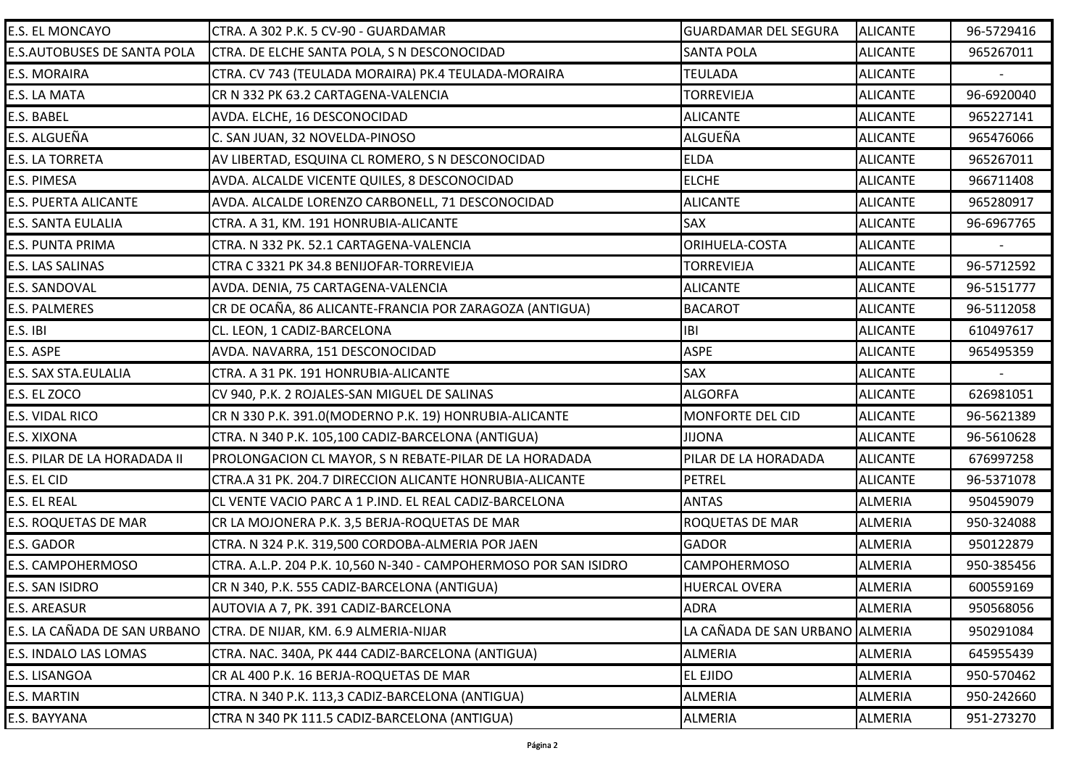| <b>E.S. EL MONCAYO</b>       | CTRA. A 302 P.K. 5 CV-90 - GUARDAMAR                             | <b>GUARDAMAR DEL SEGURA</b>     | <b>ALICANTE</b> | 96-5729416 |
|------------------------------|------------------------------------------------------------------|---------------------------------|-----------------|------------|
| E.S.AUTOBUSES DE SANTA POLA  | CTRA. DE ELCHE SANTA POLA, S N DESCONOCIDAD                      | <b>SANTA POLA</b>               | <b>ALICANTE</b> | 965267011  |
| E.S. MORAIRA                 | CTRA. CV 743 (TEULADA MORAIRA) PK.4 TEULADA-MORAIRA              | <b>TEULADA</b>                  | <b>ALICANTE</b> |            |
| E.S. LA MATA                 | CR N 332 PK 63.2 CARTAGENA-VALENCIA                              | <b>TORREVIEJA</b>               | <b>ALICANTE</b> | 96-6920040 |
| E.S. BABEL                   | AVDA. ELCHE, 16 DESCONOCIDAD                                     | <b>ALICANTE</b>                 | <b>ALICANTE</b> | 965227141  |
| E.S. ALGUEÑA                 | C. SAN JUAN, 32 NOVELDA-PINOSO                                   | ALGUEÑA                         | <b>ALICANTE</b> | 965476066  |
| E.S. LA TORRETA              | AV LIBERTAD, ESQUINA CL ROMERO, S N DESCONOCIDAD                 | <b>ELDA</b>                     | <b>ALICANTE</b> | 965267011  |
| E.S. PIMESA                  | AVDA. ALCALDE VICENTE QUILES, 8 DESCONOCIDAD                     | <b>ELCHE</b>                    | <b>ALICANTE</b> | 966711408  |
| E.S. PUERTA ALICANTE         | AVDA. ALCALDE LORENZO CARBONELL, 71 DESCONOCIDAD                 | <b>ALICANTE</b>                 | <b>ALICANTE</b> | 965280917  |
| E.S. SANTA EULALIA           | CTRA. A 31, KM. 191 HONRUBIA-ALICANTE                            | <b>SAX</b>                      | <b>ALICANTE</b> | 96-6967765 |
| E.S. PUNTA PRIMA             | CTRA. N 332 PK. 52.1 CARTAGENA-VALENCIA                          | ORIHUELA-COSTA                  | <b>ALICANTE</b> |            |
| E.S. LAS SALINAS             | CTRA C 3321 PK 34.8 BENIJOFAR-TORREVIEJA                         | <b>TORREVIEJA</b>               | <b>ALICANTE</b> | 96-5712592 |
| <b>E.S. SANDOVAL</b>         | AVDA. DENIA, 75 CARTAGENA-VALENCIA                               | <b>ALICANTE</b>                 | <b>ALICANTE</b> | 96-5151777 |
| E.S. PALMERES                | CR DE OCAÑA, 86 ALICANTE-FRANCIA POR ZARAGOZA (ANTIGUA)          | <b>BACAROT</b>                  | <b>ALICANTE</b> | 96-5112058 |
| E.S. IBI                     | CL. LEON, 1 CADIZ-BARCELONA                                      | <b>IBI</b>                      | <b>ALICANTE</b> | 610497617  |
| E.S. ASPE                    | AVDA. NAVARRA, 151 DESCONOCIDAD                                  | <b>ASPE</b>                     | <b>ALICANTE</b> | 965495359  |
| E.S. SAX STA.EULALIA         | CTRA. A 31 PK. 191 HONRUBIA-ALICANTE                             | SAX                             | <b>ALICANTE</b> |            |
| E.S. EL ZOCO                 | CV 940, P.K. 2 ROJALES-SAN MIGUEL DE SALINAS                     | <b>ALGORFA</b>                  | <b>ALICANTE</b> | 626981051  |
| E.S. VIDAL RICO              | CR N 330 P.K. 391.0(MODERNO P.K. 19) HONRUBIA-ALICANTE           | <b>MONFORTE DEL CID</b>         | <b>ALICANTE</b> | 96-5621389 |
| E.S. XIXONA                  | CTRA. N 340 P.K. 105,100 CADIZ-BARCELONA (ANTIGUA)               | <b>JIJONA</b>                   | <b>ALICANTE</b> | 96-5610628 |
| E.S. PILAR DE LA HORADADA II | PROLONGACION CL MAYOR, S N REBATE-PILAR DE LA HORADADA           | PILAR DE LA HORADADA            | <b>ALICANTE</b> | 676997258  |
| E.S. EL CID                  | CTRA.A 31 PK. 204.7 DIRECCION ALICANTE HONRUBIA-ALICANTE         | <b>PETREL</b>                   | <b>ALICANTE</b> | 96-5371078 |
| E.S. EL REAL                 | CL VENTE VACIO PARC A 1 P.IND. EL REAL CADIZ-BARCELONA           | <b>ANTAS</b>                    | <b>ALMERIA</b>  | 950459079  |
| E.S. ROQUETAS DE MAR         | CR LA MOJONERA P.K. 3,5 BERJA-ROQUETAS DE MAR                    | ROQUETAS DE MAR                 | <b>ALMERIA</b>  | 950-324088 |
| E.S. GADOR                   | CTRA. N 324 P.K. 319,500 CORDOBA-ALMERIA POR JAEN                | <b>GADOR</b>                    | <b>ALMERIA</b>  | 950122879  |
| E.S. CAMPOHERMOSO            | CTRA. A.L.P. 204 P.K. 10,560 N-340 - CAMPOHERMOSO POR SAN ISIDRO | <b>CAMPOHERMOSO</b>             | <b>ALMERIA</b>  | 950-385456 |
| E.S. SAN ISIDRO              | CR N 340, P.K. 555 CADIZ-BARCELONA (ANTIGUA)                     | <b>HUERCAL OVERA</b>            | <b>ALMERIA</b>  | 600559169  |
| E.S. AREASUR                 | AUTOVIA A 7, PK. 391 CADIZ-BARCELONA                             | <b>ADRA</b>                     | ALMERIA         | 950568056  |
| E.S. LA CAÑADA DE SAN URBANO | CTRA. DE NIJAR, KM. 6.9 ALMERIA-NIJAR                            | LA CAÑADA DE SAN URBANO ALMERIA |                 | 950291084  |
| E.S. INDALO LAS LOMAS        | CTRA. NAC. 340A, PK 444 CADIZ-BARCELONA (ANTIGUA)                | <b>ALMERIA</b>                  | ALMERIA         | 645955439  |
| E.S. LISANGOA                | CR AL 400 P.K. 16 BERJA-ROQUETAS DE MAR                          | <b>EL EJIDO</b>                 | <b>ALMERIA</b>  | 950-570462 |
| E.S. MARTIN                  | CTRA. N 340 P.K. 113,3 CADIZ-BARCELONA (ANTIGUA)                 | <b>ALMERIA</b>                  | <b>ALMERIA</b>  | 950-242660 |
| E.S. BAYYANA                 | CTRA N 340 PK 111.5 CADIZ-BARCELONA (ANTIGUA)                    | <b>ALMERIA</b>                  | <b>ALMERIA</b>  | 951-273270 |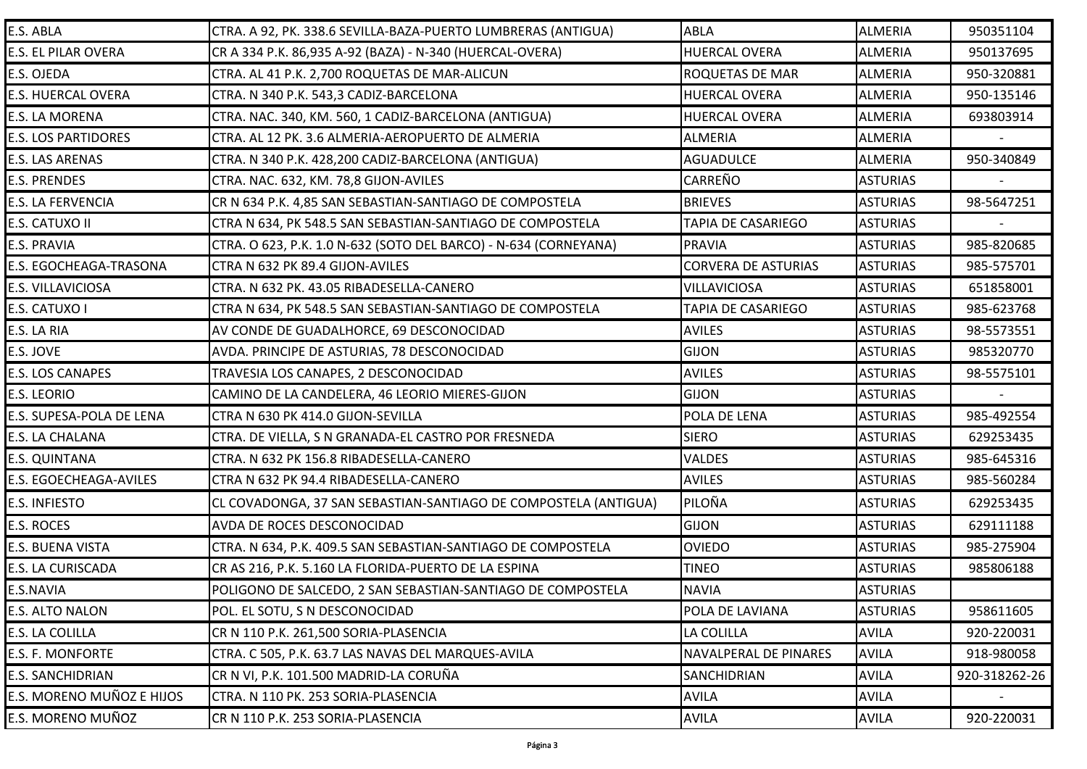| E.S. ABLA                  | CTRA. A 92, PK. 338.6 SEVILLA-BAZA-PUERTO LUMBRERAS (ANTIGUA)    | <b>ABLA</b>                | ALMERIA         | 950351104     |
|----------------------------|------------------------------------------------------------------|----------------------------|-----------------|---------------|
| E.S. EL PILAR OVERA        | CR A 334 P.K. 86,935 A-92 (BAZA) - N-340 (HUERCAL-OVERA)         | <b>HUERCAL OVERA</b>       | ALMERIA         | 950137695     |
| E.S. OJEDA                 | CTRA. AL 41 P.K. 2,700 ROQUETAS DE MAR-ALICUN                    | <b>ROQUETAS DE MAR</b>     | <b>ALMERIA</b>  | 950-320881    |
| <b>E.S. HUERCAL OVERA</b>  | CTRA. N 340 P.K. 543,3 CADIZ-BARCELONA                           | <b>HUERCAL OVERA</b>       | ALMERIA         | 950-135146    |
| E.S. LA MORENA             | CTRA. NAC. 340, KM. 560, 1 CADIZ-BARCELONA (ANTIGUA)             | <b>HUERCAL OVERA</b>       | <b>ALMERIA</b>  | 693803914     |
| <b>E.S. LOS PARTIDORES</b> | CTRA. AL 12 PK. 3.6 ALMERIA-AEROPUERTO DE ALMERIA                | <b>ALMERIA</b>             | ALMERIA         |               |
| E.S. LAS ARENAS            | CTRA. N 340 P.K. 428,200 CADIZ-BARCELONA (ANTIGUA)               | <b>AGUADULCE</b>           | <b>ALMERIA</b>  | 950-340849    |
| <b>E.S. PRENDES</b>        | CTRA. NAC. 632, KM. 78,8 GIJON-AVILES                            | <b>CARREÑO</b>             | <b>ASTURIAS</b> |               |
| E.S. LA FERVENCIA          | CR N 634 P.K. 4,85 SAN SEBASTIAN-SANTIAGO DE COMPOSTELA          | <b>BRIEVES</b>             | <b>ASTURIAS</b> | 98-5647251    |
| E.S. CATUXO II             | CTRA N 634, PK 548.5 SAN SEBASTIAN-SANTIAGO DE COMPOSTELA        | <b>TAPIA DE CASARIEGO</b>  | <b>ASTURIAS</b> |               |
| E.S. PRAVIA                | CTRA. O 623, P.K. 1.0 N-632 (SOTO DEL BARCO) - N-634 (CORNEYANA) | <b>PRAVIA</b>              | <b>ASTURIAS</b> | 985-820685    |
| E.S. EGOCHEAGA-TRASONA     | CTRA N 632 PK 89.4 GIJON-AVILES                                  | <b>CORVERA DE ASTURIAS</b> | <b>ASTURIAS</b> | 985-575701    |
| E.S. VILLAVICIOSA          | CTRA. N 632 PK. 43.05 RIBADESELLA-CANERO                         | <b>VILLAVICIOSA</b>        | <b>ASTURIAS</b> | 651858001     |
| E.S. CATUXO I              | CTRA N 634, PK 548.5 SAN SEBASTIAN-SANTIAGO DE COMPOSTELA        | <b>TAPIA DE CASARIEGO</b>  | <b>ASTURIAS</b> | 985-623768    |
| E.S. LA RIA                | AV CONDE DE GUADALHORCE, 69 DESCONOCIDAD                         | <b>AVILES</b>              | <b>ASTURIAS</b> | 98-5573551    |
| E.S. JOVE                  | AVDA. PRINCIPE DE ASTURIAS, 78 DESCONOCIDAD                      | <b>GIJON</b>               | <b>ASTURIAS</b> | 985320770     |
| E.S. LOS CANAPES           | TRAVESIA LOS CANAPES, 2 DESCONOCIDAD                             | <b>AVILES</b>              | <b>ASTURIAS</b> | 98-5575101    |
| E.S. LEORIO                | CAMINO DE LA CANDELERA, 46 LEORIO MIERES-GIJON                   | <b>GIJON</b>               | <b>ASTURIAS</b> |               |
| E.S. SUPESA-POLA DE LENA   | CTRA N 630 PK 414.0 GIJON-SEVILLA                                | POLA DE LENA               | <b>ASTURIAS</b> | 985-492554    |
| E.S. LA CHALANA            | CTRA. DE VIELLA, S N GRANADA-EL CASTRO POR FRESNEDA              | <b>SIERO</b>               | <b>ASTURIAS</b> | 629253435     |
| <b>E.S. QUINTANA</b>       | CTRA. N 632 PK 156.8 RIBADESELLA-CANERO                          | <b>VALDES</b>              | <b>ASTURIAS</b> | 985-645316    |
| E.S. EGOECHEAGA-AVILES     | CTRA N 632 PK 94.4 RIBADESELLA-CANERO                            | <b>AVILES</b>              | <b>ASTURIAS</b> | 985-560284    |
| E.S. INFIESTO              | CL COVADONGA, 37 SAN SEBASTIAN-SANTIAGO DE COMPOSTELA (ANTIGUA)  | PILOÑA                     | <b>ASTURIAS</b> | 629253435     |
| E.S. ROCES                 | AVDA DE ROCES DESCONOCIDAD                                       | <b>GIJON</b>               | <b>ASTURIAS</b> | 629111188     |
| E.S. BUENA VISTA           | CTRA. N 634, P.K. 409.5 SAN SEBASTIAN-SANTIAGO DE COMPOSTELA     | <b>OVIEDO</b>              | <b>ASTURIAS</b> | 985-275904    |
| E.S. LA CURISCADA          | CR AS 216, P.K. 5.160 LA FLORIDA-PUERTO DE LA ESPINA             | <b>TINEO</b>               | <b>ASTURIAS</b> | 985806188     |
| E.S.NAVIA                  | POLIGONO DE SALCEDO, 2 SAN SEBASTIAN-SANTIAGO DE COMPOSTELA      | <b>NAVIA</b>               | <b>ASTURIAS</b> |               |
| E.S. ALTO NALON            | POL. EL SOTU, S N DESCONOCIDAD                                   | POLA DE LAVIANA            | <b>ASTURIAS</b> | 958611605     |
| E.S. LA COLILLA            | CR N 110 P.K. 261,500 SORIA-PLASENCIA                            | <b>LA COLILLA</b>          | <b>AVILA</b>    | 920-220031    |
| E.S. F. MONFORTE           | CTRA. C 505, P.K. 63.7 LAS NAVAS DEL MARQUES-AVILA               | NAVALPERAL DE PINARES      | <b>AVILA</b>    | 918-980058    |
| E.S. SANCHIDRIAN           | CR N VI, P.K. 101.500 MADRID-LA CORUÑA                           | <b>SANCHIDRIAN</b>         | <b>AVILA</b>    | 920-318262-26 |
| E.S. MORENO MUÑOZ E HIJOS  | CTRA. N 110 PK. 253 SORIA-PLASENCIA                              | <b>AVILA</b>               | <b>AVILA</b>    |               |
| E.S. MORENO MUÑOZ          | CR N 110 P.K. 253 SORIA-PLASENCIA                                | <b>AVILA</b>               | <b>AVILA</b>    | 920-220031    |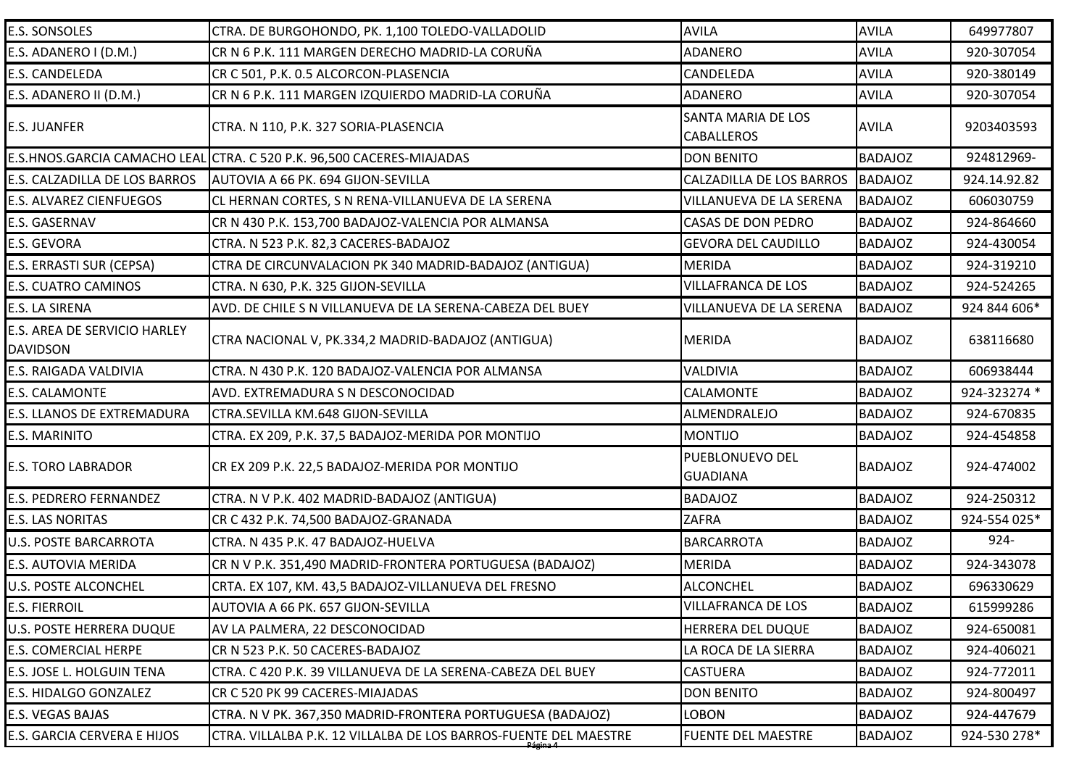| <b>E.S. SONSOLES</b>                            | CTRA. DE BURGOHONDO, PK. 1,100 TOLEDO-VALLADOLID                      | <b>AVILA</b>                                   | <b>AVILA</b>   | 649977807    |
|-------------------------------------------------|-----------------------------------------------------------------------|------------------------------------------------|----------------|--------------|
| E.S. ADANERO I (D.M.)                           | CR N 6 P.K. 111 MARGEN DERECHO MADRID-LA CORUÑA                       | <b>ADANERO</b>                                 | <b>AVILA</b>   | 920-307054   |
| E.S. CANDELEDA                                  | CR C 501, P.K. 0.5 ALCORCON-PLASENCIA                                 | <b>CANDELEDA</b>                               | <b>AVILA</b>   | 920-380149   |
| E.S. ADANERO II (D.M.)                          | CR N 6 P.K. 111 MARGEN IZQUIERDO MADRID-LA CORUÑA                     | <b>ADANERO</b>                                 | <b>AVILA</b>   | 920-307054   |
| <b>E.S. JUANFER</b>                             | CTRA. N 110, P.K. 327 SORIA-PLASENCIA                                 | <b>SANTA MARIA DE LOS</b><br><b>CABALLEROS</b> | <b>AVILA</b>   | 9203403593   |
|                                                 | E.S.HNOS.GARCIA CAMACHO LEAL CTRA. C 520 P.K. 96,500 CACERES-MIAJADAS | <b>DON BENITO</b>                              | <b>BADAJOZ</b> | 924812969-   |
| E.S. CALZADILLA DE LOS BARROS                   | AUTOVIA A 66 PK. 694 GIJON-SEVILLA                                    | <b>CALZADILLA DE LOS BARROS</b>                | <b>BADAJOZ</b> | 924.14.92.82 |
| <b>E.S. ALVAREZ CIENFUEGOS</b>                  | CL HERNAN CORTES, S N RENA-VILLANUEVA DE LA SERENA                    | VILLANUEVA DE LA SERENA                        | <b>BADAJOZ</b> | 606030759    |
| E.S. GASERNAV                                   | CR N 430 P.K. 153,700 BADAJOZ-VALENCIA POR ALMANSA                    | <b>CASAS DE DON PEDRO</b>                      | <b>BADAJOZ</b> | 924-864660   |
| <b>E.S. GEVORA</b>                              | CTRA. N 523 P.K. 82,3 CACERES-BADAJOZ                                 | <b>GEVORA DEL CAUDILLO</b>                     | <b>BADAJOZ</b> | 924-430054   |
| E.S. ERRASTI SUR (CEPSA)                        | CTRA DE CIRCUNVALACION PK 340 MADRID-BADAJOZ (ANTIGUA)                | <b>MERIDA</b>                                  | <b>BADAJOZ</b> | 924-319210   |
| <b>E.S. CUATRO CAMINOS</b>                      | CTRA. N 630, P.K. 325 GIJON-SEVILLA                                   | <b>VILLAFRANCA DE LOS</b>                      | <b>BADAJOZ</b> | 924-524265   |
| E.S. LA SIRENA                                  | AVD. DE CHILE S N VILLANUEVA DE LA SERENA-CABEZA DEL BUEY             | VILLANUEVA DE LA SERENA                        | <b>BADAJOZ</b> | 924 844 606* |
| E.S. AREA DE SERVICIO HARLEY<br><b>DAVIDSON</b> | CTRA NACIONAL V, PK.334,2 MADRID-BADAJOZ (ANTIGUA)                    | <b>MERIDA</b>                                  | <b>BADAJOZ</b> | 638116680    |
| <b>E.S. RAIGADA VALDIVIA</b>                    | CTRA. N 430 P.K. 120 BADAJOZ-VALENCIA POR ALMANSA                     | VALDIVIA                                       | <b>BADAJOZ</b> | 606938444    |
| <b>E.S. CALAMONTE</b>                           | AVD. EXTREMADURA S N DESCONOCIDAD                                     | <b>CALAMONTE</b>                               | <b>BADAJOZ</b> | 924-323274 * |
| <b>E.S. LLANOS DE EXTREMADURA</b>               | CTRA.SEVILLA KM.648 GIJON-SEVILLA                                     | ALMENDRALEJO                                   | <b>BADAJOZ</b> | 924-670835   |
| E.S. MARINITO                                   | CTRA. EX 209, P.K. 37,5 BADAJOZ-MERIDA POR MONTIJO                    | <b>MONTIJO</b>                                 | <b>BADAJOZ</b> | 924-454858   |
| <b>E.S. TORO LABRADOR</b>                       | CR EX 209 P.K. 22,5 BADAJOZ-MERIDA POR MONTIJO                        | PUEBLONUEVO DEL<br><b>GUADIANA</b>             | <b>BADAJOZ</b> | 924-474002   |
| <b>E.S. PEDRERO FERNANDEZ</b>                   | CTRA. N V P.K. 402 MADRID-BADAJOZ (ANTIGUA)                           | <b>BADAJOZ</b>                                 | <b>BADAJOZ</b> | 924-250312   |
| <b>E.S. LAS NORITAS</b>                         | CR C 432 P.K. 74,500 BADAJOZ-GRANADA                                  | <b>ZAFRA</b>                                   | <b>BADAJOZ</b> | 924-554 025* |
| <b>U.S. POSTE BARCARROTA</b>                    | CTRA. N 435 P.K. 47 BADAJOZ-HUELVA                                    | <b>BARCARROTA</b>                              | <b>BADAJOZ</b> | $924 -$      |
| <b>E.S. AUTOVIA MERIDA</b>                      | CR N V P.K. 351,490 MADRID-FRONTERA PORTUGUESA (BADAJOZ)              | <b>MERIDA</b>                                  | <b>BADAJOZ</b> | 924-343078   |
| <b>U.S. POSTE ALCONCHEL</b>                     | CRTA. EX 107, KM. 43,5 BADAJOZ-VILLANUEVA DEL FRESNO                  | <b>ALCONCHEL</b>                               | <b>BADAJOZ</b> | 696330629    |
| <b>E.S. FIERROIL</b>                            | AUTOVIA A 66 PK. 657 GIJON-SEVILLA                                    | <b>VILLAFRANCA DE LOS</b>                      | <b>BADAJOZ</b> | 615999286    |
| U.S. POSTE HERRERA DUQUE                        | AV LA PALMERA, 22 DESCONOCIDAD                                        | HERRERA DEL DUQUE                              | <b>BADAJOZ</b> | 924-650081   |
| <b>E.S. COMERCIAL HERPE</b>                     | CR N 523 P.K. 50 CACERES-BADAJOZ                                      | LA ROCA DE LA SIERRA                           | <b>BADAJOZ</b> | 924-406021   |
| E.S. JOSE L. HOLGUIN TENA                       | CTRA. C 420 P.K. 39 VILLANUEVA DE LA SERENA-CABEZA DEL BUEY           | <b>CASTUERA</b>                                | <b>BADAJOZ</b> | 924-772011   |
| <b>E.S. HIDALGO GONZALEZ</b>                    | CR C 520 PK 99 CACERES-MIAJADAS                                       | <b>DON BENITO</b>                              | <b>BADAJOZ</b> | 924-800497   |
| E.S. VEGAS BAJAS                                | CTRA. N V PK. 367,350 MADRID-FRONTERA PORTUGUESA (BADAJOZ)            | <b>LOBON</b>                                   | <b>BADAJOZ</b> | 924-447679   |
| E.S. GARCIA CERVERA E HIJOS                     | CTRA. VILLALBA P.K. 12 VILLALBA DE LOS BARROS-FUENTE DEL MAESTRE      | <b>FUENTE DEL MAESTRE</b>                      | <b>BADAJOZ</b> | 924-530 278* |
|                                                 |                                                                       |                                                |                |              |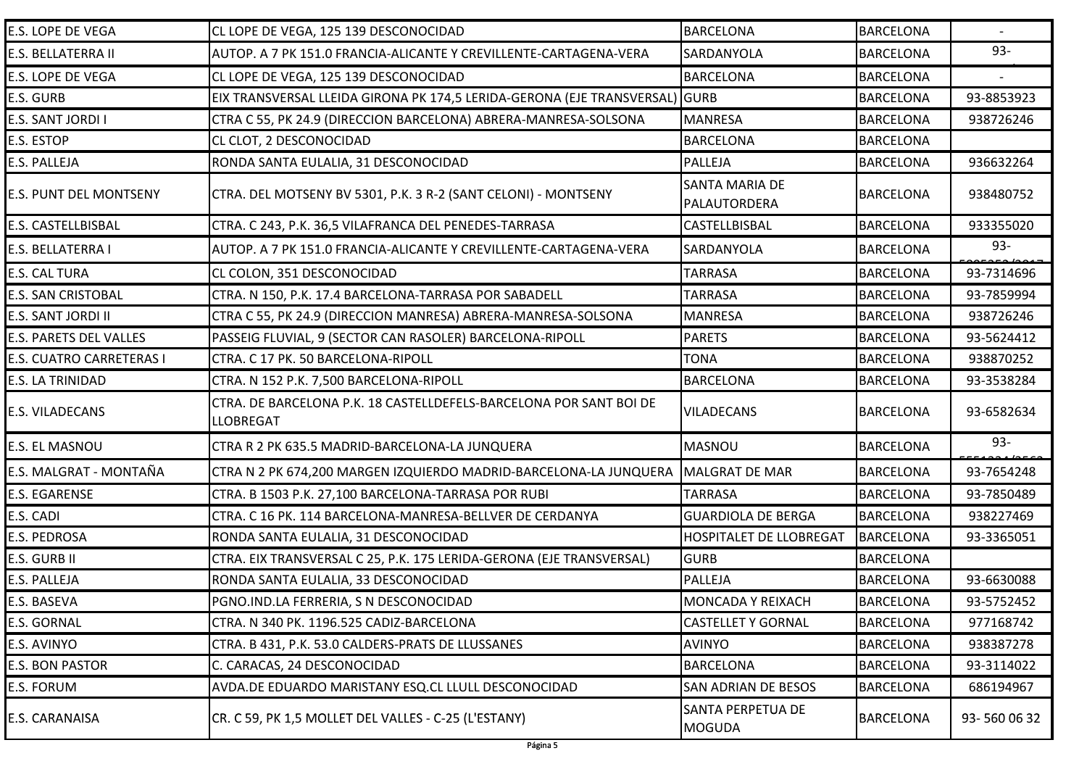| E.S. LOPE DE VEGA             | CL LOPE DE VEGA, 125 139 DESCONOCIDAD                                            | <b>BARCELONA</b>                          | <b>BARCELONA</b> |            |
|-------------------------------|----------------------------------------------------------------------------------|-------------------------------------------|------------------|------------|
| E.S. BELLATERRA II            | AUTOP. A 7 PK 151.0 FRANCIA-ALICANTE Y CREVILLENTE-CARTAGENA-VERA                | SARDANYOLA                                | <b>BARCELONA</b> | 93-        |
| E.S. LOPE DE VEGA             | CL LOPE DE VEGA, 125 139 DESCONOCIDAD                                            | <b>BARCELONA</b>                          | <b>BARCELONA</b> |            |
| E.S. GURB                     | EIX TRANSVERSAL LLEIDA GIRONA PK 174,5 LERIDA-GERONA (EJE TRANSVERSAL) GURB      |                                           | <b>BARCELONA</b> | 93-8853923 |
| E.S. SANT JORDI I             | CTRA C 55, PK 24.9 (DIRECCION BARCELONA) ABRERA-MANRESA-SOLSONA                  | <b>MANRESA</b>                            | <b>BARCELONA</b> | 938726246  |
| E.S. ESTOP                    | CL CLOT, 2 DESCONOCIDAD                                                          | <b>BARCELONA</b>                          | <b>BARCELONA</b> |            |
| E.S. PALLEJA                  | RONDA SANTA EULALIA, 31 DESCONOCIDAD                                             | <b>PALLEJA</b>                            | <b>BARCELONA</b> | 936632264  |
| <b>E.S. PUNT DEL MONTSENY</b> | CTRA. DEL MOTSENY BV 5301, P.K. 3 R-2 (SANT CELONI) - MONTSENY                   | <b>SANTA MARIA DE</b><br>PALAUTORDERA     | <b>BARCELONA</b> | 938480752  |
| E.S. CASTELLBISBAL            | CTRA. C 243, P.K. 36,5 VILAFRANCA DEL PENEDES-TARRASA                            | CASTELLBISBAL                             | <b>BARCELONA</b> | 933355020  |
| E.S. BELLATERRA I             | AUTOP. A 7 PK 151.0 FRANCIA-ALICANTE Y CREVILLENTE-CARTAGENA-VERA                | <b>SARDANYOLA</b>                         | <b>BARCELONA</b> | $93 -$     |
| <b>E.S. CAL TURA</b>          | CL COLON, 351 DESCONOCIDAD                                                       | <b>TARRASA</b>                            | <b>BARCELONA</b> | 93-7314696 |
| <b>E.S. SAN CRISTOBAL</b>     | CTRA. N 150, P.K. 17.4 BARCELONA-TARRASA POR SABADELL                            | <b>TARRASA</b>                            | <b>BARCELONA</b> | 93-7859994 |
| E.S. SANT JORDI II            | CTRA C 55, PK 24.9 (DIRECCION MANRESA) ABRERA-MANRESA-SOLSONA                    | <b>MANRESA</b>                            | <b>BARCELONA</b> | 938726246  |
| <b>E.S. PARETS DEL VALLES</b> | PASSEIG FLUVIAL, 9 (SECTOR CAN RASOLER) BARCELONA-RIPOLL                         | <b>PARETS</b>                             | <b>BARCELONA</b> | 93-5624412 |
| E.S. CUATRO CARRETERAS I      | CTRA. C 17 PK. 50 BARCELONA-RIPOLL                                               | <b>TONA</b>                               | <b>BARCELONA</b> | 938870252  |
| E.S. LA TRINIDAD              | CTRA. N 152 P.K. 7,500 BARCELONA-RIPOLL                                          | <b>BARCELONA</b>                          | <b>BARCELONA</b> | 93-3538284 |
| <b>E.S. VILADECANS</b>        | CTRA. DE BARCELONA P.K. 18 CASTELLDEFELS-BARCELONA POR SANT BOI DE<br>LLOBREGAT  | <b>VILADECANS</b>                         | <b>BARCELONA</b> | 93-6582634 |
| E.S. EL MASNOU                | CTRA R 2 PK 635.5 MADRID-BARCELONA-LA JUNQUERA                                   | <b>MASNOU</b>                             | <b>BARCELONA</b> | 93-        |
| E.S. MALGRAT - MONTAÑA        | CTRA N 2 PK 674,200 MARGEN IZQUIERDO MADRID-BARCELONA-LA JUNQUERA MALGRAT DE MAR |                                           | <b>BARCELONA</b> | 93-7654248 |
| <b>E.S. EGARENSE</b>          | CTRA. B 1503 P.K. 27,100 BARCELONA-TARRASA POR RUBI                              | <b>TARRASA</b>                            | <b>BARCELONA</b> | 93-7850489 |
| E.S. CADI                     | CTRA. C 16 PK. 114 BARCELONA-MANRESA-BELLVER DE CERDANYA                         | <b>GUARDIOLA DE BERGA</b>                 | <b>BARCELONA</b> | 938227469  |
| E.S. PEDROSA                  | RONDA SANTA EULALIA, 31 DESCONOCIDAD                                             | <b>HOSPITALET DE LLOBREGAT</b>            | <b>BARCELONA</b> | 93-3365051 |
| E.S. GURB II                  | CTRA. EIX TRANSVERSAL C 25, P.K. 175 LERIDA-GERONA (EJE TRANSVERSAL)             | <b>GURB</b>                               | <b>BARCELONA</b> |            |
| E.S. PALLEJA                  | RONDA SANTA EULALIA, 33 DESCONOCIDAD                                             | <b>PALLEJA</b>                            | <b>BARCELONA</b> | 93-6630088 |
| E.S. BASEVA                   | PGNO.IND.LA FERRERIA, S N DESCONOCIDAD                                           | <b>MONCADA Y REIXACH</b>                  | <b>BARCELONA</b> | 93-5752452 |
| E.S. GORNAL                   | CTRA. N 340 PK. 1196.525 CADIZ-BARCELONA                                         | <b>CASTELLET Y GORNAL</b>                 | <b>BARCELONA</b> | 977168742  |
| E.S. AVINYO                   | CTRA. B 431, P.K. 53.0 CALDERS-PRATS DE LLUSSANES                                | <b>AVINYO</b>                             | <b>BARCELONA</b> | 938387278  |
| <b>E.S. BON PASTOR</b>        | C. CARACAS, 24 DESCONOCIDAD                                                      | <b>BARCELONA</b>                          | <b>BARCELONA</b> | 93-3114022 |
| E.S. FORUM                    | AVDA.DE EDUARDO MARISTANY ESQ.CL LLULL DESCONOCIDAD                              | <b>SAN ADRIAN DE BESOS</b>                | <b>BARCELONA</b> | 686194967  |
| E.S. CARANAISA                | CR. C 59, PK 1,5 MOLLET DEL VALLES - C-25 (L'ESTANY)                             | <b>SANTA PERPETUA DE</b><br><b>MOGUDA</b> | <b>BARCELONA</b> | 93-5600632 |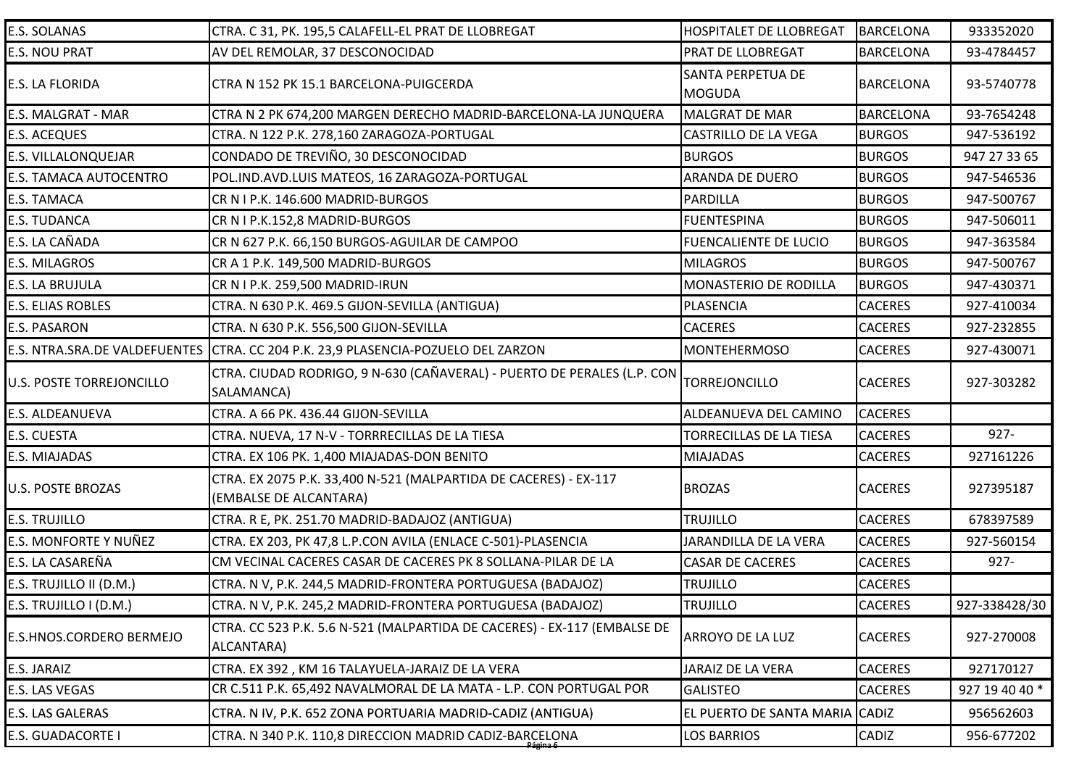| <b>E.S. SOLANAS</b>      | CTRA. C 31, PK. 195,5 CALAFELL-EL PRAT DE LLOBREGAT                                        | <b>HOSPITALET DE LLOBREGAT</b> | <b>BARCELONA</b> | 933352020      |
|--------------------------|--------------------------------------------------------------------------------------------|--------------------------------|------------------|----------------|
| <b>E.S. NOU PRAT</b>     | AV DEL REMOLAR, 37 DESCONOCIDAD                                                            | <b>PRAT DE LLOBREGAT</b>       | <b>BARCELONA</b> | 93-4784457     |
| E.S. LA FLORIDA          | CTRA N 152 PK 15.1 BARCELONA-PUIGCERDA                                                     | <b>SANTA PERPETUA DE</b>       | <b>BARCELONA</b> | 93-5740778     |
|                          |                                                                                            | <b>MOGUDA</b>                  |                  |                |
| E.S. MALGRAT - MAR       | CTRA N 2 PK 674,200 MARGEN DERECHO MADRID-BARCELONA-LA JUNQUERA                            | <b>MALGRAT DE MAR</b>          | <b>BARCELONA</b> | 93-7654248     |
| <b>E.S. ACEQUES</b>      | CTRA. N 122 P.K. 278,160 ZARAGOZA-PORTUGAL                                                 | <b>CASTRILLO DE LA VEGA</b>    | <b>BURGOS</b>    | 947-536192     |
| E.S. VILLALONQUEJAR      | CONDADO DE TREVIÑO, 30 DESCONOCIDAD                                                        | <b>BURGOS</b>                  | <b>BURGOS</b>    | 947 27 33 65   |
| E.S. TAMACA AUTOCENTRO   | POL.IND.AVD.LUIS MATEOS, 16 ZARAGOZA-PORTUGAL                                              | ARANDA DE DUERO                | <b>BURGOS</b>    | 947-546536     |
| E.S. TAMACA              | CR N I P.K. 146.600 MADRID-BURGOS                                                          | PARDILLA                       | <b>BURGOS</b>    | 947-500767     |
| <b>E.S. TUDANCA</b>      | CR N I P.K.152,8 MADRID-BURGOS                                                             | <b>FUENTESPINA</b>             | <b>BURGOS</b>    | 947-506011     |
| E.S. LA CAÑADA           | CR N 627 P.K. 66,150 BURGOS-AGUILAR DE CAMPOO                                              | <b>FUENCALIENTE DE LUCIO</b>   | <b>BURGOS</b>    | 947-363584     |
| <b>E.S. MILAGROS</b>     | CR A 1 P.K. 149,500 MADRID-BURGOS                                                          | <b>MILAGROS</b>                | <b>BURGOS</b>    | 947-500767     |
| E.S. LA BRUJULA          | CR N I P.K. 259,500 MADRID-IRUN                                                            | MONASTERIO DE RODILLA          | <b>BURGOS</b>    | 947-430371     |
| E.S. ELIAS ROBLES        | CTRA. N 630 P.K. 469.5 GIJON-SEVILLA (ANTIGUA)                                             | PLASENCIA                      | <b>CACERES</b>   | 927-410034     |
| <b>E.S. PASARON</b>      | CTRA. N 630 P.K. 556,500 GIJON-SEVILLA                                                     | <b>CACERES</b>                 | <b>CACERES</b>   | 927-232855     |
|                          | E.S. NTRA.SRA.DE VALDEFUENTES CTRA. CC 204 P.K. 23,9 PLASENCIA-POZUELO DEL ZARZON          | <b>MONTEHERMOSO</b>            | <b>CACERES</b>   | 927-430071     |
| U.S. POSTE TORREJONCILLO | CTRA. CIUDAD RODRIGO, 9 N-630 (CAÑAVERAL) - PUERTO DE PERALES (L.P. CON<br>SALAMANCA)      | <b>TORREJONCILLO</b>           | <b>CACERES</b>   | 927-303282     |
| E.S. ALDEANUEVA          | CTRA. A 66 PK. 436.44 GIJON-SEVILLA                                                        | ALDEANUEVA DEL CAMINO          | <b>CACERES</b>   |                |
| E.S. CUESTA              | CTRA. NUEVA, 17 N-V - TORRRECILLAS DE LA TIESA                                             | TORRECILLAS DE LA TIESA        | <b>CACERES</b>   | $927 -$        |
| E.S. MIAJADAS            | CTRA. EX 106 PK. 1,400 MIAJADAS-DON BENITO                                                 | <b>MIAJADAS</b>                | <b>CACERES</b>   | 927161226      |
| U.S. POSTE BROZAS        | CTRA. EX 2075 P.K. 33,400 N-521 (MALPARTIDA DE CACERES) - EX-117<br>(EMBALSE DE ALCANTARA) | <b>BROZAS</b>                  | <b>CACERES</b>   | 927395187      |
| <b>E.S. TRUJILLO</b>     | CTRA. R E, PK. 251.70 MADRID-BADAJOZ (ANTIGUA)                                             | <b>TRUJILLO</b>                | <b>CACERES</b>   | 678397589      |
| E.S. MONFORTE Y NUÑEZ    | CTRA. EX 203, PK 47,8 L.P.CON AVILA (ENLACE C-501)-PLASENCIA                               | JARANDILLA DE LA VERA          | <b>CACERES</b>   | 927-560154     |
| E.S. LA CASAREÑA         | CM VECINAL CACERES CASAR DE CACERES PK 8 SOLLANA-PILAR DE LA                               | <b>CASAR DE CACERES</b>        | <b>CACERES</b>   | $927 -$        |
| E.S. TRUJILLO II (D.M.)  | CTRA. N V, P.K. 244,5 MADRID-FRONTERA PORTUGUESA (BADAJOZ)                                 | <b>TRUJILLO</b>                | <b>CACERES</b>   |                |
| E.S. TRUJILLO I (D.M.)   | CTRA. N V, P.K. 245,2 MADRID-FRONTERA PORTUGUESA (BADAJOZ)                                 | <b>TRUJILLO</b>                | <b>CACERES</b>   | 927-338428/30  |
| E.S.HNOS.CORDERO BERMEJO | CTRA. CC 523 P.K. 5.6 N-521 (MALPARTIDA DE CACERES) - EX-117 (EMBALSE DE<br>ALCANTARA)     | ARROYO DE LA LUZ               | <b>CACERES</b>   | 927-270008     |
| E.S. JARAIZ              | CTRA. EX 392, KM 16 TALAYUELA-JARAIZ DE LA VERA                                            | <b>JARAIZ DE LA VERA</b>       | <b>CACERES</b>   | 927170127      |
| E.S. LAS VEGAS           | CR C.511 P.K. 65,492 NAVALMORAL DE LA MATA - L.P. CON PORTUGAL POR                         | <b>GALISTEO</b>                | <b>CACERES</b>   | 927 19 40 40 * |
| <b>E.S. LAS GALERAS</b>  | CTRA. N IV, P.K. 652 ZONA PORTUARIA MADRID-CADIZ (ANTIGUA)                                 | EL PUERTO DE SANTA MARIA CADIZ |                  | 956562603      |
| <b>E.S. GUADACORTE I</b> | CTRA. N 340 P.K. 110,8 DIRECCION MADRID CADIZ-BARCELONA                                    | <b>LOS BARRIOS</b>             | CADIZ            | 956-677202     |
|                          |                                                                                            |                                |                  |                |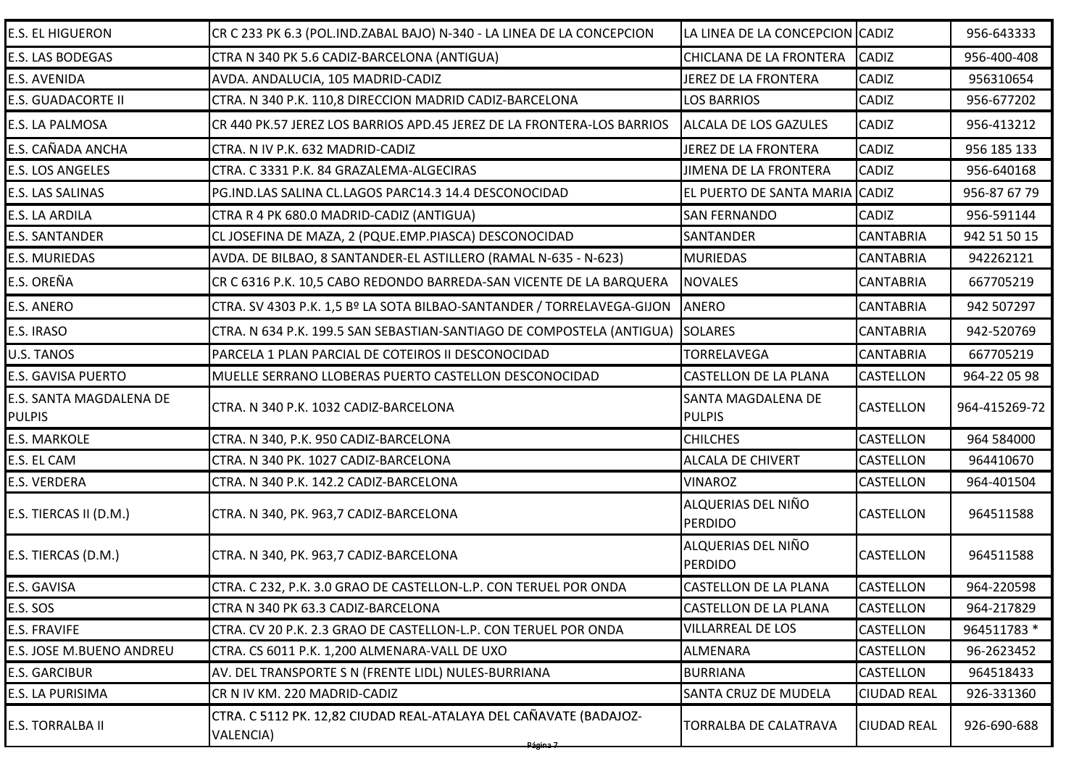| <b>E.S. EL HIGUERON</b>                  | CR C 233 PK 6.3 (POL.IND.ZABAL BAJO) N-340 - LA LINEA DE LA CONCEPCION         | LA LINEA DE LA CONCEPCION CADIZ      |                    | 956-643333    |
|------------------------------------------|--------------------------------------------------------------------------------|--------------------------------------|--------------------|---------------|
| E.S. LAS BODEGAS                         | CTRA N 340 PK 5.6 CADIZ-BARCELONA (ANTIGUA)                                    | CHICLANA DE LA FRONTERA              | <b>CADIZ</b>       | 956-400-408   |
| E.S. AVENIDA                             | AVDA. ANDALUCIA, 105 MADRID-CADIZ                                              | JEREZ DE LA FRONTERA                 | <b>CADIZ</b>       | 956310654     |
| E.S. GUADACORTE II                       | CTRA. N 340 P.K. 110,8 DIRECCION MADRID CADIZ-BARCELONA                        | <b>LOS BARRIOS</b>                   | CADIZ              | 956-677202    |
| E.S. LA PALMOSA                          | CR 440 PK.57 JEREZ LOS BARRIOS APD.45 JEREZ DE LA FRONTERA-LOS BARRIOS         | <b>ALCALA DE LOS GAZULES</b>         | CADIZ              | 956-413212    |
| E.S. CAÑADA ANCHA                        | CTRA. N IV P.K. 632 MADRID-CADIZ                                               | JEREZ DE LA FRONTERA                 | <b>CADIZ</b>       | 956 185 133   |
| E.S. LOS ANGELES                         | CTRA. C 3331 P.K. 84 GRAZALEMA-ALGECIRAS                                       | <b>JIMENA DE LA FRONTERA</b>         | CADIZ              | 956-640168    |
| E.S. LAS SALINAS                         | PG.IND.LAS SALINA CL.LAGOS PARC14.3 14.4 DESCONOCIDAD                          | EL PUERTO DE SANTA MARIA             | <b>CADIZ</b>       | 956-87 67 79  |
| E.S. LA ARDILA                           | CTRA R 4 PK 680.0 MADRID-CADIZ (ANTIGUA)                                       | <b>SAN FERNANDO</b>                  | CADIZ              | 956-591144    |
| <b>E.S. SANTANDER</b>                    | CL JOSEFINA DE MAZA, 2 (PQUE.EMP.PIASCA) DESCONOCIDAD                          | SANTANDER                            | <b>CANTABRIA</b>   | 942 51 50 15  |
| <b>E.S. MURIEDAS</b>                     | AVDA. DE BILBAO, 8 SANTANDER-EL ASTILLERO (RAMAL N-635 - N-623)                | <b>MURIEDAS</b>                      | CANTABRIA          | 942262121     |
| E.S. OREÑA                               | CR C 6316 P.K. 10,5 CABO REDONDO BARREDA-SAN VICENTE DE LA BARQUERA            | <b>NOVALES</b>                       | <b>CANTABRIA</b>   | 667705219     |
| E.S. ANERO                               | CTRA. SV 4303 P.K. 1,5 Bº LA SOTA BILBAO-SANTANDER / TORRELAVEGA-GIJON         | <b>ANERO</b>                         | <b>CANTABRIA</b>   | 942 507297    |
| E.S. IRASO                               | CTRA. N 634 P.K. 199.5 SAN SEBASTIAN-SANTIAGO DE COMPOSTELA (ANTIGUA)          | <b>SOLARES</b>                       | <b>CANTABRIA</b>   | 942-520769    |
| U.S. TANOS                               | PARCELA 1 PLAN PARCIAL DE COTEIROS II DESCONOCIDAD                             | <b>TORRELAVEGA</b>                   | <b>CANTABRIA</b>   | 667705219     |
| <b>E.S. GAVISA PUERTO</b>                | MUELLE SERRANO LLOBERAS PUERTO CASTELLON DESCONOCIDAD                          | CASTELLON DE LA PLANA                | <b>CASTELLON</b>   | 964-22 05 98  |
| E.S. SANTA MAGDALENA DE<br><b>PULPIS</b> | CTRA. N 340 P.K. 1032 CADIZ-BARCELONA                                          | SANTA MAGDALENA DE<br><b>PULPIS</b>  | <b>CASTELLON</b>   | 964-415269-72 |
| <b>E.S. MARKOLE</b>                      | CTRA. N 340, P.K. 950 CADIZ-BARCELONA                                          | <b>CHILCHES</b>                      | <b>CASTELLON</b>   | 964 584000    |
| E.S. EL CAM                              | CTRA. N 340 PK. 1027 CADIZ-BARCELONA                                           | <b>ALCALA DE CHIVERT</b>             | CASTELLON          | 964410670     |
| E.S. VERDERA                             | CTRA. N 340 P.K. 142.2 CADIZ-BARCELONA                                         | <b>VINAROZ</b>                       | <b>CASTELLON</b>   | 964-401504    |
| E.S. TIERCAS II (D.M.)                   | CTRA. N 340, PK. 963,7 CADIZ-BARCELONA                                         | ALQUERIAS DEL NIÑO<br><b>PERDIDO</b> | <b>CASTELLON</b>   | 964511588     |
| E.S. TIERCAS (D.M.)                      | CTRA. N 340, PK. 963,7 CADIZ-BARCELONA                                         | ALQUERIAS DEL NIÑO<br><b>PERDIDO</b> | <b>CASTELLON</b>   | 964511588     |
| E.S. GAVISA                              | CTRA. C 232, P.K. 3.0 GRAO DE CASTELLON-L.P. CON TERUEL POR ONDA               | <b>CASTELLON DE LA PLANA</b>         | <b>CASTELLON</b>   | 964-220598    |
| E.S. SOS                                 | CTRA N 340 PK 63.3 CADIZ-BARCELONA                                             | <b>CASTELLON DE LA PLANA</b>         | <b>CASTELLON</b>   | 964-217829    |
| <b>E.S. FRAVIFE</b>                      | CTRA. CV 20 P.K. 2.3 GRAO DE CASTELLON-L.P. CON TERUEL POR ONDA                | <b>VILLARREAL DE LOS</b>             | CASTELLON          | 964511783 *   |
| E.S. JOSE M.BUENO ANDREU                 | CTRA. CS 6011 P.K. 1,200 ALMENARA-VALL DE UXO                                  | ALMENARA                             | <b>CASTELLON</b>   | 96-2623452    |
| <b>E.S. GARCIBUR</b>                     | AV. DEL TRANSPORTE S N (FRENTE LIDL) NULES-BURRIANA                            | <b>BURRIANA</b>                      | CASTELLON          | 964518433     |
| E.S. LA PURISIMA                         | CR N IV KM. 220 MADRID-CADIZ                                                   | SANTA CRUZ DE MUDELA                 | <b>CIUDAD REAL</b> | 926-331360    |
| E.S. TORRALBA II                         | CTRA. C 5112 PK. 12,82 CIUDAD REAL-ATALAYA DEL CAÑAVATE (BADAJOZ-<br>VALENCIA) | TORRALBA DE CALATRAVA                | <b>CIUDAD REAL</b> | 926-690-688   |
|                                          | <del>Página 7</del>                                                            |                                      |                    |               |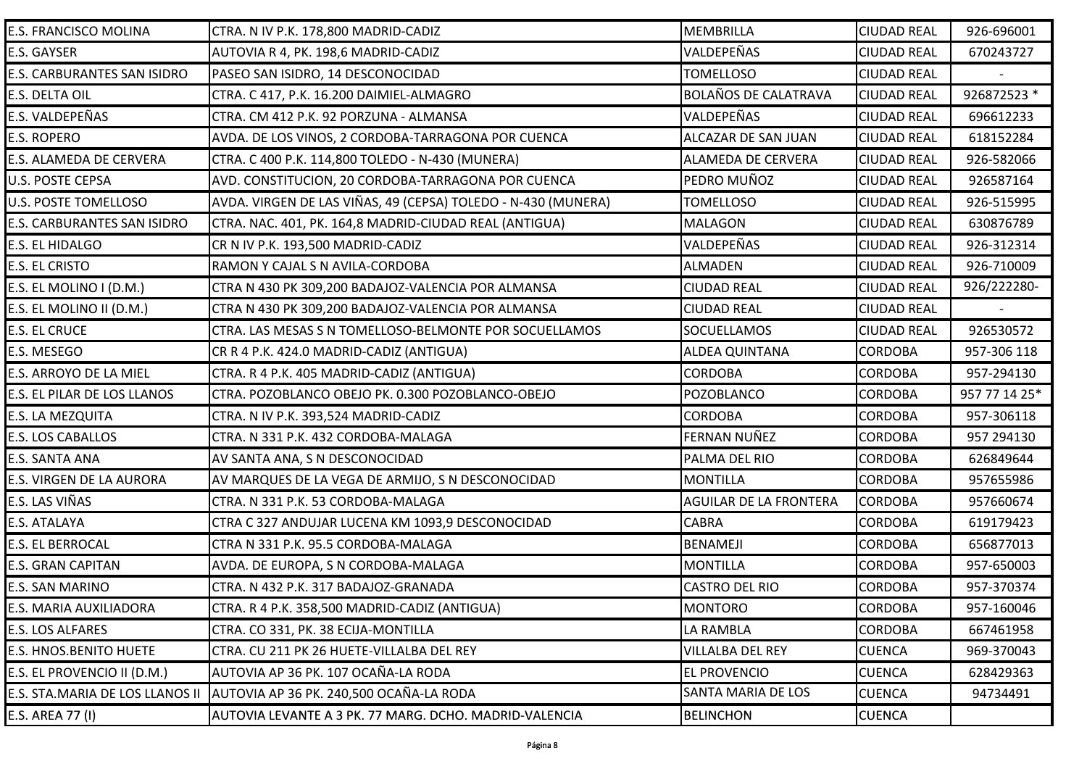| E.S. FRANCISCO MOLINA           | CTRA. N IV P.K. 178,800 MADRID-CADIZ                          | MEMBRILLA                   | <b>CIUDAD REAL</b> | 926-696001    |
|---------------------------------|---------------------------------------------------------------|-----------------------------|--------------------|---------------|
| E.S. GAYSER                     | AUTOVIA R 4, PK. 198,6 MADRID-CADIZ                           | VALDEPEÑAS                  | <b>CIUDAD REAL</b> | 670243727     |
| E.S. CARBURANTES SAN ISIDRO     | PASEO SAN ISIDRO, 14 DESCONOCIDAD                             | <b>TOMELLOSO</b>            | <b>CIUDAD REAL</b> |               |
| E.S. DELTA OIL                  | CTRA. C 417, P.K. 16.200 DAIMIEL-ALMAGRO                      | <b>BOLAÑOS DE CALATRAVA</b> | <b>CIUDAD REAL</b> | 926872523 *   |
| E.S. VALDEPEÑAS                 | CTRA. CM 412 P.K. 92 PORZUNA - ALMANSA                        | VALDEPEÑAS                  | <b>CIUDAD REAL</b> | 696612233     |
| <b>E.S. ROPERO</b>              | AVDA. DE LOS VINOS, 2 CORDOBA-TARRAGONA POR CUENCA            | ALCAZAR DE SAN JUAN         | <b>CIUDAD REAL</b> | 618152284     |
| E.S. ALAMEDA DE CERVERA         | CTRA. C 400 P.K. 114,800 TOLEDO - N-430 (MUNERA)              | ALAMEDA DE CERVERA          | <b>CIUDAD REAL</b> | 926-582066    |
| U.S. POSTE CEPSA                | AVD. CONSTITUCION, 20 CORDOBA-TARRAGONA POR CUENCA            | PEDRO MUÑOZ                 | <b>CIUDAD REAL</b> | 926587164     |
| <b>U.S. POSTE TOMELLOSO</b>     | AVDA. VIRGEN DE LAS VIÑAS, 49 (CEPSA) TOLEDO - N-430 (MUNERA) | <b>TOMELLOSO</b>            | <b>CIUDAD REAL</b> | 926-515995    |
| E.S. CARBURANTES SAN ISIDRO     | CTRA. NAC. 401, PK. 164,8 MADRID-CIUDAD REAL (ANTIGUA)        | <b>MALAGON</b>              | <b>CIUDAD REAL</b> | 630876789     |
| E.S. EL HIDALGO                 | CR N IV P.K. 193,500 MADRID-CADIZ                             | VALDEPEÑAS                  | <b>CIUDAD REAL</b> | 926-312314    |
| <b>E.S. EL CRISTO</b>           | RAMON Y CAJAL S N AVILA-CORDOBA                               | <b>ALMADEN</b>              | <b>CIUDAD REAL</b> | 926-710009    |
| E.S. EL MOLINO I (D.M.)         | CTRA N 430 PK 309,200 BADAJOZ-VALENCIA POR ALMANSA            | <b>CIUDAD REAL</b>          | <b>CIUDAD REAL</b> | 926/222280-   |
| E.S. EL MOLINO II (D.M.)        | CTRA N 430 PK 309,200 BADAJOZ-VALENCIA POR ALMANSA            | <b>CIUDAD REAL</b>          | <b>CIUDAD REAL</b> |               |
| <b>E.S. EL CRUCE</b>            | CTRA. LAS MESAS S N TOMELLOSO-BELMONTE POR SOCUELLAMOS        | SOCUELLAMOS                 | <b>CIUDAD REAL</b> | 926530572     |
| E.S. MESEGO                     | CR R 4 P.K. 424.0 MADRID-CADIZ (ANTIGUA)                      | <b>ALDEA QUINTANA</b>       | <b>CORDOBA</b>     | 957-306 118   |
| E.S. ARROYO DE LA MIEL          | CTRA. R 4 P.K. 405 MADRID-CADIZ (ANTIGUA)                     | <b>CORDOBA</b>              | <b>CORDOBA</b>     | 957-294130    |
| E.S. EL PILAR DE LOS LLANOS     | CTRA. POZOBLANCO OBEJO PK. 0.300 POZOBLANCO-OBEJO             | POZOBLANCO                  | <b>CORDOBA</b>     | 957 77 14 25* |
| E.S. LA MEZQUITA                | CTRA. N IV P.K. 393,524 MADRID-CADIZ                          | <b>CORDOBA</b>              | <b>CORDOBA</b>     | 957-306118    |
| E.S. LOS CABALLOS               | CTRA. N 331 P.K. 432 CORDOBA-MALAGA                           | <b>FERNAN NUÑEZ</b>         | <b>CORDOBA</b>     | 957 294130    |
| E.S. SANTA ANA                  | AV SANTA ANA, S N DESCONOCIDAD                                | PALMA DEL RIO               | <b>CORDOBA</b>     | 626849644     |
| E.S. VIRGEN DE LA AURORA        | AV MARQUES DE LA VEGA DE ARMIJO, S N DESCONOCIDAD             | <b>MONTILLA</b>             | <b>CORDOBA</b>     | 957655986     |
| E.S. LAS VIÑAS                  | CTRA. N 331 P.K. 53 CORDOBA-MALAGA                            | AGUILAR DE LA FRONTERA      | <b>CORDOBA</b>     | 957660674     |
| E.S. ATALAYA                    | CTRA C 327 ANDUJAR LUCENA KM 1093,9 DESCONOCIDAD              | <b>CABRA</b>                | <b>CORDOBA</b>     | 619179423     |
| <b>E.S. EL BERROCAL</b>         | CTRA N 331 P.K. 95.5 CORDOBA-MALAGA                           | <b>BENAMEJI</b>             | <b>CORDOBA</b>     | 656877013     |
| E.S. GRAN CAPITAN               | AVDA. DE EUROPA, S N CORDOBA-MALAGA                           | <b>MONTILLA</b>             | <b>CORDOBA</b>     | 957-650003    |
| E.S. SAN MARINO                 | CTRA. N 432 P.K. 317 BADAJOZ-GRANADA                          | <b>CASTRO DEL RIO</b>       | <b>CORDOBA</b>     | 957-370374    |
| E.S. MARIA AUXILIADORA          | CTRA. R 4 P.K. 358,500 MADRID-CADIZ (ANTIGUA)                 | <b>MONTORO</b>              | <b>CORDOBA</b>     | 957-160046    |
| E.S. LOS ALFARES                | CTRA. CO 331, PK. 38 ECIJA-MONTILLA                           | LA RAMBLA                   | <b>CORDOBA</b>     | 667461958     |
| <b>E.S. HNOS.BENITO HUETE</b>   | CTRA. CU 211 PK 26 HUETE-VILLALBA DEL REY                     | <b>VILLALBA DEL REY</b>     | <b>CUENCA</b>      | 969-370043    |
| E.S. EL PROVENCIO II (D.M.)     | AUTOVIA AP 36 PK. 107 OCAÑA-LA RODA                           | <b>EL PROVENCIO</b>         | <b>CUENCA</b>      | 628429363     |
| E.S. STA.MARIA DE LOS LLANOS II | AUTOVIA AP 36 PK. 240,500 OCAÑA-LA RODA                       | <b>SANTA MARIA DE LOS</b>   | <b>CUENCA</b>      | 94734491      |
| E.S. AREA 77 (I)                | AUTOVIA LEVANTE A 3 PK. 77 MARG. DCHO. MADRID-VALENCIA        | <b>BELINCHON</b>            | <b>CUENCA</b>      |               |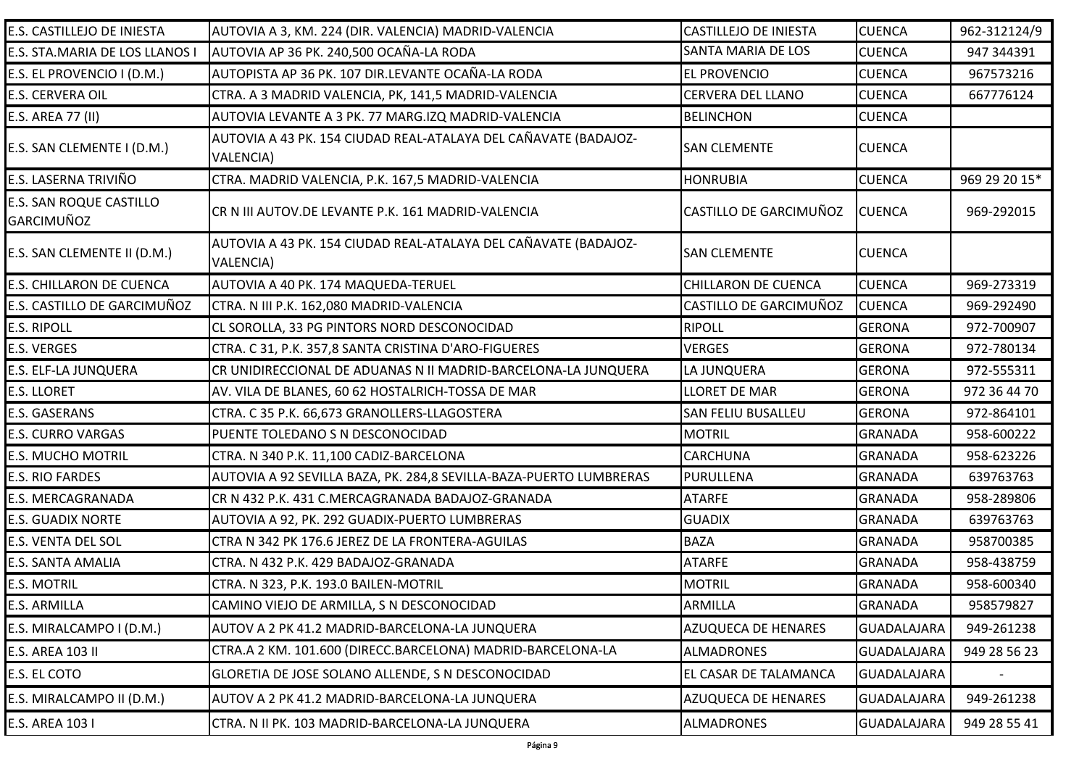| E.S. CASTILLEJO DE INIESTA                   | AUTOVIA A 3, KM. 224 (DIR. VALENCIA) MADRID-VALENCIA                                | <b>CASTILLEJO DE INIESTA</b> | <b>CUENCA</b>      | 962-312124/9  |
|----------------------------------------------|-------------------------------------------------------------------------------------|------------------------------|--------------------|---------------|
| E.S. STA.MARIA DE LOS LLANOS I               | AUTOVIA AP 36 PK. 240,500 OCAÑA-LA RODA                                             | <b>SANTA MARIA DE LOS</b>    | <b>CUENCA</b>      | 947 344391    |
| E.S. EL PROVENCIO I (D.M.)                   | AUTOPISTA AP 36 PK. 107 DIR.LEVANTE OCAÑA-LA RODA                                   | <b>EL PROVENCIO</b>          | <b>CUENCA</b>      | 967573216     |
| <b>E.S. CERVERA OIL</b>                      | CTRA. A 3 MADRID VALENCIA, PK, 141,5 MADRID-VALENCIA                                | <b>CERVERA DEL LLANO</b>     | <b>CUENCA</b>      | 667776124     |
| E.S. AREA 77 (II)                            | AUTOVIA LEVANTE A 3 PK. 77 MARG.IZQ MADRID-VALENCIA                                 | <b>BELINCHON</b>             | <b>CUENCA</b>      |               |
| E.S. SAN CLEMENTE I (D.M.)                   | AUTOVIA A 43 PK. 154 CIUDAD REAL-ATALAYA DEL CAÑAVATE (BADAJOZ-<br><b>VALENCIA)</b> | <b>SAN CLEMENTE</b>          | <b>CUENCA</b>      |               |
| E.S. LASERNA TRIVIÑO                         | CTRA. MADRID VALENCIA, P.K. 167,5 MADRID-VALENCIA                                   | <b>HONRUBIA</b>              | <b>CUENCA</b>      | 969 29 20 15* |
| <b>E.S. SAN ROQUE CASTILLO</b><br>GARCIMUÑOZ | CR N III AUTOV.DE LEVANTE P.K. 161 MADRID-VALENCIA                                  | CASTILLO DE GARCIMUÑOZ       | <b>CUENCA</b>      | 969-292015    |
| E.S. SAN CLEMENTE II (D.M.)                  | AUTOVIA A 43 PK. 154 CIUDAD REAL-ATALAYA DEL CAÑAVATE (BADAJOZ-<br>VALENCIA)        | <b>SAN CLEMENTE</b>          | <b>CUENCA</b>      |               |
| <b>E.S. CHILLARON DE CUENCA</b>              | AUTOVIA A 40 PK. 174 MAQUEDA-TERUEL                                                 | CHILLARON DE CUENCA          | <b>CUENCA</b>      | 969-273319    |
| E.S. CASTILLO DE GARCIMUÑOZ                  | CTRA. N III P.K. 162,080 MADRID-VALENCIA                                            | CASTILLO DE GARCIMUÑOZ       | <b>CUENCA</b>      | 969-292490    |
| <b>E.S. RIPOLL</b>                           | CL SOROLLA, 33 PG PINTORS NORD DESCONOCIDAD                                         | <b>RIPOLL</b>                | <b>GERONA</b>      | 972-700907    |
| <b>E.S. VERGES</b>                           | CTRA. C 31, P.K. 357,8 SANTA CRISTINA D'ARO-FIGUERES                                | <b>VERGES</b>                | <b>GERONA</b>      | 972-780134    |
| <b>E.S. ELF-LA JUNQUERA</b>                  | CR UNIDIRECCIONAL DE ADUANAS N II MADRID-BARCELONA-LA JUNQUERA                      | LA JUNQUERA                  | <b>GERONA</b>      | 972-555311    |
| <b>E.S. LLORET</b>                           | AV. VILA DE BLANES, 60 62 HOSTALRICH-TOSSA DE MAR                                   | <b>LLORET DE MAR</b>         | <b>GERONA</b>      | 972 36 44 70  |
| <b>E.S. GASERANS</b>                         | CTRA. C 35 P.K. 66,673 GRANOLLERS-LLAGOSTERA                                        | <b>SAN FELIU BUSALLEU</b>    | <b>GERONA</b>      | 972-864101    |
| <b>E.S. CURRO VARGAS</b>                     | PUENTE TOLEDANO S N DESCONOCIDAD                                                    | <b>MOTRIL</b>                | <b>GRANADA</b>     | 958-600222    |
| <b>E.S. MUCHO MOTRIL</b>                     | CTRA. N 340 P.K. 11,100 CADIZ-BARCELONA                                             | <b>CARCHUNA</b>              | GRANADA            | 958-623226    |
| <b>E.S. RIO FARDES</b>                       | AUTOVIA A 92 SEVILLA BAZA, PK. 284,8 SEVILLA-BAZA-PUERTO LUMBRERAS                  | PURULLENA                    | <b>GRANADA</b>     | 639763763     |
| E.S. MERCAGRANADA                            | CR N 432 P.K. 431 C.MERCAGRANADA BADAJOZ-GRANADA                                    | <b>ATARFE</b>                | <b>GRANADA</b>     | 958-289806    |
| <b>E.S. GUADIX NORTE</b>                     | AUTOVIA A 92, PK. 292 GUADIX-PUERTO LUMBRERAS                                       | <b>GUADIX</b>                | <b>GRANADA</b>     | 639763763     |
| <b>E.S. VENTA DEL SOL</b>                    | CTRA N 342 PK 176.6 JEREZ DE LA FRONTERA-AGUILAS                                    | <b>BAZA</b>                  | <b>GRANADA</b>     | 958700385     |
| <b>E.S. SANTA AMALIA</b>                     | CTRA. N 432 P.K. 429 BADAJOZ-GRANADA                                                | <b>ATARFE</b>                | GRANADA            | 958-438759    |
| <b>E.S. MOTRIL</b>                           | CTRA. N 323, P.K. 193.0 BAILEN-MOTRIL                                               | <b>MOTRIL</b>                | GRANADA            | 958-600340    |
| <b>E.S. ARMILLA</b>                          | CAMINO VIEJO DE ARMILLA, S N DESCONOCIDAD                                           | <b>ARMILLA</b>               | <b>GRANADA</b>     | 958579827     |
| E.S. MIRALCAMPO I (D.M.)                     | AUTOV A 2 PK 41.2 MADRID-BARCELONA-LA JUNQUERA                                      | AZUQUECA DE HENARES          | <b>GUADALAJARA</b> | 949-261238    |
| E.S. AREA 103 II                             | CTRA.A 2 KM. 101.600 (DIRECC.BARCELONA) MADRID-BARCELONA-LA                         | <b>ALMADRONES</b>            | <b>GUADALAJARA</b> | 949 28 56 23  |
| E.S. EL COTO                                 | GLORETIA DE JOSE SOLANO ALLENDE, S N DESCONOCIDAD                                   | EL CASAR DE TALAMANCA        | <b>GUADALAJARA</b> |               |
| E.S. MIRALCAMPO II (D.M.)                    | AUTOV A 2 PK 41.2 MADRID-BARCELONA-LA JUNQUERA                                      | AZUQUECA DE HENARES          | GUADALAJARA        | 949-261238    |
| E.S. AREA 103 I                              | CTRA. N II PK. 103 MADRID-BARCELONA-LA JUNQUERA                                     | <b>ALMADRONES</b>            | <b>GUADALAJARA</b> | 949 28 55 41  |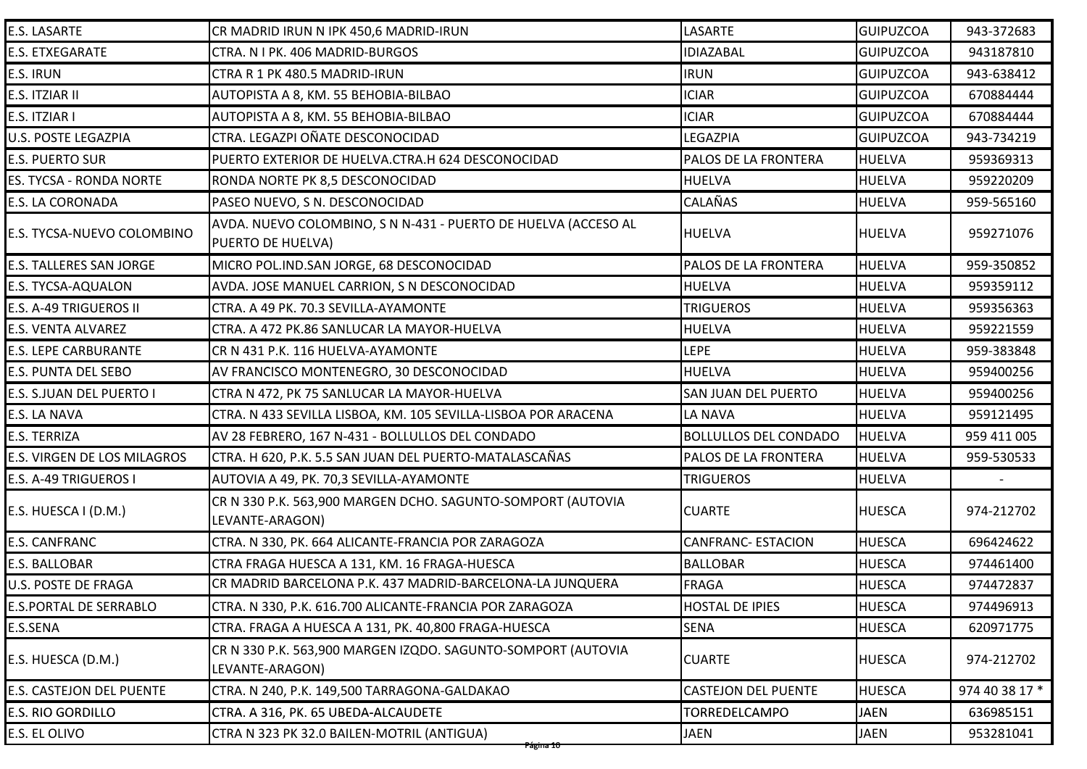| E.S. LASARTE                   | CR MADRID IRUN N IPK 450,6 MADRID-IRUN                                              | LASARTE                      | <b>GUIPUZCOA</b> | 943-372683     |
|--------------------------------|-------------------------------------------------------------------------------------|------------------------------|------------------|----------------|
| <b>E.S. ETXEGARATE</b>         | CTRA. N I PK. 406 MADRID-BURGOS                                                     | <b>IDIAZABAL</b>             | <b>GUIPUZCOA</b> | 943187810      |
| E.S. IRUN                      | CTRA R 1 PK 480.5 MADRID-IRUN                                                       | <b>IRUN</b>                  | <b>GUIPUZCOA</b> | 943-638412     |
| E.S. ITZIAR II                 | AUTOPISTA A 8, KM. 55 BEHOBIA-BILBAO                                                | <b>ICIAR</b>                 | <b>GUIPUZCOA</b> | 670884444      |
| E.S. ITZIAR I                  | AUTOPISTA A 8, KM. 55 BEHOBIA-BILBAO                                                | <b>ICIAR</b>                 | <b>GUIPUZCOA</b> | 670884444      |
| U.S. POSTE LEGAZPIA            | CTRA. LEGAZPI OÑATE DESCONOCIDAD                                                    | <b>LEGAZPIA</b>              | <b>GUIPUZCOA</b> | 943-734219     |
| <b>E.S. PUERTO SUR</b>         | PUERTO EXTERIOR DE HUELVA.CTRA.H 624 DESCONOCIDAD                                   | PALOS DE LA FRONTERA         | <b>HUELVA</b>    | 959369313      |
| ES. TYCSA - RONDA NORTE        | RONDA NORTE PK 8,5 DESCONOCIDAD                                                     | <b>HUELVA</b>                | <b>HUELVA</b>    | 959220209      |
| E.S. LA CORONADA               | PASEO NUEVO, S N. DESCONOCIDAD                                                      | <b>CALAÑAS</b>               | <b>HUELVA</b>    | 959-565160     |
| E.S. TYCSA-NUEVO COLOMBINO     | AVDA. NUEVO COLOMBINO, S N N-431 - PUERTO DE HUELVA (ACCESO AL<br>PUERTO DE HUELVA) | <b>HUELVA</b>                | <b>HUELVA</b>    | 959271076      |
| <b>E.S. TALLERES SAN JORGE</b> | MICRO POL.IND.SAN JORGE, 68 DESCONOCIDAD                                            | PALOS DE LA FRONTERA         | <b>HUELVA</b>    | 959-350852     |
| <b>E.S. TYCSA-AQUALON</b>      | AVDA. JOSE MANUEL CARRION, S N DESCONOCIDAD                                         | <b>HUELVA</b>                | <b>HUELVA</b>    | 959359112      |
| E.S. A-49 TRIGUEROS II         | CTRA. A 49 PK. 70.3 SEVILLA-AYAMONTE                                                | <b>TRIGUEROS</b>             | <b>HUELVA</b>    | 959356363      |
| E.S. VENTA ALVAREZ             | CTRA. A 472 PK.86 SANLUCAR LA MAYOR-HUELVA                                          | <b>HUELVA</b>                | <b>HUELVA</b>    | 959221559      |
| <b>E.S. LEPE CARBURANTE</b>    | CR N 431 P.K. 116 HUELVA-AYAMONTE                                                   | <b>LEPE</b>                  | <b>HUELVA</b>    | 959-383848     |
| E.S. PUNTA DEL SEBO            | AV FRANCISCO MONTENEGRO, 30 DESCONOCIDAD                                            | <b>HUELVA</b>                | <b>HUELVA</b>    | 959400256      |
| E.S. S.JUAN DEL PUERTO I       | CTRA N 472, PK 75 SANLUCAR LA MAYOR-HUELVA                                          | <b>SAN JUAN DEL PUERTO</b>   | <b>HUELVA</b>    | 959400256      |
| E.S. LA NAVA                   | CTRA. N 433 SEVILLA LISBOA, KM. 105 SEVILLA-LISBOA POR ARACENA                      | <b>LA NAVA</b>               | <b>HUELVA</b>    | 959121495      |
| E.S. TERRIZA                   | AV 28 FEBRERO, 167 N-431 - BOLLULLOS DEL CONDADO                                    | <b>BOLLULLOS DEL CONDADO</b> | <b>HUELVA</b>    | 959 411 005    |
| E.S. VIRGEN DE LOS MILAGROS    | CTRA. H 620, P.K. 5.5 SAN JUAN DEL PUERTO-MATALASCAÑAS                              | PALOS DE LA FRONTERA         | <b>HUELVA</b>    | 959-530533     |
| E.S. A-49 TRIGUEROS I          | AUTOVIA A 49, PK. 70,3 SEVILLA-AYAMONTE                                             | <b>TRIGUEROS</b>             | <b>HUELVA</b>    |                |
| E.S. HUESCA I (D.M.)           | CR N 330 P.K. 563,900 MARGEN DCHO. SAGUNTO-SOMPORT (AUTOVIA<br>LEVANTE-ARAGON)      | <b>CUARTE</b>                | <b>HUESCA</b>    | 974-212702     |
| <b>E.S. CANFRANC</b>           | CTRA. N 330, PK. 664 ALICANTE-FRANCIA POR ZARAGOZA                                  | <b>CANFRANC- ESTACION</b>    | <b>HUESCA</b>    | 696424622      |
| E.S. BALLOBAR                  | CTRA FRAGA HUESCA A 131, KM. 16 FRAGA-HUESCA                                        | <b>BALLOBAR</b>              | <b>HUESCA</b>    | 974461400      |
| <b>U.S. POSTE DE FRAGA</b>     | CR MADRID BARCELONA P.K. 437 MADRID-BARCELONA-LA JUNQUERA                           | <b>FRAGA</b>                 | <b>HUESCA</b>    | 974472837      |
| <b>E.S.PORTAL DE SERRABLO</b>  | CTRA. N 330, P.K. 616.700 ALICANTE-FRANCIA POR ZARAGOZA                             | <b>HOSTAL DE IPIES</b>       | <b>HUESCA</b>    | 974496913      |
| E.S.SENA                       | CTRA. FRAGA A HUESCA A 131, PK. 40,800 FRAGA-HUESCA                                 | <b>SENA</b>                  | <b>HUESCA</b>    | 620971775      |
| E.S. HUESCA (D.M.)             | CR N 330 P.K. 563,900 MARGEN IZQDO. SAGUNTO-SOMPORT (AUTOVIA<br>LEVANTE-ARAGON)     | <b>CUARTE</b>                | <b>HUESCA</b>    | 974-212702     |
| E.S. CASTEJON DEL PUENTE       | CTRA. N 240, P.K. 149,500 TARRAGONA-GALDAKAO                                        | <b>CASTEJON DEL PUENTE</b>   | <b>HUESCA</b>    | 974 40 38 17 * |
| <b>E.S. RIO GORDILLO</b>       | CTRA. A 316, PK. 65 UBEDA-ALCAUDETE                                                 | <b>TORREDELCAMPO</b>         | <b>JAEN</b>      | 636985151      |
| E.S. EL OLIVO                  | CTRA N 323 PK 32.0 BAILEN-MOTRIL (ANTIGUA)                                          | <b>JAEN</b>                  | JAEN             | 953281041      |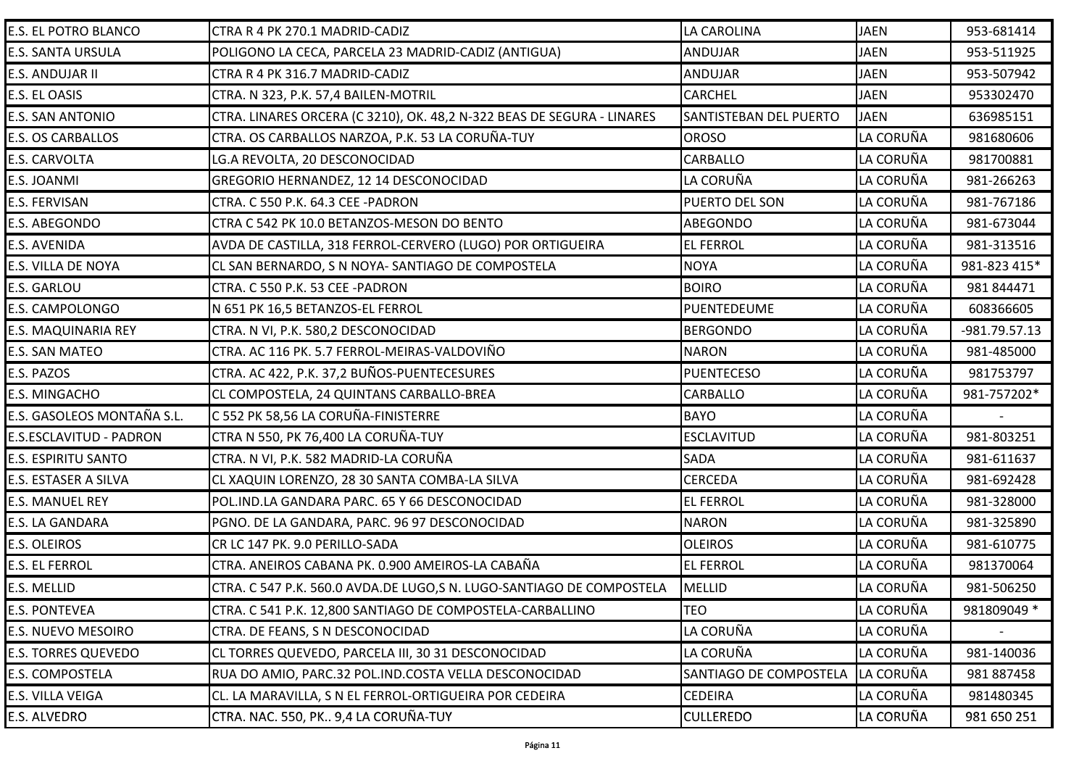| E.S. EL POTRO BLANCO       | CTRA R 4 PK 270.1 MADRID-CADIZ                                         | LA CAROLINA                   | <b>JAEN</b> | 953-681414    |
|----------------------------|------------------------------------------------------------------------|-------------------------------|-------------|---------------|
| <b>E.S. SANTA URSULA</b>   | POLIGONO LA CECA, PARCELA 23 MADRID-CADIZ (ANTIGUA)                    | <b>ANDUJAR</b>                | <b>JAEN</b> | 953-511925    |
| E.S. ANDUJAR II            | CTRA R 4 PK 316.7 MADRID-CADIZ                                         | <b>ANDUJAR</b>                | <b>JAEN</b> | 953-507942    |
| E.S. EL OASIS              | CTRA. N 323, P.K. 57,4 BAILEN-MOTRIL                                   | <b>CARCHEL</b>                | <b>JAEN</b> | 953302470     |
| E.S. SAN ANTONIO           | CTRA. LINARES ORCERA (C 3210), OK. 48,2 N-322 BEAS DE SEGURA - LINARES | <b>SANTISTEBAN DEL PUERTO</b> | <b>JAEN</b> | 636985151     |
| <b>E.S. OS CARBALLOS</b>   | CTRA. OS CARBALLOS NARZOA, P.K. 53 LA CORUÑA-TUY                       | <b>OROSO</b>                  | LA CORUÑA   | 981680606     |
| E.S. CARVOLTA              | LG.A REVOLTA, 20 DESCONOCIDAD                                          | CARBALLO                      | LA CORUÑA   | 981700881     |
| E.S. JOANMI                | GREGORIO HERNANDEZ, 12 14 DESCONOCIDAD                                 | LA CORUÑA                     | LA CORUÑA   | 981-266263    |
| E.S. FERVISAN              | CTRA. C 550 P.K. 64.3 CEE -PADRON                                      | PUERTO DEL SON                | LA CORUÑA   | 981-767186    |
| E.S. ABEGONDO              | CTRA C 542 PK 10.0 BETANZOS-MESON DO BENTO                             | ABEGONDO                      | LA CORUÑA   | 981-673044    |
| E.S. AVENIDA               | AVDA DE CASTILLA, 318 FERROL-CERVERO (LUGO) POR ORTIGUEIRA             | <b>EL FERROL</b>              | LA CORUÑA   | 981-313516    |
| E.S. VILLA DE NOYA         | CL SAN BERNARDO, S N NOYA- SANTIAGO DE COMPOSTELA                      | <b>NOYA</b>                   | LA CORUÑA   | 981-823 415*  |
| E.S. GARLOU                | CTRA. C 550 P.K. 53 CEE -PADRON                                        | <b>BOIRO</b>                  | LA CORUÑA   | 981 844471    |
| E.S. CAMPOLONGO            | N 651 PK 16,5 BETANZOS-EL FERROL                                       | PUENTEDEUME                   | LA CORUÑA   | 608366605     |
| E.S. MAQUINARIA REY        | CTRA. N VI, P.K. 580,2 DESCONOCIDAD                                    | <b>BERGONDO</b>               | LA CORUÑA   | -981.79.57.13 |
| E.S. SAN MATEO             | CTRA. AC 116 PK. 5.7 FERROL-MEIRAS-VALDOVIÑO                           | <b>NARON</b>                  | LA CORUÑA   | 981-485000    |
| E.S. PAZOS                 | CTRA. AC 422, P.K. 37,2 BUÑOS-PUENTECESURES                            | <b>PUENTECESO</b>             | LA CORUÑA   | 981753797     |
| E.S. MINGACHO              | CL COMPOSTELA, 24 QUINTANS CARBALLO-BREA                               | CARBALLO                      | LA CORUÑA   | 981-757202*   |
| E.S. GASOLEOS MONTAÑA S.L. | C 552 PK 58,56 LA CORUÑA-FINISTERRE                                    | <b>BAYO</b>                   | LA CORUÑA   |               |
| E.S.ESCLAVITUD - PADRON    | CTRA N 550, PK 76,400 LA CORUÑA-TUY                                    | <b>ESCLAVITUD</b>             | LA CORUÑA   | 981-803251    |
| <b>E.S. ESPIRITU SANTO</b> | CTRA. N VI, P.K. 582 MADRID-LA CORUÑA                                  | <b>SADA</b>                   | LA CORUÑA   | 981-611637    |
| E.S. ESTASER A SILVA       | CL XAQUIN LORENZO, 28 30 SANTA COMBA-LA SILVA                          | <b>CERCEDA</b>                | LA CORUÑA   | 981-692428    |
| <b>E.S. MANUEL REY</b>     | POL.IND.LA GANDARA PARC. 65 Y 66 DESCONOCIDAD                          | <b>EL FERROL</b>              | LA CORUÑA   | 981-328000    |
| E.S. LA GANDARA            | PGNO. DE LA GANDARA, PARC. 96 97 DESCONOCIDAD                          | <b>NARON</b>                  | LA CORUÑA   | 981-325890    |
| E.S. OLEIROS               | CR LC 147 PK. 9.0 PERILLO-SADA                                         | <b>OLEIROS</b>                | LA CORUÑA   | 981-610775    |
| E.S. EL FERROL             | CTRA. ANEIROS CABANA PK. 0.900 AMEIROS-LA CABAÑA                       | <b>EL FERROL</b>              | LA CORUÑA   | 981370064     |
| E.S. MELLID                | CTRA. C 547 P.K. 560.0 AVDA.DE LUGO,S N. LUGO-SANTIAGO DE COMPOSTELA   | <b>MELLID</b>                 | LA CORUÑA   | 981-506250    |
| <b>E.S. PONTEVEA</b>       | CTRA. C 541 P.K. 12,800 SANTIAGO DE COMPOSTELA-CARBALLINO              | <b>TEO</b>                    | LA CORUÑA   | 981809049 *   |
| <b>E.S. NUEVO MESOIRO</b>  | CTRA. DE FEANS, S N DESCONOCIDAD                                       | LA CORUÑA                     | LA CORUÑA   |               |
| <b>E.S. TORRES QUEVEDO</b> | CL TORRES QUEVEDO, PARCELA III, 30 31 DESCONOCIDAD                     | LA CORUÑA                     | LA CORUÑA   | 981-140036    |
| E.S. COMPOSTELA            | RUA DO AMIO, PARC.32 POL.IND.COSTA VELLA DESCONOCIDAD                  | SANTIAGO DE COMPOSTELA        | LA CORUÑA   | 981 887458    |
| E.S. VILLA VEIGA           | CL. LA MARAVILLA, S N EL FERROL-ORTIGUEIRA POR CEDEIRA                 | <b>CEDEIRA</b>                | LA CORUÑA   | 981480345     |
| E.S. ALVEDRO               | CTRA. NAC. 550, PK 9,4 LA CORUÑA-TUY                                   | <b>CULLEREDO</b>              | LA CORUÑA   | 981 650 251   |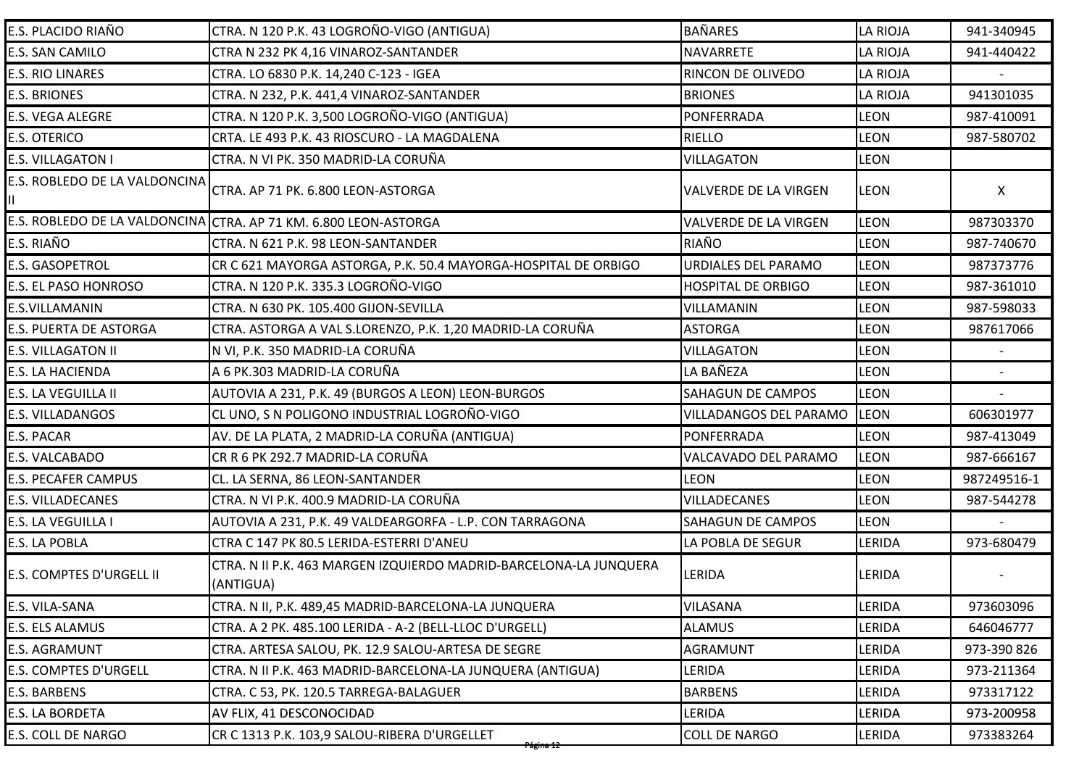| E.S. PLACIDO RIAÑO                  | CTRA. N 120 P.K. 43 LOGROÑO-VIGO (ANTIGUA)                                     | <b>BAÑARES</b>               | <b>LA RIOJA</b> | 941-340945  |
|-------------------------------------|--------------------------------------------------------------------------------|------------------------------|-----------------|-------------|
| E.S. SAN CAMILO                     | CTRA N 232 PK 4,16 VINAROZ-SANTANDER                                           | <b>NAVARRETE</b>             | <b>LA RIOJA</b> | 941-440422  |
| <b>E.S. RIO LINARES</b>             | CTRA. LO 6830 P.K. 14,240 C-123 - IGEA                                         | <b>RINCON DE OLIVEDO</b>     | <b>LA RIOJA</b> |             |
| <b>E.S. BRIONES</b>                 | CTRA. N 232, P.K. 441,4 VINAROZ-SANTANDER                                      | <b>BRIONES</b>               | <b>LA RIOJA</b> | 941301035   |
| E.S. VEGA ALEGRE                    | CTRA. N 120 P.K. 3,500 LOGROÑO-VIGO (ANTIGUA)                                  | PONFERRADA                   | <b>LEON</b>     | 987-410091  |
| <b>E.S. OTERICO</b>                 | CRTA. LE 493 P.K. 43 RIOSCURO - LA MAGDALENA                                   | <b>RIELLO</b>                | <b>LEON</b>     | 987-580702  |
| E.S. VILLAGATON I                   | CTRA. N VI PK. 350 MADRID-LA CORUÑA                                            | <b>VILLAGATON</b>            | <b>LEON</b>     |             |
| E.S. ROBLEDO DE LA VALDONCINA<br>Ш. | CTRA. AP 71 PK. 6.800 LEON-ASTORGA                                             | <b>VALVERDE DE LA VIRGEN</b> | <b>LEON</b>     | X.          |
|                                     | E.S. ROBLEDO DE LA VALDONCINA CTRA. AP 71 KM. 6.800 LEON-ASTORGA               | <b>VALVERDE DE LA VIRGEN</b> | <b>LEON</b>     | 987303370   |
| E.S. RIAÑO                          | CTRA. N 621 P.K. 98 LEON-SANTANDER                                             | RIAÑO                        | <b>LEON</b>     | 987-740670  |
| E.S. GASOPETROL                     | CR C 621 MAYORGA ASTORGA, P.K. 50.4 MAYORGA-HOSPITAL DE ORBIGO                 | URDIALES DEL PARAMO          | <b>LEON</b>     | 987373776   |
| E.S. EL PASO HONROSO                | CTRA. N 120 P.K. 335.3 LOGROÑO-VIGO                                            | <b>HOSPITAL DE ORBIGO</b>    | <b>LEON</b>     | 987-361010  |
| E.S.VILLAMANIN                      | CTRA. N 630 PK. 105.400 GIJON-SEVILLA                                          | VILLAMANIN                   | <b>LEON</b>     | 987-598033  |
| E.S. PUERTA DE ASTORGA              | CTRA. ASTORGA A VAL S.LORENZO, P.K. 1,20 MADRID-LA CORUÑA                      | <b>ASTORGA</b>               | <b>LEON</b>     | 987617066   |
| <b>E.S. VILLAGATON II</b>           | N VI, P.K. 350 MADRID-LA CORUÑA                                                | <b>VILLAGATON</b>            | <b>LEON</b>     |             |
| E.S. LA HACIENDA                    | A 6 PK.303 MADRID-LA CORUÑA                                                    | LA BAÑEZA                    | <b>LEON</b>     |             |
| E.S. LA VEGUILLA II                 | AUTOVIA A 231, P.K. 49 (BURGOS A LEON) LEON-BURGOS                             | <b>SAHAGUN DE CAMPOS</b>     | <b>LEON</b>     | $\sim$      |
| E.S. VILLADANGOS                    | CL UNO, S N POLIGONO INDUSTRIAL LOGROÑO-VIGO                                   | VILLADANGOS DEL PARAMO       | <b>LEON</b>     | 606301977   |
| E.S. PACAR                          | AV. DE LA PLATA, 2 MADRID-LA CORUÑA (ANTIGUA)                                  | <b>PONFERRADA</b>            | <b>LEON</b>     | 987-413049  |
| E.S. VALCABADO                      | CR R 6 PK 292.7 MADRID-LA CORUÑA                                               | VALCAVADO DEL PARAMO         | <b>LEON</b>     | 987-666167  |
| <b>E.S. PECAFER CAMPUS</b>          | CL. LA SERNA, 86 LEON-SANTANDER                                                | <b>LEON</b>                  | <b>LEON</b>     | 987249516-1 |
| <b>E.S. VILLADECANES</b>            | CTRA. N VI P.K. 400.9 MADRID-LA CORUÑA                                         | <b>VILLADECANES</b>          | <b>LEON</b>     | 987-544278  |
| E.S. LA VEGUILLA I                  | AUTOVIA A 231, P.K. 49 VALDEARGORFA - L.P. CON TARRAGONA                       | <b>SAHAGUN DE CAMPOS</b>     | <b>LEON</b>     |             |
| E.S. LA POBLA                       | CTRA C 147 PK 80.5 LERIDA-ESTERRI D'ANEU                                       | LA POBLA DE SEGUR            | <b>LERIDA</b>   | 973-680479  |
| E.S. COMPTES D'URGELL II            | CTRA. N II P.K. 463 MARGEN IZQUIERDO MADRID-BARCELONA-LA JUNQUERA<br>(ANTIGUA) | <b>LERIDA</b>                | <b>LERIDA</b>   |             |
| E.S. VILA-SANA                      | CTRA. N II, P.K. 489,45 MADRID-BARCELONA-LA JUNQUERA                           | <b>VILASANA</b>              | <b>LERIDA</b>   | 973603096   |
| E.S. ELS ALAMUS                     | CTRA. A 2 PK. 485.100 LERIDA - A-2 (BELL-LLOC D'URGELL)                        | <b>ALAMUS</b>                | LERIDA          | 646046777   |
| E.S. AGRAMUNT                       | CTRA. ARTESA SALOU, PK. 12.9 SALOU-ARTESA DE SEGRE                             | AGRAMUNT                     | <b>LERIDA</b>   | 973-390 826 |
| <b>E.S. COMPTES D'URGELL</b>        | CTRA. N II P.K. 463 MADRID-BARCELONA-LA JUNQUERA (ANTIGUA)                     | LERIDA                       | LERIDA          | 973-211364  |
| E.S. BARBENS                        | CTRA. C 53, PK. 120.5 TARREGA-BALAGUER                                         | <b>BARBENS</b>               | <b>LERIDA</b>   | 973317122   |
| <b>E.S. LA BORDETA</b>              | AV FLIX, 41 DESCONOCIDAD                                                       | LERIDA                       | LERIDA          | 973-200958  |
| E.S. COLL DE NARGO                  | CR C 1313 P.K. 103,9 SALOU-RIBERA D'URGELLET<br>Página 12                      | <b>COLL DE NARGO</b>         | LERIDA          | 973383264   |
|                                     |                                                                                |                              |                 |             |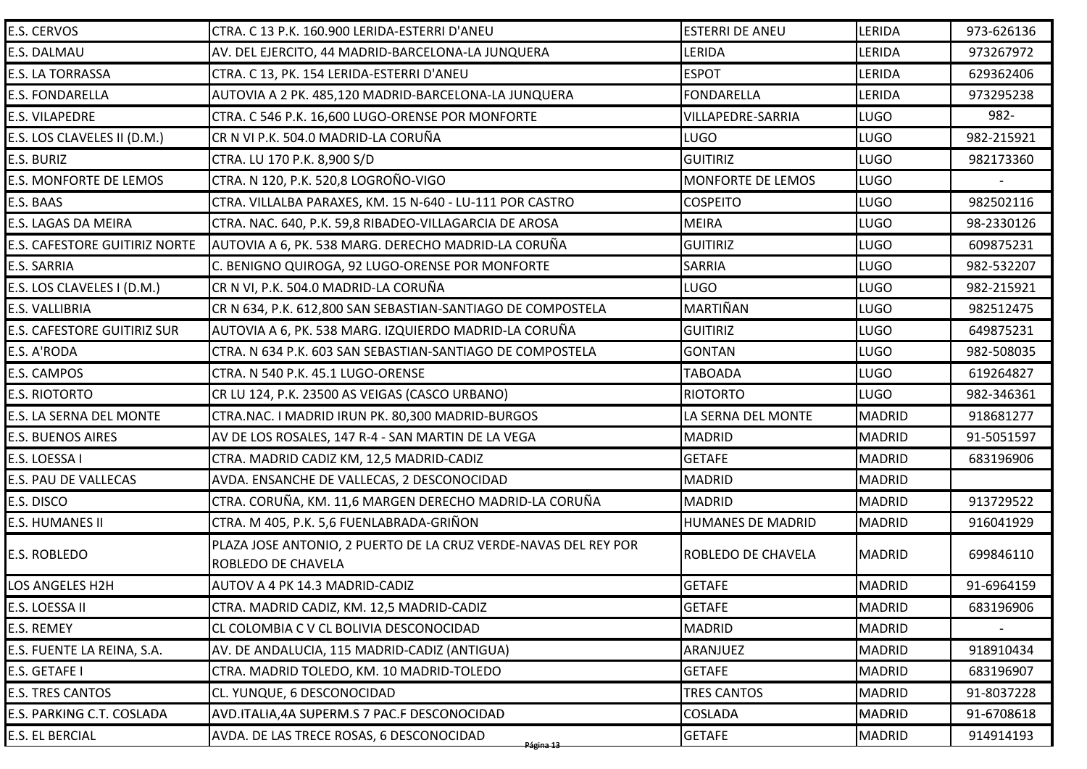| E.S. CERVOS                        | CTRA. C 13 P.K. 160.900 LERIDA-ESTERRI D'ANEU                                         | <b>ESTERRI DE ANEU</b>    | LERIDA        | 973-626136 |
|------------------------------------|---------------------------------------------------------------------------------------|---------------------------|---------------|------------|
| E.S. DALMAU                        | AV. DEL EJERCITO, 44 MADRID-BARCELONA-LA JUNQUERA                                     | LERIDA                    | LERIDA        | 973267972  |
| E.S. LA TORRASSA                   | CTRA. C 13, PK. 154 LERIDA-ESTERRI D'ANEU                                             | <b>ESPOT</b>              | LERIDA        | 629362406  |
| <b>E.S. FONDARELLA</b>             | AUTOVIA A 2 PK. 485,120 MADRID-BARCELONA-LA JUNQUERA                                  | <b>FONDARELLA</b>         | LERIDA        | 973295238  |
| <b>E.S. VILAPEDRE</b>              | CTRA. C 546 P.K. 16,600 LUGO-ORENSE POR MONFORTE                                      | <b>VILLAPEDRE-SARRIA</b>  | <b>LUGO</b>   | 982-       |
| E.S. LOS CLAVELES II (D.M.)        | CR N VI P.K. 504.0 MADRID-LA CORUÑA                                                   | <b>LUGO</b>               | <b>LUGO</b>   | 982-215921 |
| E.S. BURIZ                         | CTRA. LU 170 P.K. 8,900 S/D                                                           | <b>GUITIRIZ</b>           | <b>LUGO</b>   | 982173360  |
| E.S. MONFORTE DE LEMOS             | CTRA. N 120, P.K. 520,8 LOGROÑO-VIGO                                                  | MONFORTE DE LEMOS         | <b>LUGO</b>   |            |
| E.S. BAAS                          | CTRA. VILLALBA PARAXES, KM. 15 N-640 - LU-111 POR CASTRO                              | <b>COSPEITO</b>           | <b>LUGO</b>   | 982502116  |
| E.S. LAGAS DA MEIRA                | CTRA. NAC. 640, P.K. 59,8 RIBADEO-VILLAGARCIA DE AROSA                                | <b>MEIRA</b>              | <b>LUGO</b>   | 98-2330126 |
| E.S. CAFESTORE GUITIRIZ NORTE      | AUTOVIA A 6, PK. 538 MARG. DERECHO MADRID-LA CORUÑA                                   | <b>GUITIRIZ</b>           | <b>LUGO</b>   | 609875231  |
| E.S. SARRIA                        | C. BENIGNO QUIROGA, 92 LUGO-ORENSE POR MONFORTE                                       | <b>SARRIA</b>             | <b>LUGO</b>   | 982-532207 |
| E.S. LOS CLAVELES I (D.M.)         | CR N VI, P.K. 504.0 MADRID-LA CORUÑA                                                  | <b>LUGO</b>               | <b>LUGO</b>   | 982-215921 |
| E.S. VALLIBRIA                     | CR N 634, P.K. 612,800 SAN SEBASTIAN-SANTIAGO DE COMPOSTELA                           | MARTIÑAN                  | <b>LUGO</b>   | 982512475  |
| <b>E.S. CAFESTORE GUITIRIZ SUR</b> | AUTOVIA A 6, PK. 538 MARG. IZQUIERDO MADRID-LA CORUÑA                                 | <b>GUITIRIZ</b>           | <b>LUGO</b>   | 649875231  |
| E.S. A'RODA                        | CTRA. N 634 P.K. 603 SAN SEBASTIAN-SANTIAGO DE COMPOSTELA                             | <b>GONTAN</b>             | <b>LUGO</b>   | 982-508035 |
| E.S. CAMPOS                        | CTRA. N 540 P.K. 45.1 LUGO-ORENSE                                                     | <b>TABOADA</b>            | <b>LUGO</b>   | 619264827  |
| <b>E.S. RIOTORTO</b>               | CR LU 124, P.K. 23500 AS VEIGAS (CASCO URBANO)                                        | <b>RIOTORTO</b>           | LUGO          | 982-346361 |
| E.S. LA SERNA DEL MONTE            | CTRA.NAC. I MADRID IRUN PK. 80,300 MADRID-BURGOS                                      | LA SERNA DEL MONTE        | <b>MADRID</b> | 918681277  |
| <b>E.S. BUENOS AIRES</b>           | AV DE LOS ROSALES, 147 R-4 - SAN MARTIN DE LA VEGA                                    | <b>MADRID</b>             | <b>MADRID</b> | 91-5051597 |
| E.S. LOESSA I                      | CTRA. MADRID CADIZ KM, 12,5 MADRID-CADIZ                                              | <b>GETAFE</b>             | <b>MADRID</b> | 683196906  |
| E.S. PAU DE VALLECAS               | AVDA. ENSANCHE DE VALLECAS, 2 DESCONOCIDAD                                            | <b>MADRID</b>             | <b>MADRID</b> |            |
| E.S. DISCO                         | CTRA. CORUÑA, KM. 11,6 MARGEN DERECHO MADRID-LA CORUÑA                                | <b>MADRID</b>             | <b>MADRID</b> | 913729522  |
| E.S. HUMANES II                    | CTRA. M 405, P.K. 5,6 FUENLABRADA-GRIÑON                                              | <b>HUMANES DE MADRID</b>  | <b>MADRID</b> | 916041929  |
| E.S. ROBLEDO                       | PLAZA JOSE ANTONIO, 2 PUERTO DE LA CRUZ VERDE-NAVAS DEL REY POR<br>ROBLEDO DE CHAVELA | <b>ROBLEDO DE CHAVELA</b> | <b>MADRID</b> | 699846110  |
| LOS ANGELES H2H                    | AUTOV A 4 PK 14.3 MADRID-CADIZ                                                        | <b>GETAFE</b>             | <b>MADRID</b> | 91-6964159 |
| E.S. LOESSA II                     | CTRA. MADRID CADIZ, KM. 12,5 MADRID-CADIZ                                             | <b>GETAFE</b>             | <b>MADRID</b> | 683196906  |
| E.S. REMEY                         | CL COLOMBIA C V CL BOLIVIA DESCONOCIDAD                                               | <b>MADRID</b>             | <b>MADRID</b> |            |
| E.S. FUENTE LA REINA, S.A.         | AV. DE ANDALUCIA, 115 MADRID-CADIZ (ANTIGUA)                                          | ARANJUEZ                  | <b>MADRID</b> | 918910434  |
| E.S. GETAFE I                      | CTRA. MADRID TOLEDO, KM. 10 MADRID-TOLEDO                                             | <b>GETAFE</b>             | <b>MADRID</b> | 683196907  |
| <b>E.S. TRES CANTOS</b>            | CL. YUNQUE, 6 DESCONOCIDAD                                                            | <b>TRES CANTOS</b>        | <b>MADRID</b> | 91-8037228 |
| E.S. PARKING C.T. COSLADA          | AVD.ITALIA,4A SUPERM.S 7 PAC.F DESCONOCIDAD                                           | <b>COSLADA</b>            | <b>MADRID</b> | 91-6708618 |
| E.S. EL BERCIAL                    | AVDA. DE LAS TRECE ROSAS, 6 DESCONOCIDAD<br><del>Página 13</del>                      | <b>GETAFE</b>             | <b>MADRID</b> | 914914193  |
|                                    |                                                                                       |                           |               |            |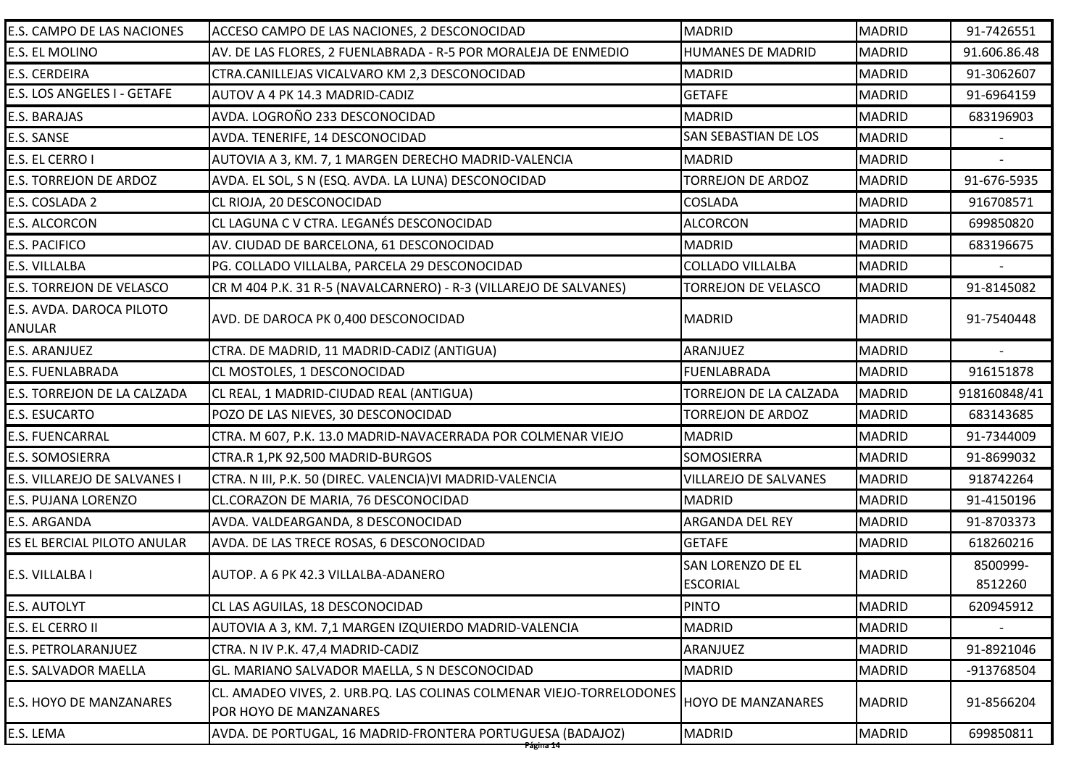| E.S. CAMPO DE LAS NACIONES         | ACCESO CAMPO DE LAS NACIONES, 2 DESCONOCIDAD                                                   | <b>MADRID</b>                 | <b>MADRID</b> | 91-7426551   |
|------------------------------------|------------------------------------------------------------------------------------------------|-------------------------------|---------------|--------------|
| E.S. EL MOLINO                     | AV. DE LAS FLORES, 2 FUENLABRADA - R-5 POR MORALEJA DE ENMEDIO                                 | <b>HUMANES DE MADRID</b>      | <b>MADRID</b> | 91.606.86.48 |
| E.S. CERDEIRA                      | CTRA.CANILLEJAS VICALVARO KM 2,3 DESCONOCIDAD                                                  | <b>MADRID</b>                 | <b>MADRID</b> | 91-3062607   |
| E.S. LOS ANGELES I - GETAFE        | AUTOV A 4 PK 14.3 MADRID-CADIZ                                                                 | <b>GETAFE</b>                 | <b>MADRID</b> | 91-6964159   |
| E.S. BARAJAS                       | AVDA. LOGROÑO 233 DESCONOCIDAD                                                                 | <b>MADRID</b>                 | <b>MADRID</b> | 683196903    |
| E.S. SANSE                         | AVDA. TENERIFE, 14 DESCONOCIDAD                                                                | SAN SEBASTIAN DE LOS          | <b>MADRID</b> |              |
| E.S. EL CERRO I                    | AUTOVIA A 3, KM. 7, 1 MARGEN DERECHO MADRID-VALENCIA                                           | <b>MADRID</b>                 | <b>MADRID</b> |              |
| <b>E.S. TORREJON DE ARDOZ</b>      | AVDA. EL SOL, S N (ESQ. AVDA. LA LUNA) DESCONOCIDAD                                            | <b>TORREJON DE ARDOZ</b>      | <b>MADRID</b> | 91-676-5935  |
| E.S. COSLADA 2                     | CL RIOJA, 20 DESCONOCIDAD                                                                      | <b>COSLADA</b>                | <b>MADRID</b> | 916708571    |
| <b>E.S. ALCORCON</b>               | CL LAGUNA C V CTRA. LEGANÉS DESCONOCIDAD                                                       | <b>ALCORCON</b>               | <b>MADRID</b> | 699850820    |
| <b>E.S. PACIFICO</b>               | AV. CIUDAD DE BARCELONA, 61 DESCONOCIDAD                                                       | <b>MADRID</b>                 | <b>MADRID</b> | 683196675    |
| E.S. VILLALBA                      | PG. COLLADO VILLALBA, PARCELA 29 DESCONOCIDAD                                                  | <b>COLLADO VILLALBA</b>       | <b>MADRID</b> |              |
| E.S. TORREJON DE VELASCO           | CR M 404 P.K. 31 R-5 (NAVALCARNERO) - R-3 (VILLAREJO DE SALVANES)                              | <b>TORREJON DE VELASCO</b>    | <b>MADRID</b> | 91-8145082   |
| E.S. AVDA. DAROCA PILOTO<br>ANULAR | AVD. DE DAROCA PK 0,400 DESCONOCIDAD                                                           | <b>MADRID</b>                 | <b>MADRID</b> | 91-7540448   |
| E.S. ARANJUEZ                      | CTRA. DE MADRID, 11 MADRID-CADIZ (ANTIGUA)                                                     | ARANJUEZ                      | <b>MADRID</b> |              |
| E.S. FUENLABRADA                   | CL MOSTOLES, 1 DESCONOCIDAD                                                                    | <b>FUENLABRADA</b>            | <b>MADRID</b> | 916151878    |
| E.S. TORREJON DE LA CALZADA        | CL REAL, 1 MADRID-CIUDAD REAL (ANTIGUA)                                                        | TORREJON DE LA CALZADA        | <b>MADRID</b> | 918160848/41 |
| E.S. ESUCARTO                      | POZO DE LAS NIEVES, 30 DESCONOCIDAD                                                            | <b>TORREJON DE ARDOZ</b>      | <b>MADRID</b> | 683143685    |
| <b>E.S. FUENCARRAL</b>             | CTRA. M 607, P.K. 13.0 MADRID-NAVACERRADA POR COLMENAR VIEJO                                   | <b>MADRID</b>                 | <b>MADRID</b> | 91-7344009   |
| <b>E.S. SOMOSIERRA</b>             | CTRA.R 1, PK 92,500 MADRID-BURGOS                                                              | <b>SOMOSIERRA</b>             | <b>MADRID</b> | 91-8699032   |
| E.S. VILLAREJO DE SALVANES I       | CTRA. N III, P.K. 50 (DIREC. VALENCIA)VI MADRID-VALENCIA                                       | <b>VILLAREJO DE SALVANES</b>  | <b>MADRID</b> | 918742264    |
| E.S. PUJANA LORENZO                | CL.CORAZON DE MARIA, 76 DESCONOCIDAD                                                           | <b>MADRID</b>                 | <b>MADRID</b> | 91-4150196   |
| E.S. ARGANDA                       | AVDA. VALDEARGANDA, 8 DESCONOCIDAD                                                             | ARGANDA DEL REY               | <b>MADRID</b> | 91-8703373   |
| ES EL BERCIAL PILOTO ANULAR        | AVDA. DE LAS TRECE ROSAS, 6 DESCONOCIDAD                                                       | <b>GETAFE</b>                 | <b>MADRID</b> | 618260216    |
| E.S. VILLALBA I                    | AUTOP. A 6 PK 42.3 VILLALBA-ADANERO                                                            | <b>SAN LORENZO DE EL</b>      | <b>MADRID</b> | 8500999-     |
|                                    |                                                                                                | <b>ESCORIAL</b>               |               | 8512260      |
| E.S. AUTOLYT                       | CL LAS AGUILAS, 18 DESCONOCIDAD                                                                | <b>PINTO</b><br><b>MADRID</b> | <b>MADRID</b> | 620945912    |
| E.S. EL CERRO II                   | AUTOVIA A 3, KM. 7,1 MARGEN IZQUIERDO MADRID-VALENCIA                                          |                               | <b>MADRID</b> |              |
| E.S. PETROLARANJUEZ                | CTRA. N IV P.K. 47,4 MADRID-CADIZ                                                              | ARANJUEZ                      | <b>MADRID</b> | 91-8921046   |
| E.S. SALVADOR MAELLA               | GL. MARIANO SALVADOR MAELLA, S N DESCONOCIDAD                                                  | <b>MADRID</b>                 | <b>MADRID</b> | -913768504   |
| E.S. HOYO DE MANZANARES            | CL. AMADEO VIVES, 2. URB.PQ. LAS COLINAS COLMENAR VIEJO-TORRELODONES<br>POR HOYO DE MANZANARES | <b>HOYO DE MANZANARES</b>     | <b>MADRID</b> | 91-8566204   |
| E.S. LEMA                          | AVDA. DE PORTUGAL, 16 MADRID-FRONTERA PORTUGUESA (BADAJOZ)                                     | <b>MADRID</b>                 | <b>MADRID</b> | 699850811    |
|                                    | Pagina 14                                                                                      |                               |               |              |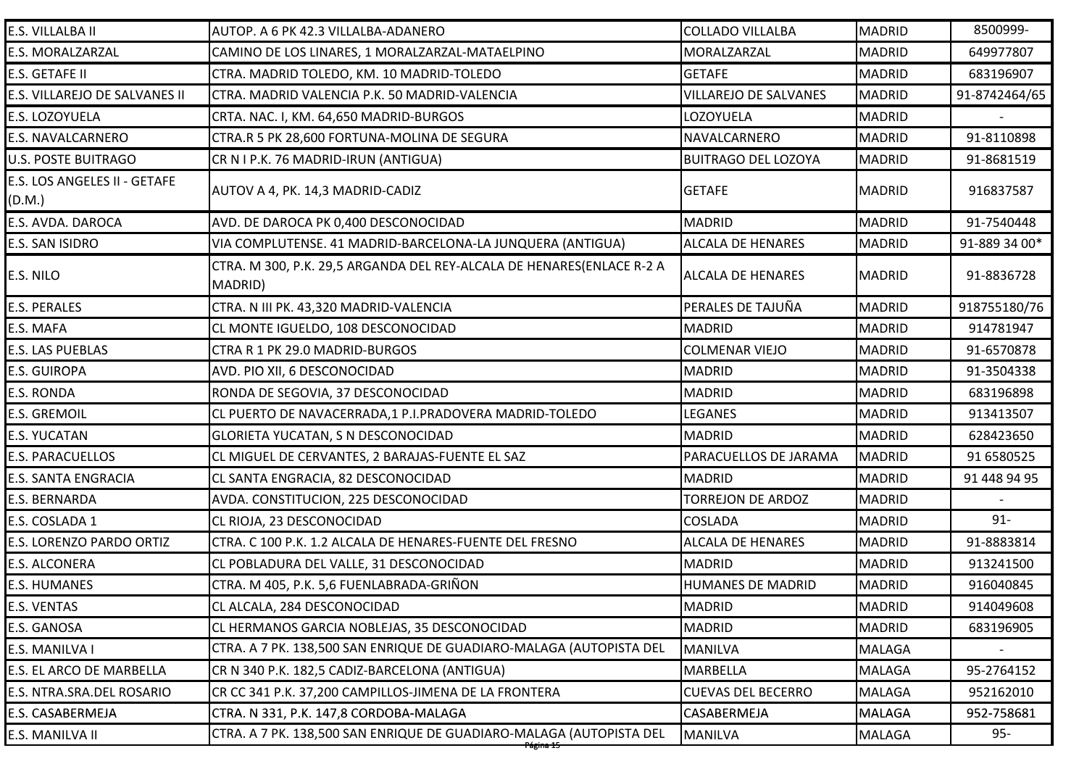| E.S. VILLALBA II                       | AUTOP. A 6 PK 42.3 VILLALBA-ADANERO                                              | <b>COLLADO VILLALBA</b>      | <b>MADRID</b> | 8500999-      |
|----------------------------------------|----------------------------------------------------------------------------------|------------------------------|---------------|---------------|
| E.S. MORALZARZAL                       | CAMINO DE LOS LINARES, 1 MORALZARZAL-MATAELPINO                                  | MORALZARZAL                  | <b>MADRID</b> | 649977807     |
| E.S. GETAFE II                         | CTRA. MADRID TOLEDO, KM. 10 MADRID-TOLEDO                                        | <b>GETAFE</b>                | <b>MADRID</b> | 683196907     |
| E.S. VILLAREJO DE SALVANES II          | CTRA. MADRID VALENCIA P.K. 50 MADRID-VALENCIA                                    | <b>VILLAREJO DE SALVANES</b> | <b>MADRID</b> | 91-8742464/65 |
| E.S. LOZOYUELA                         | CRTA. NAC. I, KM. 64,650 MADRID-BURGOS                                           | LOZOYUELA                    | <b>MADRID</b> |               |
| E.S. NAVALCARNERO                      | CTRA.R 5 PK 28,600 FORTUNA-MOLINA DE SEGURA                                      | NAVALCARNERO                 | <b>MADRID</b> | 91-8110898    |
| <b>U.S. POSTE BUITRAGO</b>             | CR N I P.K. 76 MADRID-IRUN (ANTIGUA)                                             | <b>BUITRAGO DEL LOZOYA</b>   | <b>MADRID</b> | 91-8681519    |
| E.S. LOS ANGELES II - GETAFE<br>(D.M.) | AUTOV A 4, PK. 14,3 MADRID-CADIZ                                                 | <b>GETAFE</b>                | <b>MADRID</b> | 916837587     |
| E.S. AVDA. DAROCA                      | AVD. DE DAROCA PK 0,400 DESCONOCIDAD                                             | <b>MADRID</b>                | <b>MADRID</b> | 91-7540448    |
| E.S. SAN ISIDRO                        | VIA COMPLUTENSE. 41 MADRID-BARCELONA-LA JUNQUERA (ANTIGUA)                       | <b>ALCALA DE HENARES</b>     | <b>MADRID</b> | 91-889 34 00* |
| E.S. NILO                              | CTRA. M 300, P.K. 29,5 ARGANDA DEL REY-ALCALA DE HENARES(ENLACE R-2 A<br>MADRID) | <b>ALCALA DE HENARES</b>     | <b>MADRID</b> | 91-8836728    |
| <b>E.S. PERALES</b>                    | CTRA. N III PK. 43,320 MADRID-VALENCIA                                           | PERALES DE TAJUÑA            | <b>MADRID</b> | 918755180/76  |
| E.S. MAFA                              | CL MONTE IGUELDO, 108 DESCONOCIDAD                                               | <b>MADRID</b>                | <b>MADRID</b> | 914781947     |
| E.S. LAS PUEBLAS                       | CTRA R 1 PK 29.0 MADRID-BURGOS                                                   | <b>COLMENAR VIEJO</b>        | <b>MADRID</b> | 91-6570878    |
| <b>E.S. GUIROPA</b>                    | AVD. PIO XII, 6 DESCONOCIDAD                                                     | <b>MADRID</b>                | <b>MADRID</b> | 91-3504338    |
| E.S. RONDA                             | RONDA DE SEGOVIA, 37 DESCONOCIDAD                                                | <b>MADRID</b>                | <b>MADRID</b> | 683196898     |
| <b>E.S. GREMOIL</b>                    | CL PUERTO DE NAVACERRADA, 1 P.I.PRADOVERA MADRID-TOLEDO                          | LEGANES                      | <b>MADRID</b> | 913413507     |
| <b>E.S. YUCATAN</b>                    | <b>GLORIETA YUCATAN, S N DESCONOCIDAD</b>                                        | <b>MADRID</b>                | <b>MADRID</b> | 628423650     |
| <b>E.S. PARACUELLOS</b>                | CL MIGUEL DE CERVANTES, 2 BARAJAS-FUENTE EL SAZ                                  | PARACUELLOS DE JARAMA        | <b>MADRID</b> | 91 6580525    |
| E.S. SANTA ENGRACIA                    | CL SANTA ENGRACIA, 82 DESCONOCIDAD                                               | <b>MADRID</b>                | <b>MADRID</b> | 91 448 94 95  |
| E.S. BERNARDA                          | AVDA. CONSTITUCION, 225 DESCONOCIDAD                                             | <b>TORREJON DE ARDOZ</b>     | <b>MADRID</b> |               |
| E.S. COSLADA 1                         | CL RIOJA, 23 DESCONOCIDAD                                                        | <b>COSLADA</b>               | <b>MADRID</b> | $91 -$        |
| E.S. LORENZO PARDO ORTIZ               | CTRA. C 100 P.K. 1.2 ALCALA DE HENARES-FUENTE DEL FRESNO                         | <b>ALCALA DE HENARES</b>     | <b>MADRID</b> | 91-8883814    |
| <b>E.S. ALCONERA</b>                   | CL POBLADURA DEL VALLE, 31 DESCONOCIDAD                                          | <b>MADRID</b>                | <b>MADRID</b> | 913241500     |
| <b>E.S. HUMANES</b>                    | CTRA. M 405, P.K. 5,6 FUENLABRADA-GRIÑON                                         | <b>HUMANES DE MADRID</b>     | <b>MADRID</b> | 916040845     |
| E.S. VENTAS                            | CL ALCALA, 284 DESCONOCIDAD                                                      | <b>MADRID</b>                | <b>MADRID</b> | 914049608     |
| E.S. GANOSA                            | CL HERMANOS GARCIA NOBLEJAS, 35 DESCONOCIDAD                                     | <b>MADRID</b>                | <b>MADRID</b> | 683196905     |
| E.S. MANILVA I                         | CTRA. A 7 PK. 138,500 SAN ENRIQUE DE GUADIARO-MALAGA (AUTOPISTA DEL              | <b>MANILVA</b>               | <b>MALAGA</b> |               |
| E.S. EL ARCO DE MARBELLA               | CR N 340 P.K. 182,5 CADIZ-BARCELONA (ANTIGUA)                                    | <b>MARBELLA</b>              | <b>MALAGA</b> | 95-2764152    |
| E.S. NTRA.SRA.DEL ROSARIO              | CR CC 341 P.K. 37,200 CAMPILLOS-JIMENA DE LA FRONTERA                            | <b>CUEVAS DEL BECERRO</b>    | <b>MALAGA</b> | 952162010     |
| E.S. CASABERMEJA                       | CTRA. N 331, P.K. 147,8 CORDOBA-MALAGA                                           | CASABERMEJA                  | <b>MALAGA</b> | 952-758681    |
| E.S. MANILVA II                        | CTRA. A 7 PK. 138,500 SAN ENRIQUE DE GUADIARO-MALAGA (AUTOPISTA DEL              | <b>MANILVA</b>               | <b>MALAGA</b> | $95 -$        |
|                                        |                                                                                  |                              |               |               |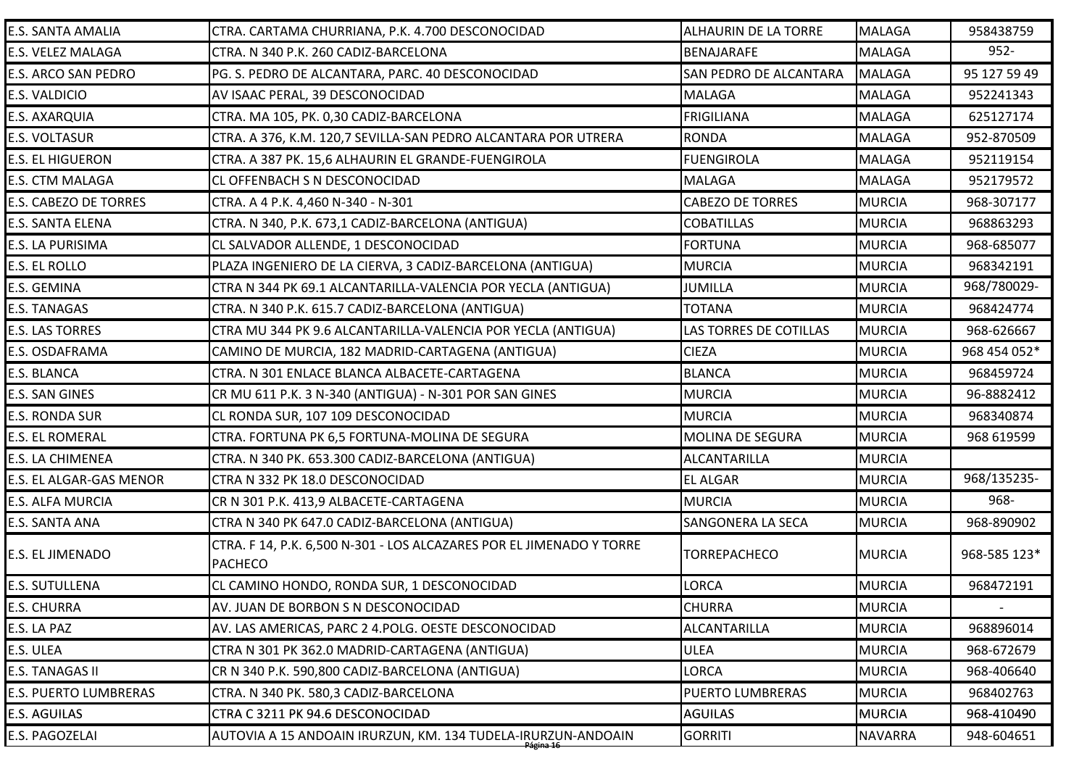| <b>E.S. SANTA AMALIA</b>     | CTRA. CARTAMA CHURRIANA, P.K. 4.700 DESCONOCIDAD                                       | <b>ALHAURIN DE LA TORRE</b> | <b>MALAGA</b>  | 958438759    |
|------------------------------|----------------------------------------------------------------------------------------|-----------------------------|----------------|--------------|
| E.S. VELEZ MALAGA            | CTRA. N 340 P.K. 260 CADIZ-BARCELONA                                                   | BENAJARAFE                  | <b>MALAGA</b>  | $952 -$      |
| E.S. ARCO SAN PEDRO          | PG. S. PEDRO DE ALCANTARA, PARC. 40 DESCONOCIDAD                                       | SAN PEDRO DE ALCANTARA      | <b>MALAGA</b>  | 95 127 59 49 |
| E.S. VALDICIO                | AV ISAAC PERAL, 39 DESCONOCIDAD                                                        | <b>MALAGA</b>               | <b>MALAGA</b>  | 952241343    |
| E.S. AXARQUIA                | CTRA. MA 105, PK. 0,30 CADIZ-BARCELONA                                                 | <b>FRIGILIANA</b>           | <b>MALAGA</b>  | 625127174    |
| <b>E.S. VOLTASUR</b>         | CTRA. A 376, K.M. 120,7 SEVILLA-SAN PEDRO ALCANTARA POR UTRERA                         | <b>RONDA</b>                | <b>MALAGA</b>  | 952-870509   |
| <b>E.S. EL HIGUERON</b>      | CTRA. A 387 PK. 15,6 ALHAURIN EL GRANDE-FUENGIROLA                                     | <b>FUENGIROLA</b>           | <b>MALAGA</b>  | 952119154    |
| E.S. CTM MALAGA              | <b>CL OFFENBACH S N DESCONOCIDAD</b>                                                   | MALAGA                      | <b>MALAGA</b>  | 952179572    |
| <b>E.S. CABEZO DE TORRES</b> | CTRA. A 4 P.K. 4,460 N-340 - N-301                                                     | <b>CABEZO DE TORRES</b>     | <b>MURCIA</b>  | 968-307177   |
| E.S. SANTA ELENA             | CTRA. N 340, P.K. 673,1 CADIZ-BARCELONA (ANTIGUA)                                      | <b>COBATILLAS</b>           | <b>MURCIA</b>  | 968863293    |
| E.S. LA PURISIMA             | CL SALVADOR ALLENDE, 1 DESCONOCIDAD                                                    | <b>FORTUNA</b>              | <b>MURCIA</b>  | 968-685077   |
| E.S. EL ROLLO                | PLAZA INGENIERO DE LA CIERVA, 3 CADIZ-BARCELONA (ANTIGUA)                              | <b>MURCIA</b>               | <b>MURCIA</b>  | 968342191    |
| E.S. GEMINA                  | CTRA N 344 PK 69.1 ALCANTARILLA-VALENCIA POR YECLA (ANTIGUA)                           | JUMILLA                     | <b>MURCIA</b>  | 968/780029-  |
| <b>E.S. TANAGAS</b>          | CTRA. N 340 P.K. 615.7 CADIZ-BARCELONA (ANTIGUA)                                       | <b>TOTANA</b>               | <b>MURCIA</b>  | 968424774    |
| <b>E.S. LAS TORRES</b>       | CTRA MU 344 PK 9.6 ALCANTARILLA-VALENCIA POR YECLA (ANTIGUA)                           | LAS TORRES DE COTILLAS      | <b>MURCIA</b>  | 968-626667   |
| E.S. OSDAFRAMA               | CAMINO DE MURCIA, 182 MADRID-CARTAGENA (ANTIGUA)                                       | <b>CIEZA</b>                | <b>MURCIA</b>  | 968 454 052* |
| E.S. BLANCA                  | CTRA. N 301 ENLACE BLANCA ALBACETE-CARTAGENA                                           | <b>BLANCA</b>               | <b>MURCIA</b>  | 968459724    |
| E.S. SAN GINES               | CR MU 611 P.K. 3 N-340 (ANTIGUA) - N-301 POR SAN GINES                                 | <b>MURCIA</b>               | <b>MURCIA</b>  | 96-8882412   |
| E.S. RONDA SUR               | CL RONDA SUR, 107 109 DESCONOCIDAD                                                     | <b>MURCIA</b>               | <b>MURCIA</b>  | 968340874    |
| <b>E.S. EL ROMERAL</b>       | CTRA. FORTUNA PK 6,5 FORTUNA-MOLINA DE SEGURA                                          | <b>MOLINA DE SEGURA</b>     | <b>MURCIA</b>  | 968 619599   |
| E.S. LA CHIMENEA             | CTRA. N 340 PK. 653.300 CADIZ-BARCELONA (ANTIGUA)                                      | <b>ALCANTARILLA</b>         | <b>MURCIA</b>  |              |
| E.S. EL ALGAR-GAS MENOR      | CTRA N 332 PK 18.0 DESCONOCIDAD                                                        | <b>EL ALGAR</b>             | <b>MURCIA</b>  | 968/135235-  |
| E.S. ALFA MURCIA             | CR N 301 P.K. 413,9 ALBACETE-CARTAGENA                                                 | <b>MURCIA</b>               | <b>MURCIA</b>  | 968-         |
| E.S. SANTA ANA               | CTRA N 340 PK 647.0 CADIZ-BARCELONA (ANTIGUA)                                          | SANGONERA LA SECA           | <b>MURCIA</b>  | 968-890902   |
| E.S. EL JIMENADO             | CTRA. F 14, P.K. 6,500 N-301 - LOS ALCAZARES POR EL JIMENADO Y TORRE<br><b>PACHECO</b> | <b>TORREPACHECO</b>         | <b>MURCIA</b>  | 968-585 123* |
| <b>E.S. SUTULLENA</b>        | CL CAMINO HONDO, RONDA SUR, 1 DESCONOCIDAD                                             | LORCA                       | <b>MURCIA</b>  | 968472191    |
| <b>E.S. CHURRA</b>           | AV. JUAN DE BORBON S N DESCONOCIDAD                                                    | <b>CHURRA</b>               | <b>MURCIA</b>  |              |
| E.S. LA PAZ                  | AV. LAS AMERICAS, PARC 2 4. POLG. OESTE DESCONOCIDAD                                   | <b>ALCANTARILLA</b>         | <b>MURCIA</b>  | 968896014    |
| E.S. ULEA                    | CTRA N 301 PK 362.0 MADRID-CARTAGENA (ANTIGUA)                                         | <b>ULEA</b>                 | <b>MURCIA</b>  | 968-672679   |
| E.S. TANAGAS II              | CR N 340 P.K. 590,800 CADIZ-BARCELONA (ANTIGUA)                                        | LORCA                       | <b>MURCIA</b>  | 968-406640   |
| <b>E.S. PUERTO LUMBRERAS</b> | CTRA. N 340 PK. 580,3 CADIZ-BARCELONA                                                  | PUERTO LUMBRERAS            | <b>MURCIA</b>  | 968402763    |
| <b>E.S. AGUILAS</b>          | CTRA C 3211 PK 94.6 DESCONOCIDAD                                                       | <b>AGUILAS</b>              | <b>MURCIA</b>  | 968-410490   |
| E.S. PAGOZELAI               | AUTOVIA A 15 ANDOAIN IRURZUN, KM. 134 TUDELA-IRURZUN-ANDOAIN                           | <b>GORRITI</b>              | <b>NAVARRA</b> | 948-604651   |
|                              | <del>Página 16-</del>                                                                  |                             |                |              |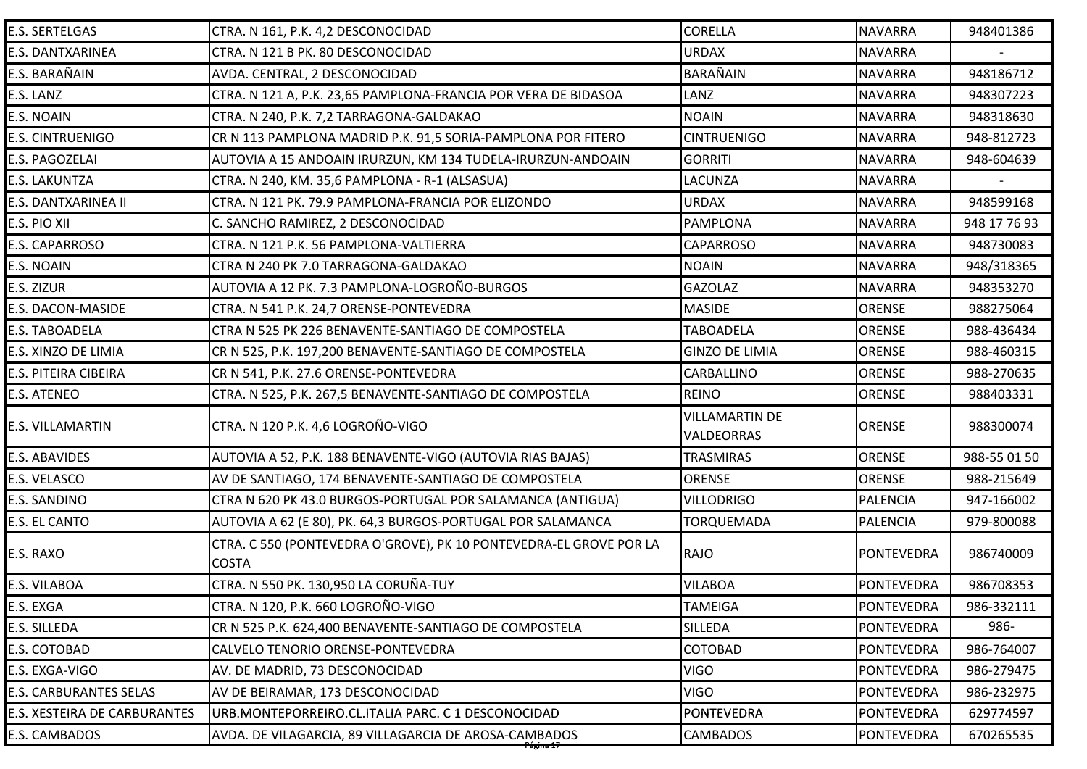| <b>E.S. SERTELGAS</b>               | CTRA. N 161, P.K. 4,2 DESCONOCIDAD                                                 | <b>CORELLA</b>                             | <b>NAVARRA</b>    | 948401386    |
|-------------------------------------|------------------------------------------------------------------------------------|--------------------------------------------|-------------------|--------------|
| E.S. DANTXARINEA                    | CTRA. N 121 B PK. 80 DESCONOCIDAD                                                  | <b>URDAX</b>                               | <b>NAVARRA</b>    |              |
| E.S. BARAÑAIN                       | AVDA. CENTRAL, 2 DESCONOCIDAD                                                      | <b>BARAÑAIN</b>                            | <b>NAVARRA</b>    | 948186712    |
| E.S. LANZ                           | CTRA. N 121 A, P.K. 23,65 PAMPLONA-FRANCIA POR VERA DE BIDASOA                     | LANZ                                       | <b>NAVARRA</b>    | 948307223    |
| E.S. NOAIN                          | CTRA. N 240, P.K. 7,2 TARRAGONA-GALDAKAO                                           | <b>NOAIN</b>                               | <b>NAVARRA</b>    | 948318630    |
| <b>E.S. CINTRUENIGO</b>             | CR N 113 PAMPLONA MADRID P.K. 91,5 SORIA-PAMPLONA POR FITERO                       | <b>CINTRUENIGO</b>                         | <b>NAVARRA</b>    | 948-812723   |
| E.S. PAGOZELAI                      | AUTOVIA A 15 ANDOAIN IRURZUN, KM 134 TUDELA-IRURZUN-ANDOAIN                        | <b>GORRITI</b>                             | <b>NAVARRA</b>    | 948-604639   |
| E.S. LAKUNTZA                       | CTRA. N 240, KM. 35,6 PAMPLONA - R-1 (ALSASUA)                                     | <b>LACUNZA</b>                             | <b>NAVARRA</b>    |              |
| E.S. DANTXARINEA II                 | CTRA. N 121 PK. 79.9 PAMPLONA-FRANCIA POR ELIZONDO                                 | <b>URDAX</b>                               | <b>NAVARRA</b>    | 948599168    |
| E.S. PIO XII                        | C. SANCHO RAMIREZ, 2 DESCONOCIDAD                                                  | <b>PAMPLONA</b>                            | <b>NAVARRA</b>    | 948 17 76 93 |
| E.S. CAPARROSO                      | CTRA. N 121 P.K. 56 PAMPLONA-VALTIERRA                                             | <b>CAPARROSO</b>                           | <b>NAVARRA</b>    | 948730083    |
| E.S. NOAIN                          | CTRA N 240 PK 7.0 TARRAGONA-GALDAKAO                                               | <b>NOAIN</b>                               | <b>NAVARRA</b>    | 948/318365   |
| E.S. ZIZUR                          | AUTOVIA A 12 PK. 7.3 PAMPLONA-LOGROÑO-BURGOS                                       | <b>GAZOLAZ</b>                             | <b>NAVARRA</b>    | 948353270    |
| E.S. DACON-MASIDE                   | CTRA. N 541 P.K. 24,7 ORENSE-PONTEVEDRA                                            | <b>MASIDE</b>                              | <b>ORENSE</b>     | 988275064    |
| <b>E.S. TABOADELA</b>               | CTRA N 525 PK 226 BENAVENTE-SANTIAGO DE COMPOSTELA                                 | <b>TABOADELA</b>                           | <b>ORENSE</b>     | 988-436434   |
| E.S. XINZO DE LIMIA                 | CR N 525, P.K. 197,200 BENAVENTE-SANTIAGO DE COMPOSTELA                            | <b>GINZO DE LIMIA</b>                      | <b>ORENSE</b>     | 988-460315   |
| E.S. PITEIRA CIBEIRA                | CR N 541, P.K. 27.6 ORENSE-PONTEVEDRA                                              | <b>CARBALLINO</b>                          | <b>ORENSE</b>     | 988-270635   |
| E.S. ATENEO                         | CTRA. N 525, P.K. 267,5 BENAVENTE-SANTIAGO DE COMPOSTELA                           | <b>REINO</b>                               | <b>ORENSE</b>     | 988403331    |
| E.S. VILLAMARTIN                    | CTRA. N 120 P.K. 4,6 LOGROÑO-VIGO                                                  | <b>VILLAMARTIN DE</b><br><b>VALDEORRAS</b> | <b>ORENSE</b>     | 988300074    |
| <b>E.S. ABAVIDES</b>                | AUTOVIA A 52, P.K. 188 BENAVENTE-VIGO (AUTOVIA RIAS BAJAS)                         | <b>TRASMIRAS</b>                           | <b>ORENSE</b>     | 988-55 01 50 |
| E.S. VELASCO                        | AV DE SANTIAGO, 174 BENAVENTE-SANTIAGO DE COMPOSTELA                               | <b>ORENSE</b>                              | <b>ORENSE</b>     | 988-215649   |
| E.S. SANDINO                        | CTRA N 620 PK 43.0 BURGOS-PORTUGAL POR SALAMANCA (ANTIGUA)                         | <b>VILLODRIGO</b>                          | <b>PALENCIA</b>   | 947-166002   |
| E.S. EL CANTO                       | AUTOVIA A 62 (E 80), PK. 64,3 BURGOS-PORTUGAL POR SALAMANCA                        | <b>TORQUEMADA</b>                          | PALENCIA          | 979-800088   |
| E.S. RAXO                           | CTRA. C 550 (PONTEVEDRA O'GROVE), PK 10 PONTEVEDRA-EL GROVE POR LA<br><b>COSTA</b> | RAJO                                       | <b>PONTEVEDRA</b> | 986740009    |
| E.S. VILABOA                        | CTRA. N 550 PK. 130,950 LA CORUÑA-TUY                                              | <b>VILABOA</b>                             | <b>PONTEVEDRA</b> | 986708353    |
| E.S. EXGA                           | CTRA. N 120, P.K. 660 LOGROÑO-VIGO                                                 | <b>TAMEIGA</b>                             | PONTEVEDRA        | 986-332111   |
| E.S. SILLEDA                        | CR N 525 P.K. 624,400 BENAVENTE-SANTIAGO DE COMPOSTELA                             | <b>SILLEDA</b>                             | <b>PONTEVEDRA</b> | 986-         |
| E.S. COTOBAD                        | CALVELO TENORIO ORENSE-PONTEVEDRA                                                  | <b>COTOBAD</b>                             | <b>PONTEVEDRA</b> | 986-764007   |
| E.S. EXGA-VIGO                      | AV. DE MADRID, 73 DESCONOCIDAD                                                     | <b>VIGO</b>                                | <b>PONTEVEDRA</b> | 986-279475   |
| <b>E.S. CARBURANTES SELAS</b>       | AV DE BEIRAMAR, 173 DESCONOCIDAD                                                   | <b>VIGO</b>                                | <b>PONTEVEDRA</b> | 986-232975   |
| <b>E.S. XESTEIRA DE CARBURANTES</b> |                                                                                    |                                            |                   |              |
|                                     | URB.MONTEPORREIRO.CL.ITALIA PARC. C 1 DESCONOCIDAD                                 | PONTEVEDRA                                 | PONTEVEDRA        | 629774597    |
| E.S. CAMBADOS                       | AVDA. DE VILAGARCIA, 89 VILLAGARCIA DE AROSA-CAMBADOS                              | <b>CAMBADOS</b>                            | <b>PONTEVEDRA</b> | 670265535    |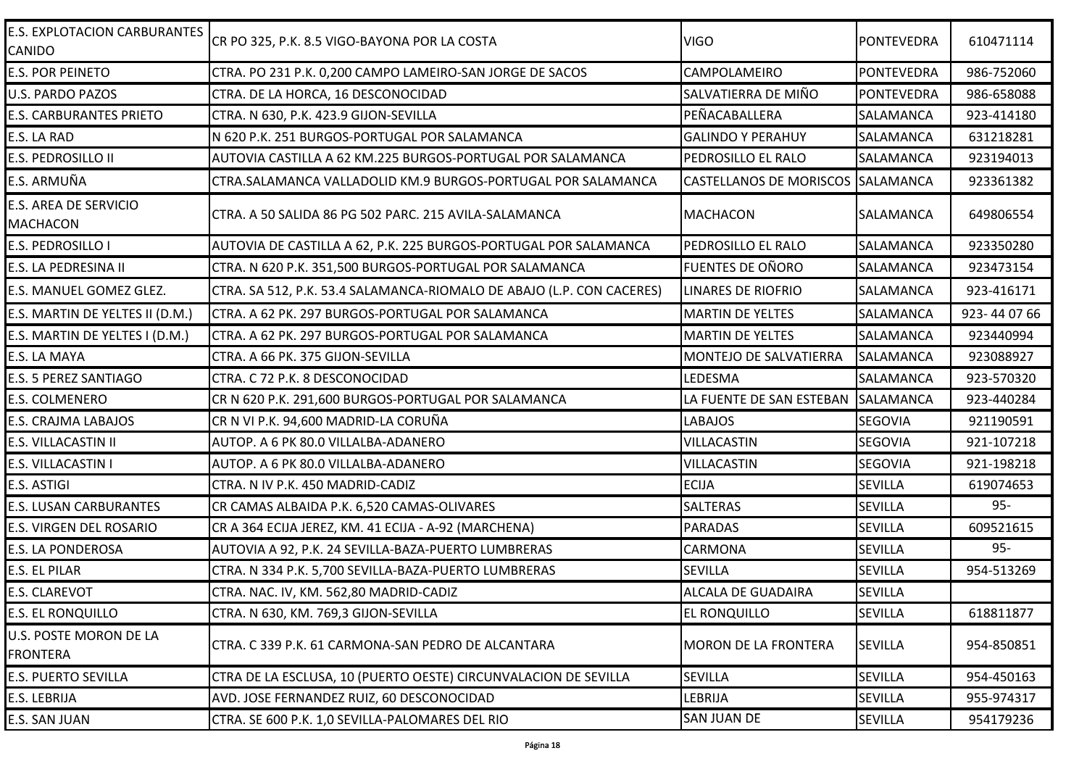| <b>E.S. EXPLOTACION CARBURANTES</b><br><b>CANIDO</b> | CR PO 325, P.K. 8.5 VIGO-BAYONA POR LA COSTA                          | <b>VIGO</b>                        | <b>PONTEVEDRA</b> | 610471114  |
|------------------------------------------------------|-----------------------------------------------------------------------|------------------------------------|-------------------|------------|
| <b>E.S. POR PEINETO</b>                              | CTRA. PO 231 P.K. 0,200 CAMPO LAMEIRO-SAN JORGE DE SACOS              | CAMPOLAMEIRO                       | PONTEVEDRA        | 986-752060 |
| <b>U.S. PARDO PAZOS</b>                              | CTRA. DE LA HORCA, 16 DESCONOCIDAD                                    | SALVATIERRA DE MIÑO                | PONTEVEDRA        | 986-658088 |
| <b>E.S. CARBURANTES PRIETO</b>                       | CTRA. N 630, P.K. 423.9 GIJON-SEVILLA                                 | PEÑACABALLERA                      | <b>SALAMANCA</b>  | 923-414180 |
| E.S. LA RAD                                          | N 620 P.K. 251 BURGOS-PORTUGAL POR SALAMANCA                          | <b>GALINDO Y PERAHUY</b>           | SALAMANCA         | 631218281  |
| E.S. PEDROSILLO II                                   | AUTOVIA CASTILLA A 62 KM.225 BURGOS-PORTUGAL POR SALAMANCA            | PEDROSILLO EL RALO                 | SALAMANCA         | 923194013  |
| E.S. ARMUÑA                                          | CTRA.SALAMANCA VALLADOLID KM.9 BURGOS-PORTUGAL POR SALAMANCA          | CASTELLANOS DE MORISCOS SALAMANCA  |                   | 923361382  |
| <b>E.S. AREA DE SERVICIO</b><br><b>MACHACON</b>      | CTRA. A 50 SALIDA 86 PG 502 PARC. 215 AVILA-SALAMANCA                 | <b>MACHACON</b>                    | <b>SALAMANCA</b>  | 649806554  |
| <b>E.S. PEDROSILLO I</b>                             | AUTOVIA DE CASTILLA A 62, P.K. 225 BURGOS-PORTUGAL POR SALAMANCA      | <b>PEDROSILLO EL RALO</b>          | SALAMANCA         | 923350280  |
| E.S. LA PEDRESINA II                                 | CTRA. N 620 P.K. 351,500 BURGOS-PORTUGAL POR SALAMANCA                | <b>FUENTES DE OÑORO</b>            | SALAMANCA         | 923473154  |
| E.S. MANUEL GOMEZ GLEZ.                              | CTRA. SA 512, P.K. 53.4 SALAMANCA-RIOMALO DE ABAJO (L.P. CON CACERES) | <b>LINARES DE RIOFRIO</b>          | <b>SALAMANCA</b>  | 923-416171 |
| E.S. MARTIN DE YELTES II (D.M.)                      | CTRA. A 62 PK. 297 BURGOS-PORTUGAL POR SALAMANCA                      | <b>MARTIN DE YELTES</b>            | <b>SALAMANCA</b>  | 923-440766 |
| E.S. MARTIN DE YELTES I (D.M.)                       | CTRA. A 62 PK. 297 BURGOS-PORTUGAL POR SALAMANCA                      | <b>MARTIN DE YELTES</b>            | <b>SALAMANCA</b>  | 923440994  |
| E.S. LA MAYA                                         | CTRA. A 66 PK. 375 GIJON-SEVILLA                                      | MONTEJO DE SALVATIERRA             | <b>SALAMANCA</b>  | 923088927  |
| <b>E.S. 5 PEREZ SANTIAGO</b>                         | CTRA. C 72 P.K. 8 DESCONOCIDAD                                        | LEDESMA                            | <b>SALAMANCA</b>  | 923-570320 |
| <b>E.S. COLMENERO</b>                                | CR N 620 P.K. 291,600 BURGOS-PORTUGAL POR SALAMANCA                   | LA FUENTE DE SAN ESTEBAN SALAMANCA |                   | 923-440284 |
| <b>E.S. CRAJMA LABAJOS</b>                           | CR N VI P.K. 94,600 MADRID-LA CORUÑA                                  | <b>LABAJOS</b>                     | <b>SEGOVIA</b>    | 921190591  |
| <b>E.S. VILLACASTIN II</b>                           | AUTOP. A 6 PK 80.0 VILLALBA-ADANERO                                   | <b>VILLACASTIN</b>                 | <b>SEGOVIA</b>    | 921-107218 |
| E.S. VILLACASTIN I                                   | AUTOP. A 6 PK 80.0 VILLALBA-ADANERO                                   | <b>VILLACASTIN</b>                 | <b>SEGOVIA</b>    | 921-198218 |
| E.S. ASTIGI                                          | CTRA. N IV P.K. 450 MADRID-CADIZ                                      | <b>ECIJA</b>                       | <b>SEVILLA</b>    | 619074653  |
| <b>E.S. LUSAN CARBURANTES</b>                        | CR CAMAS ALBAIDA P.K. 6,520 CAMAS-OLIVARES                            | <b>SALTERAS</b>                    | <b>SEVILLA</b>    | $95 -$     |
| <b>E.S. VIRGEN DEL ROSARIO</b>                       | CR A 364 ECIJA JEREZ, KM. 41 ECIJA - A-92 (MARCHENA)                  | <b>PARADAS</b>                     | <b>SEVILLA</b>    | 609521615  |
| <b>E.S. LA PONDEROSA</b>                             | AUTOVIA A 92, P.K. 24 SEVILLA-BAZA-PUERTO LUMBRERAS                   | CARMONA                            | <b>SEVILLA</b>    | $95 -$     |
| E.S. EL PILAR                                        | CTRA. N 334 P.K. 5,700 SEVILLA-BAZA-PUERTO LUMBRERAS                  | <b>SEVILLA</b>                     | <b>SEVILLA</b>    | 954-513269 |
| <b>E.S. CLAREVOT</b>                                 | CTRA. NAC. IV, KM. 562,80 MADRID-CADIZ                                | <b>ALCALA DE GUADAIRA</b>          | <b>SEVILLA</b>    |            |
| <b>E.S. EL RONQUILLO</b>                             | CTRA. N 630, KM. 769,3 GIJON-SEVILLA                                  | <b>EL RONQUILLO</b>                | <b>SEVILLA</b>    | 618811877  |
| U.S. POSTE MORON DE LA<br><b>FRONTERA</b>            | CTRA. C 339 P.K. 61 CARMONA-SAN PEDRO DE ALCANTARA                    | <b>MORON DE LA FRONTERA</b>        | <b>SEVILLA</b>    | 954-850851 |
| <b>E.S. PUERTO SEVILLA</b>                           | CTRA DE LA ESCLUSA, 10 (PUERTO OESTE) CIRCUNVALACION DE SEVILLA       | <b>SEVILLA</b>                     | <b>SEVILLA</b>    | 954-450163 |
| E.S. LEBRIJA                                         | AVD. JOSE FERNANDEZ RUIZ, 60 DESCONOCIDAD                             | LEBRIJA                            | <b>SEVILLA</b>    | 955-974317 |
| E.S. SAN JUAN                                        | CTRA. SE 600 P.K. 1,0 SEVILLA-PALOMARES DEL RIO                       | <b>SAN JUAN DE</b>                 | <b>SEVILLA</b>    | 954179236  |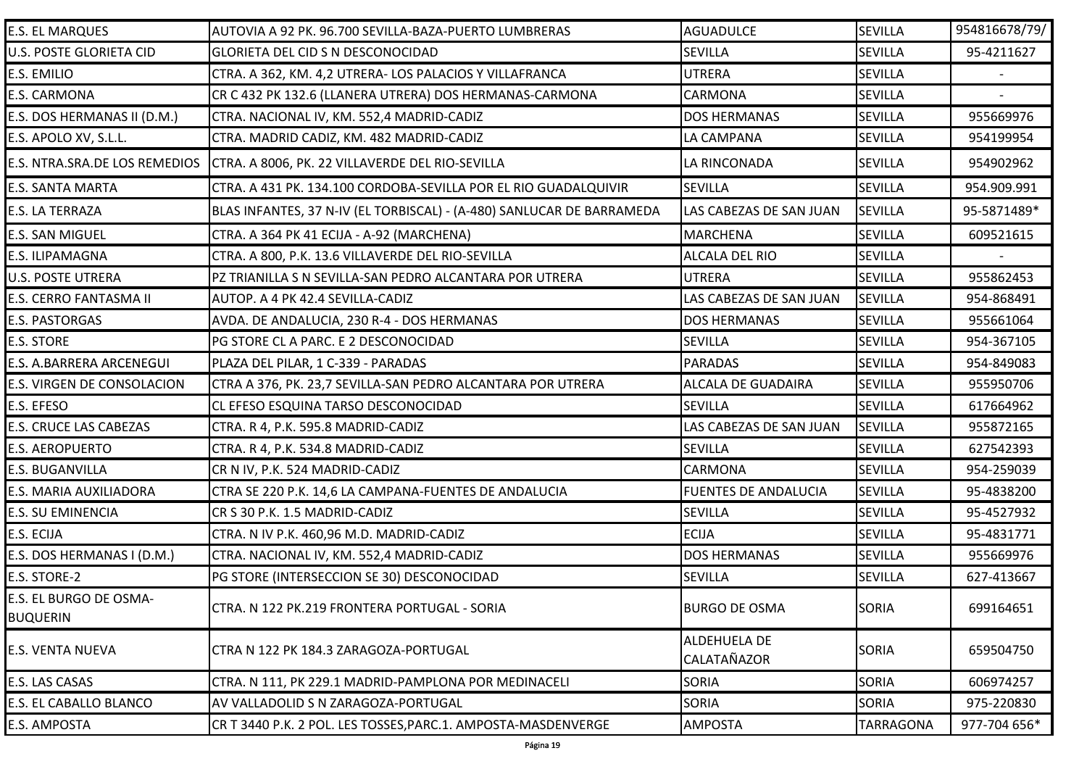| <b>E.S. EL MARQUES</b>                    | AUTOVIA A 92 PK. 96.700 SEVILLA-BAZA-PUERTO LUMBRERAS                 | <b>AGUADULCE</b>            | <b>SEVILLA</b>   | 954816678/79/ |
|-------------------------------------------|-----------------------------------------------------------------------|-----------------------------|------------------|---------------|
| U.S. POSTE GLORIETA CID                   | <b>GLORIETA DEL CID S N DESCONOCIDAD</b>                              | <b>SEVILLA</b>              | <b>SEVILLA</b>   | 95-4211627    |
| E.S. EMILIO                               | CTRA. A 362, KM. 4,2 UTRERA- LOS PALACIOS Y VILLAFRANCA               | <b>UTRERA</b>               | <b>SEVILLA</b>   |               |
| E.S. CARMONA                              | CR C 432 PK 132.6 (LLANERA UTRERA) DOS HERMANAS-CARMONA               | CARMONA                     | <b>SEVILLA</b>   |               |
| E.S. DOS HERMANAS II (D.M.)               | CTRA. NACIONAL IV, KM. 552,4 MADRID-CADIZ                             | <b>DOS HERMANAS</b>         | <b>SEVILLA</b>   | 955669976     |
| E.S. APOLO XV, S.L.L.                     | CTRA. MADRID CADIZ, KM. 482 MADRID-CADIZ                              | LA CAMPANA                  | <b>SEVILLA</b>   | 954199954     |
| E.S. NTRA.SRA.DE LOS REMEDIOS             | CTRA. A 8006, PK. 22 VILLAVERDE DEL RIO-SEVILLA                       | LA RINCONADA                | <b>SEVILLA</b>   | 954902962     |
| <b>E.S. SANTA MARTA</b>                   | CTRA. A 431 PK. 134.100 CORDOBA-SEVILLA POR EL RIO GUADALQUIVIR       | <b>SEVILLA</b>              | <b>SEVILLA</b>   | 954.909.991   |
| E.S. LA TERRAZA                           | BLAS INFANTES, 37 N-IV (EL TORBISCAL) - (A-480) SANLUCAR DE BARRAMEDA | LAS CABEZAS DE SAN JUAN     | <b>SEVILLA</b>   | 95-5871489*   |
| E.S. SAN MIGUEL                           | CTRA. A 364 PK 41 ECIJA - A-92 (MARCHENA)                             | <b>MARCHENA</b>             | <b>SEVILLA</b>   | 609521615     |
| E.S. ILIPAMAGNA                           | CTRA. A 800, P.K. 13.6 VILLAVERDE DEL RIO-SEVILLA                     | ALCALA DEL RIO              | <b>SEVILLA</b>   |               |
| <b>U.S. POSTE UTRERA</b>                  | PZ TRIANILLA S N SEVILLA-SAN PEDRO ALCANTARA POR UTRERA               | <b>UTRERA</b>               | <b>SEVILLA</b>   | 955862453     |
| E.S. CERRO FANTASMA II                    | AUTOP. A 4 PK 42.4 SEVILLA-CADIZ                                      | LAS CABEZAS DE SAN JUAN     | <b>SEVILLA</b>   | 954-868491    |
| E.S. PASTORGAS                            | AVDA. DE ANDALUCIA, 230 R-4 - DOS HERMANAS                            | <b>DOS HERMANAS</b>         | <b>SEVILLA</b>   | 955661064     |
| E.S. STORE                                | PG STORE CL A PARC. E 2 DESCONOCIDAD                                  | <b>SEVILLA</b>              | <b>SEVILLA</b>   | 954-367105    |
| E.S. A.BARRERA ARCENEGUI                  | PLAZA DEL PILAR, 1 C-339 - PARADAS                                    | <b>PARADAS</b>              | <b>SEVILLA</b>   | 954-849083    |
| E.S. VIRGEN DE CONSOLACION                | CTRA A 376, PK. 23,7 SEVILLA-SAN PEDRO ALCANTARA POR UTRERA           | <b>ALCALA DE GUADAIRA</b>   | <b>SEVILLA</b>   | 955950706     |
| E.S. EFESO                                | CL EFESO ESQUINA TARSO DESCONOCIDAD                                   | <b>SEVILLA</b>              | <b>SEVILLA</b>   | 617664962     |
| <b>E.S. CRUCE LAS CABEZAS</b>             | CTRA. R 4, P.K. 595.8 MADRID-CADIZ                                    | LAS CABEZAS DE SAN JUAN     | <b>SEVILLA</b>   | 955872165     |
| <b>E.S. AEROPUERTO</b>                    | CTRA. R 4, P.K. 534.8 MADRID-CADIZ                                    | <b>SEVILLA</b>              | <b>SEVILLA</b>   | 627542393     |
| E.S. BUGANVILLA                           | CR N IV, P.K. 524 MADRID-CADIZ                                        | <b>CARMONA</b>              | <b>SEVILLA</b>   | 954-259039    |
| E.S. MARIA AUXILIADORA                    | CTRA SE 220 P.K. 14,6 LA CAMPANA-FUENTES DE ANDALUCIA                 | <b>FUENTES DE ANDALUCIA</b> | <b>SEVILLA</b>   | 95-4838200    |
| E.S. SU EMINENCIA                         | CR S 30 P.K. 1.5 MADRID-CADIZ                                         | <b>SEVILLA</b>              | <b>SEVILLA</b>   | 95-4527932    |
| E.S. ECIJA                                | CTRA. N IV P.K. 460,96 M.D. MADRID-CADIZ                              | <b>ECIJA</b>                | <b>SEVILLA</b>   | 95-4831771    |
| E.S. DOS HERMANAS I (D.M.)                | CTRA. NACIONAL IV, KM. 552,4 MADRID-CADIZ                             | DOS HERMANAS                | <b>SEVILLA</b>   | 955669976     |
| E.S. STORE-2                              | PG STORE (INTERSECCION SE 30) DESCONOCIDAD                            | SEVILLA                     | <b>SEVILLA</b>   | 627-413667    |
| E.S. EL BURGO DE OSMA-<br><b>BUQUERIN</b> | CTRA. N 122 PK.219 FRONTERA PORTUGAL - SORIA                          | <b>BURGO DE OSMA</b>        | <b>SORIA</b>     | 699164651     |
| <b>E.S. VENTA NUEVA</b>                   | CTRA N 122 PK 184.3 ZARAGOZA-PORTUGAL                                 | ALDEHUELA DE<br>CALATAÑAZOR | <b>SORIA</b>     | 659504750     |
| E.S. LAS CASAS                            | CTRA. N 111, PK 229.1 MADRID-PAMPLONA POR MEDINACELI                  | <b>SORIA</b>                | <b>SORIA</b>     | 606974257     |
| E.S. EL CABALLO BLANCO                    | AV VALLADOLID S N ZARAGOZA-PORTUGAL                                   | SORIA                       | <b>SORIA</b>     | 975-220830    |
| E.S. AMPOSTA                              | CR T 3440 P.K. 2 POL. LES TOSSES, PARC.1. AMPOSTA-MASDENVERGE         | <b>AMPOSTA</b>              | <b>TARRAGONA</b> | 977-704 656*  |
|                                           |                                                                       |                             |                  |               |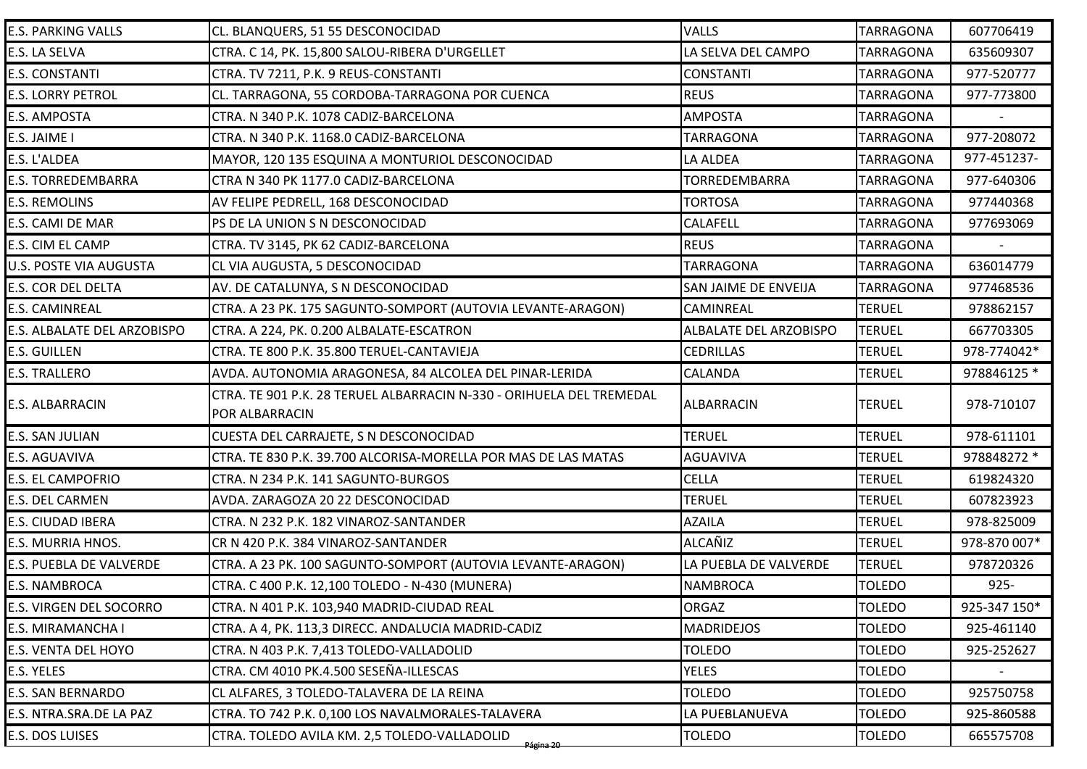| <b>E.S. PARKING VALLS</b>   | CL. BLANQUERS, 51 55 DESCONOCIDAD                                                      | <b>VALLS</b>           | <b>TARRAGONA</b> | 607706419    |
|-----------------------------|----------------------------------------------------------------------------------------|------------------------|------------------|--------------|
| E.S. LA SELVA               | CTRA. C 14, PK. 15,800 SALOU-RIBERA D'URGELLET                                         | LA SELVA DEL CAMPO     | <b>TARRAGONA</b> | 635609307    |
| <b>E.S. CONSTANTI</b>       | CTRA. TV 7211, P.K. 9 REUS-CONSTANTI                                                   | <b>CONSTANTI</b>       | <b>TARRAGONA</b> | 977-520777   |
| <b>E.S. LORRY PETROL</b>    | CL. TARRAGONA, 55 CORDOBA-TARRAGONA POR CUENCA                                         | <b>REUS</b>            | <b>TARRAGONA</b> | 977-773800   |
| E.S. AMPOSTA                | CTRA. N 340 P.K. 1078 CADIZ-BARCELONA                                                  | <b>AMPOSTA</b>         | <b>TARRAGONA</b> |              |
| E.S. JAIME I                | CTRA. N 340 P.K. 1168.0 CADIZ-BARCELONA                                                | <b>TARRAGONA</b>       | <b>TARRAGONA</b> | 977-208072   |
| E.S. L'ALDEA                | MAYOR, 120 135 ESQUINA A MONTURIOL DESCONOCIDAD                                        | LA ALDEA               | <b>TARRAGONA</b> | 977-451237-  |
| <b>E.S. TORREDEMBARRA</b>   | CTRA N 340 PK 1177.0 CADIZ-BARCELONA                                                   | TORREDEMBARRA          | <b>TARRAGONA</b> | 977-640306   |
| <b>E.S. REMOLINS</b>        | AV FELIPE PEDRELL, 168 DESCONOCIDAD                                                    | <b>TORTOSA</b>         | <b>TARRAGONA</b> | 977440368    |
| E.S. CAMI DE MAR            | PS DE LA UNION S N DESCONOCIDAD                                                        | <b>CALAFELL</b>        | <b>TARRAGONA</b> | 977693069    |
| E.S. CIM EL CAMP            | CTRA. TV 3145, PK 62 CADIZ-BARCELONA                                                   | <b>REUS</b>            | <b>TARRAGONA</b> |              |
| U.S. POSTE VIA AUGUSTA      | CL VIA AUGUSTA, 5 DESCONOCIDAD                                                         | <b>TARRAGONA</b>       | <b>TARRAGONA</b> | 636014779    |
| <b>E.S. COR DEL DELTA</b>   | AV. DE CATALUNYA, S N DESCONOCIDAD                                                     | SAN JAIME DE ENVEIJA   | <b>TARRAGONA</b> | 977468536    |
| E.S. CAMINREAL              | CTRA. A 23 PK. 175 SAGUNTO-SOMPORT (AUTOVIA LEVANTE-ARAGON)                            | <b>CAMINREAL</b>       | <b>TERUEL</b>    | 978862157    |
| E.S. ALBALATE DEL ARZOBISPO | CTRA. A 224, PK. 0.200 ALBALATE-ESCATRON                                               | ALBALATE DEL ARZOBISPO | <b>TERUEL</b>    | 667703305    |
| <b>E.S. GUILLEN</b>         | CTRA. TE 800 P.K. 35.800 TERUEL-CANTAVIEJA                                             | <b>CEDRILLAS</b>       | <b>TERUEL</b>    | 978-774042*  |
| <b>E.S. TRALLERO</b>        | AVDA. AUTONOMIA ARAGONESA, 84 ALCOLEA DEL PINAR-LERIDA                                 | <b>CALANDA</b>         | <b>TERUEL</b>    | 978846125 *  |
| E.S. ALBARRACIN             | CTRA. TE 901 P.K. 28 TERUEL ALBARRACIN N-330 - ORIHUELA DEL TREMEDAL<br>POR ALBARRACIN | <b>ALBARRACIN</b>      | <b>TERUEL</b>    | 978-710107   |
| E.S. SAN JULIAN             | CUESTA DEL CARRAJETE, S N DESCONOCIDAD                                                 | <b>TERUEL</b>          | <b>TERUEL</b>    | 978-611101   |
| E.S. AGUAVIVA               | CTRA. TE 830 P.K. 39.700 ALCORISA-MORELLA POR MAS DE LAS MATAS                         | <b>AGUAVIVA</b>        | <b>TERUEL</b>    | 978848272 *  |
| E.S. EL CAMPOFRIO           | CTRA. N 234 P.K. 141 SAGUNTO-BURGOS                                                    | <b>CELLA</b>           | <b>TERUEL</b>    | 619824320    |
| E.S. DEL CARMEN             | AVDA. ZARAGOZA 20 22 DESCONOCIDAD                                                      | <b>TERUEL</b>          | <b>TERUEL</b>    | 607823923    |
| E.S. CIUDAD IBERA           | CTRA. N 232 P.K. 182 VINAROZ-SANTANDER                                                 | <b>AZAILA</b>          | <b>TERUEL</b>    | 978-825009   |
| E.S. MURRIA HNOS.           | CR N 420 P.K. 384 VINAROZ-SANTANDER                                                    | <b>ALCAÑIZ</b>         | <b>TERUEL</b>    | 978-870 007* |
| E.S. PUEBLA DE VALVERDE     | CTRA. A 23 PK. 100 SAGUNTO-SOMPORT (AUTOVIA LEVANTE-ARAGON)                            | LA PUEBLA DE VALVERDE  | <b>TERUEL</b>    | 978720326    |
| <b>E.S. NAMBROCA</b>        | CTRA. C 400 P.K. 12,100 TOLEDO - N-430 (MUNERA)                                        | <b>NAMBROCA</b>        | <b>TOLEDO</b>    | $925 -$      |
| E.S. VIRGEN DEL SOCORRO     | CTRA. N 401 P.K. 103,940 MADRID-CIUDAD REAL                                            | <b>ORGAZ</b>           | <b>TOLEDO</b>    | 925-347 150* |
| E.S. MIRAMANCHA I           | CTRA. A 4, PK. 113,3 DIRECC. ANDALUCIA MADRID-CADIZ                                    | <b>MADRIDEJOS</b>      | <b>TOLEDO</b>    | 925-461140   |
| E.S. VENTA DEL HOYO         | CTRA. N 403 P.K. 7,413 TOLEDO-VALLADOLID                                               | <b>TOLEDO</b>          | <b>TOLEDO</b>    | 925-252627   |
| E.S. YELES                  | CTRA. CM 4010 PK.4.500 SESEÑA-ILLESCAS                                                 | <b>YELES</b>           | <b>TOLEDO</b>    |              |
| <b>E.S. SAN BERNARDO</b>    | CL ALFARES, 3 TOLEDO-TALAVERA DE LA REINA                                              | <b>TOLEDO</b>          | <b>TOLEDO</b>    | 925750758    |
| E.S. NTRA.SRA.DE LA PAZ     | CTRA. TO 742 P.K. 0,100 LOS NAVALMORALES-TALAVERA                                      | LA PUEBLANUEVA         | <b>TOLEDO</b>    | 925-860588   |
| E.S. DOS LUISES             | CTRA. TOLEDO AVILA KM. 2,5 TOLEDO-VALLADOLID<br><del>Página 20</del>                   | <b>TOLEDO</b>          | <b>TOLEDO</b>    | 665575708    |
|                             |                                                                                        |                        |                  |              |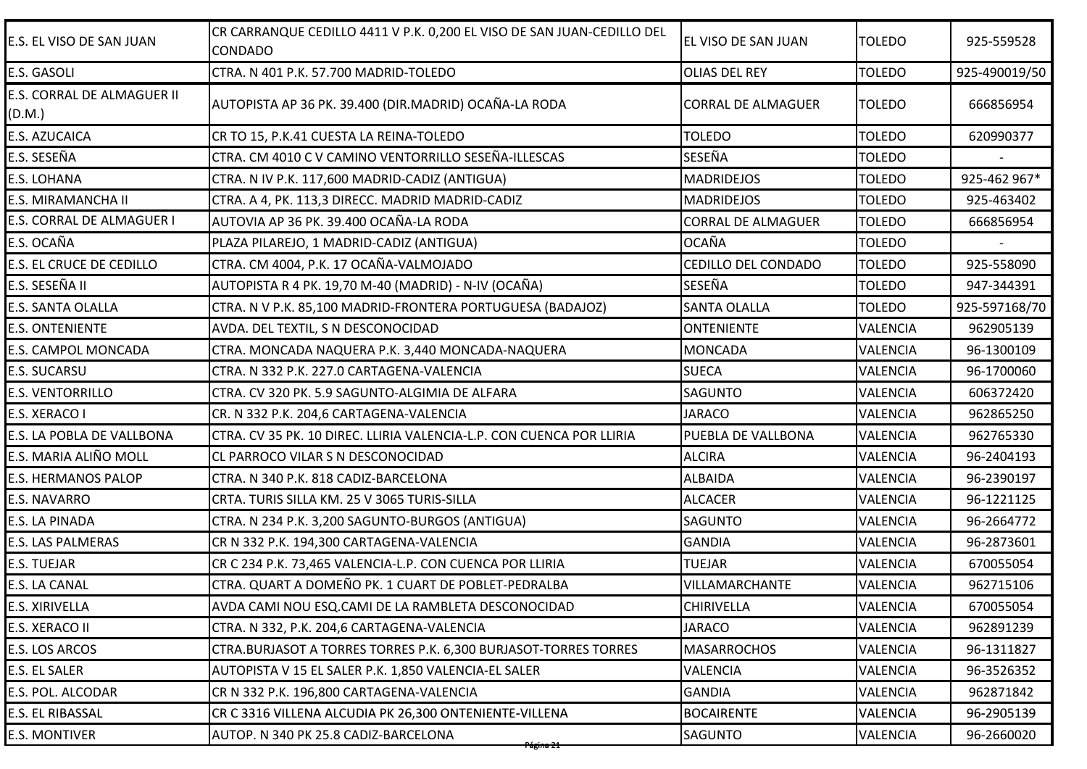| E.S. EL VISO DE SAN JUAN             | CR CARRANQUE CEDILLO 4411 V P.K. 0,200 EL VISO DE SAN JUAN-CEDILLO DEL<br>CONDADO | EL VISO DE SAN JUAN       | <b>TOLEDO</b>   | 925-559528    |
|--------------------------------------|-----------------------------------------------------------------------------------|---------------------------|-----------------|---------------|
| E.S. GASOLI                          | CTRA. N 401 P.K. 57.700 MADRID-TOLEDO                                             | <b>OLIAS DEL REY</b>      | <b>TOLEDO</b>   | 925-490019/50 |
| E.S. CORRAL DE ALMAGUER II<br>(D.M.) | AUTOPISTA AP 36 PK. 39.400 (DIR.MADRID) OCAÑA-LA RODA                             | <b>CORRAL DE ALMAGUER</b> | <b>TOLEDO</b>   | 666856954     |
| E.S. AZUCAICA                        | CR TO 15, P.K.41 CUESTA LA REINA-TOLEDO                                           | <b>TOLEDO</b>             | <b>TOLEDO</b>   | 620990377     |
| E.S. SESEÑA                          | CTRA. CM 4010 C V CAMINO VENTORRILLO SESEÑA-ILLESCAS                              | SESEÑA                    | <b>TOLEDO</b>   |               |
| E.S. LOHANA                          | CTRA. N IV P.K. 117,600 MADRID-CADIZ (ANTIGUA)                                    | <b>MADRIDEJOS</b>         | <b>TOLEDO</b>   | 925-462 967*  |
| E.S. MIRAMANCHA II                   | CTRA. A 4, PK. 113,3 DIRECC. MADRID MADRID-CADIZ                                  | <b>MADRIDEJOS</b>         | <b>TOLEDO</b>   | 925-463402    |
| E.S. CORRAL DE ALMAGUER I            | AUTOVIA AP 36 PK. 39.400 OCAÑA-LA RODA                                            | <b>CORRAL DE ALMAGUER</b> | <b>TOLEDO</b>   | 666856954     |
| E.S. OCAÑA                           | PLAZA PILAREJO, 1 MADRID-CADIZ (ANTIGUA)                                          | <b>OCAÑA</b>              | <b>TOLEDO</b>   |               |
| E.S. EL CRUCE DE CEDILLO             | CTRA. CM 4004, P.K. 17 OCAÑA-VALMOJADO                                            | CEDILLO DEL CONDADO       | <b>TOLEDO</b>   | 925-558090    |
| E.S. SESEÑA II                       | AUTOPISTA R 4 PK. 19,70 M-40 (MADRID) - N-IV (OCAÑA)                              | SESEÑA                    | <b>TOLEDO</b>   | 947-344391    |
| E.S. SANTA OLALLA                    | CTRA. N V P.K. 85,100 MADRID-FRONTERA PORTUGUESA (BADAJOZ)                        | <b>SANTA OLALLA</b>       | <b>TOLEDO</b>   | 925-597168/70 |
| <b>E.S. ONTENIENTE</b>               | AVDA. DEL TEXTIL, S N DESCONOCIDAD                                                | <b>ONTENIENTE</b>         | <b>VALENCIA</b> | 962905139     |
| E.S. CAMPOL MONCADA                  | CTRA. MONCADA NAQUERA P.K. 3,440 MONCADA-NAQUERA                                  | <b>MONCADA</b>            | <b>VALENCIA</b> | 96-1300109    |
| E.S. SUCARSU                         | CTRA. N 332 P.K. 227.0 CARTAGENA-VALENCIA                                         | <b>SUECA</b>              | <b>VALENCIA</b> | 96-1700060    |
| E.S. VENTORRILLO                     | CTRA. CV 320 PK. 5.9 SAGUNTO-ALGIMIA DE ALFARA                                    | <b>SAGUNTO</b>            | <b>VALENCIA</b> | 606372420     |
| E.S. XERACO I                        | CR. N 332 P.K. 204,6 CARTAGENA-VALENCIA                                           | <b>JARACO</b>             | VALENCIA        | 962865250     |
| E.S. LA POBLA DE VALLBONA            | CTRA. CV 35 PK. 10 DIREC. LLIRIA VALENCIA-L.P. CON CUENCA POR LLIRIA              | PUEBLA DE VALLBONA        | <b>VALENCIA</b> | 962765330     |
| E.S. MARIA ALIÑO MOLL                | CL PARROCO VILAR S N DESCONOCIDAD                                                 | <b>ALCIRA</b>             | <b>VALENCIA</b> | 96-2404193    |
| <b>E.S. HERMANOS PALOP</b>           | CTRA. N 340 P.K. 818 CADIZ-BARCELONA                                              | <b>ALBAIDA</b>            | <b>VALENCIA</b> | 96-2390197    |
| E.S. NAVARRO                         | CRTA. TURIS SILLA KM. 25 V 3065 TURIS-SILLA                                       | <b>ALCACER</b>            | <b>VALENCIA</b> | 96-1221125    |
| E.S. LA PINADA                       | CTRA. N 234 P.K. 3,200 SAGUNTO-BURGOS (ANTIGUA)                                   | <b>SAGUNTO</b>            | <b>VALENCIA</b> | 96-2664772    |
| <b>E.S. LAS PALMERAS</b>             | CR N 332 P.K. 194,300 CARTAGENA-VALENCIA                                          | <b>GANDIA</b>             | <b>VALENCIA</b> | 96-2873601    |
| E.S. TUEJAR                          | CR C 234 P.K. 73,465 VALENCIA-L.P. CON CUENCA POR LLIRIA                          | <b>TUEJAR</b>             | <b>VALENCIA</b> | 670055054     |
| E.S. LA CANAL                        | CTRA. QUART A DOMEÑO PK. 1 CUART DE POBLET-PEDRALBA                               | VILLAMARCHANTE            | <b>VALENCIA</b> | 962715106     |
| E.S. XIRIVELLA                       | AVDA CAMI NOU ESQ.CAMI DE LA RAMBLETA DESCONOCIDAD                                | <b>CHIRIVELLA</b>         | <b>VALENCIA</b> | 670055054     |
| E.S. XERACO II                       | CTRA. N 332, P.K. 204,6 CARTAGENA-VALENCIA                                        | <b>JARACO</b>             | VALENCIA        | 962891239     |
| E.S. LOS ARCOS                       | CTRA. BURJASOT A TORRES TORRES P.K. 6,300 BURJASOT-TORRES TORRES                  | <b>MASARROCHOS</b>        | <b>VALENCIA</b> | 96-1311827    |
| E.S. EL SALER                        | AUTOPISTA V 15 EL SALER P.K. 1,850 VALENCIA-EL SALER                              | <b>VALENCIA</b>           | <b>VALENCIA</b> | 96-3526352    |
| E.S. POL. ALCODAR                    | CR N 332 P.K. 196,800 CARTAGENA-VALENCIA                                          | <b>GANDIA</b>             | <b>VALENCIA</b> | 962871842     |
| E.S. EL RIBASSAL                     | CR C 3316 VILLENA ALCUDIA PK 26,300 ONTENIENTE-VILLENA                            | <b>BOCAIRENTE</b>         | <b>VALENCIA</b> | 96-2905139    |
|                                      | AUTOP. N 340 PK 25.8 CADIZ-BARCELONA                                              | <b>SAGUNTO</b>            | VALENCIA        | 96-2660020    |
| <b>E.S. MONTIVER</b>                 | <del>Página 21.</del>                                                             |                           |                 |               |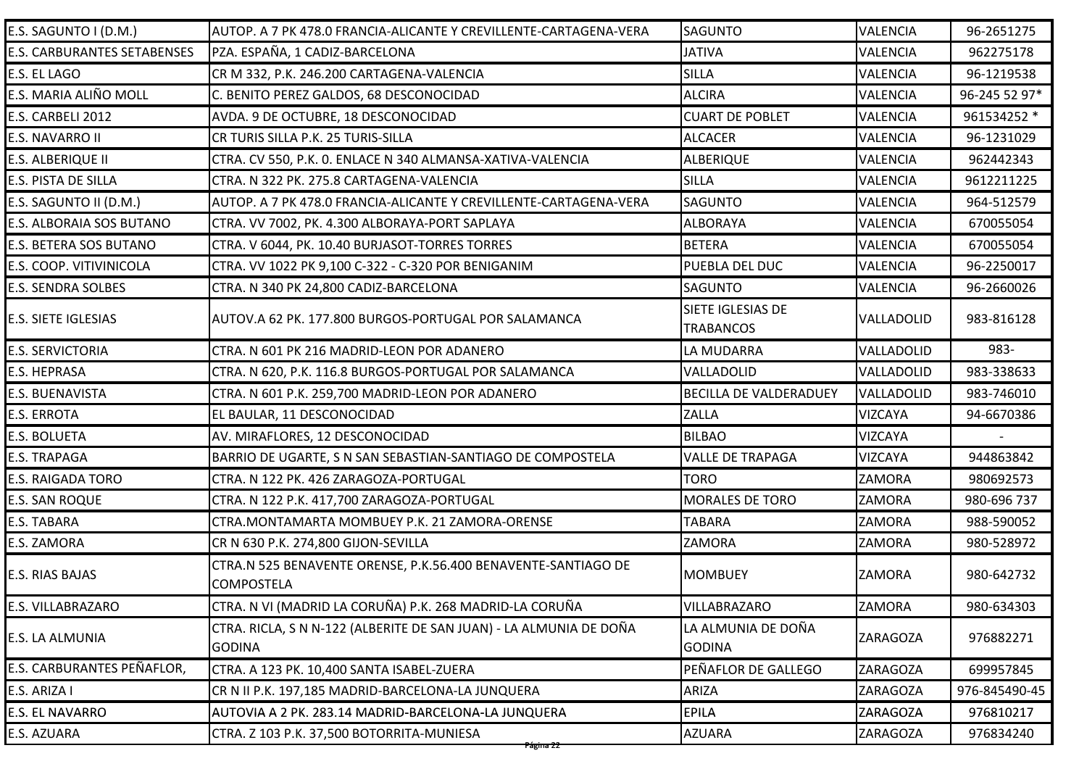| E.S. SAGUNTO I (D.M.)              | AUTOP. A 7 PK 478.0 FRANCIA-ALICANTE Y CREVILLENTE-CARTAGENA-VERA                   | <b>SAGUNTO</b>                        | <b>VALENCIA</b> | 96-2651275    |
|------------------------------------|-------------------------------------------------------------------------------------|---------------------------------------|-----------------|---------------|
| <b>E.S. CARBURANTES SETABENSES</b> | PZA. ESPAÑA, 1 CADIZ-BARCELONA                                                      | <b>JATIVA</b>                         | <b>VALENCIA</b> | 962275178     |
| E.S. EL LAGO                       | CR M 332, P.K. 246.200 CARTAGENA-VALENCIA                                           | <b>SILLA</b>                          | VALENCIA        | 96-1219538    |
| E.S. MARIA ALIÑO MOLL              | C. BENITO PEREZ GALDOS, 68 DESCONOCIDAD                                             | <b>ALCIRA</b>                         | <b>VALENCIA</b> | 96-245 52 97* |
| E.S. CARBELI 2012                  | AVDA. 9 DE OCTUBRE, 18 DESCONOCIDAD                                                 | <b>CUART DE POBLET</b>                | <b>VALENCIA</b> | 961534252 *   |
| E.S. NAVARRO II                    | CR TURIS SILLA P.K. 25 TURIS-SILLA                                                  | <b>ALCACER</b>                        | <b>VALENCIA</b> | 96-1231029    |
| E.S. ALBERIQUE II                  | CTRA. CV 550, P.K. O. ENLACE N 340 ALMANSA-XATIVA-VALENCIA                          | <b>ALBERIQUE</b>                      | VALENCIA        | 962442343     |
| E.S. PISTA DE SILLA                | CTRA. N 322 PK. 275.8 CARTAGENA-VALENCIA                                            | <b>SILLA</b>                          | VALENCIA        | 9612211225    |
| E.S. SAGUNTO II (D.M.)             | AUTOP. A 7 PK 478.0 FRANCIA-ALICANTE Y CREVILLENTE-CARTAGENA-VERA                   | <b>SAGUNTO</b>                        | VALENCIA        | 964-512579    |
| E.S. ALBORAIA SOS BUTANO           | CTRA. VV 7002, PK. 4.300 ALBORAYA-PORT SAPLAYA                                      | <b>ALBORAYA</b>                       | <b>VALENCIA</b> | 670055054     |
| E.S. BETERA SOS BUTANO             | CTRA. V 6044, PK. 10.40 BURJASOT-TORRES TORRES                                      | <b>BETERA</b>                         | VALENCIA        | 670055054     |
| E.S. COOP. VITIVINICOLA            | CTRA. VV 1022 PK 9,100 C-322 - C-320 POR BENIGANIM                                  | PUEBLA DEL DUC                        | <b>VALENCIA</b> | 96-2250017    |
| <b>E.S. SENDRA SOLBES</b>          | CTRA. N 340 PK 24,800 CADIZ-BARCELONA                                               | <b>SAGUNTO</b>                        | VALENCIA        | 96-2660026    |
| <b>E.S. SIETE IGLESIAS</b>         | AUTOV.A 62 PK. 177.800 BURGOS-PORTUGAL POR SALAMANCA                                | SIETE IGLESIAS DE<br><b>TRABANCOS</b> | VALLADOLID      | 983-816128    |
| <b>E.S. SERVICTORIA</b>            | CTRA. N 601 PK 216 MADRID-LEON POR ADANERO                                          | LA MUDARRA                            | VALLADOLID      | 983-          |
| E.S. HEPRASA                       | CTRA. N 620, P.K. 116.8 BURGOS-PORTUGAL POR SALAMANCA                               | VALLADOLID                            | VALLADOLID      | 983-338633    |
| E.S. BUENAVISTA                    | CTRA. N 601 P.K. 259,700 MADRID-LEON POR ADANERO                                    | <b>BECILLA DE VALDERADUEY</b>         | VALLADOLID      | 983-746010    |
| <b>E.S. ERROTA</b>                 | EL BAULAR, 11 DESCONOCIDAD                                                          | <b>ZALLA</b>                          | <b>VIZCAYA</b>  | 94-6670386    |
| E.S. BOLUETA                       | AV. MIRAFLORES, 12 DESCONOCIDAD                                                     | <b>BILBAO</b>                         | <b>VIZCAYA</b>  |               |
| <b>E.S. TRAPAGA</b>                | BARRIO DE UGARTE, S N SAN SEBASTIAN-SANTIAGO DE COMPOSTELA                          | <b>VALLE DE TRAPAGA</b>               | <b>VIZCAYA</b>  | 944863842     |
| <b>E.S. RAIGADA TORO</b>           | CTRA. N 122 PK. 426 ZARAGOZA-PORTUGAL                                               | <b>TORO</b>                           | ZAMORA          | 980692573     |
| E.S. SAN ROQUE                     | CTRA. N 122 P.K. 417,700 ZARAGOZA-PORTUGAL                                          | <b>MORALES DE TORO</b>                | ZAMORA          | 980-696 737   |
| E.S. TABARA                        | CTRA.MONTAMARTA MOMBUEY P.K. 21 ZAMORA-ORENSE                                       | <b>TABARA</b>                         | ZAMORA          | 988-590052    |
| E.S. ZAMORA                        | CR N 630 P.K. 274,800 GIJON-SEVILLA                                                 | ZAMORA                                | <b>ZAMORA</b>   | 980-528972    |
| E.S. RIAS BAJAS                    | CTRA.N 525 BENAVENTE ORENSE, P.K.56.400 BENAVENTE-SANTIAGO DE<br><b>COMPOSTELA</b>  | <b>MOMBUEY</b>                        | <b>ZAMORA</b>   | 980-642732    |
| E.S. VILLABRAZARO                  | CTRA. N VI (MADRID LA CORUÑA) P.K. 268 MADRID-LA CORUÑA                             | <b>VILLABRAZARO</b>                   | <b>ZAMORA</b>   | 980-634303    |
| E.S. LA ALMUNIA                    | CTRA. RICLA, S N N-122 (ALBERITE DE SAN JUAN) - LA ALMUNIA DE DOÑA<br><b>GODINA</b> | LA ALMUNIA DE DOÑA<br><b>GODINA</b>   | <b>ZARAGOZA</b> | 976882271     |
| E.S. CARBURANTES PEÑAFLOR,         | CTRA. A 123 PK. 10,400 SANTA ISABEL-ZUERA                                           | PEÑAFLOR DE GALLEGO                   | ZARAGOZA        | 699957845     |
| E.S. ARIZA I                       | CR N II P.K. 197,185 MADRID-BARCELONA-LA JUNQUERA                                   | ARIZA                                 | ZARAGOZA        | 976-845490-45 |
| <b>E.S. EL NAVARRO</b>             | AUTOVIA A 2 PK. 283.14 MADRID-BARCELONA-LA JUNQUERA                                 | <b>EPILA</b>                          | <b>ZARAGOZA</b> | 976810217     |
| E.S. AZUARA                        | CTRA. Z 103 P.K. 37,500 BOTORRITA-MUNIESA                                           | <b>AZUARA</b>                         | ZARAGOZA        | 976834240     |